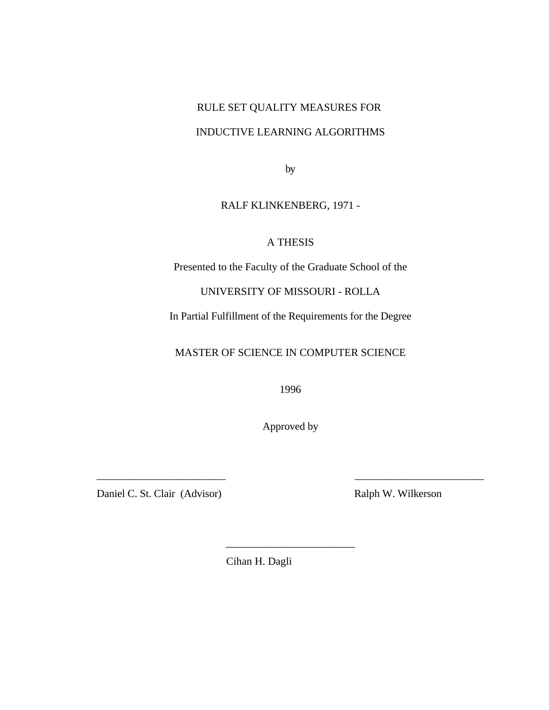# RULE SET QUALITY MEASURES FOR INDUCTIVE LEARNING ALGORITHMS

by

# RALF KLINKENBERG, 1971 -

# A THESIS

Presented to the Faculty of the Graduate School of the

UNIVERSITY OF MISSOURI - ROLLA

In Partial Fulfillment of the Requirements for the Degree

MASTER OF SCIENCE IN COMPUTER SCIENCE

1996

Approved by

\_\_\_\_\_\_\_\_\_\_\_\_\_\_\_\_\_\_\_\_\_\_\_\_ \_\_\_\_\_\_\_\_\_\_\_\_\_\_\_\_\_\_\_\_\_\_\_\_

\_\_\_\_\_\_\_\_\_\_\_\_\_\_\_\_\_\_\_\_\_\_\_\_

Daniel C. St. Clair (Advisor) Ralph W. Wilkerson

Cihan H. Dagli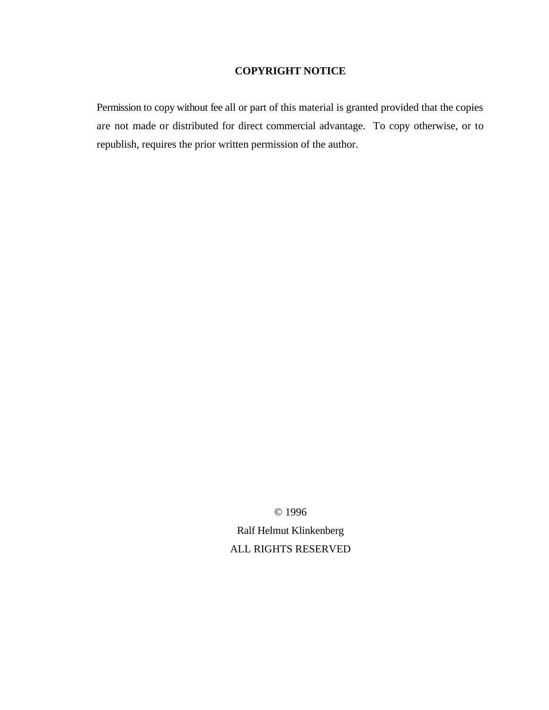## **COPYRIGHT NOTICE**

Permission to copy without fee all or part of this material is granted provided that the copies are not made or distributed for direct commercial advantage. To copy otherwise, or to republish, requires the prior written permission of the author.

© 1996

Ralf Helmut Klinkenberg ALL RIGHTS RESERVED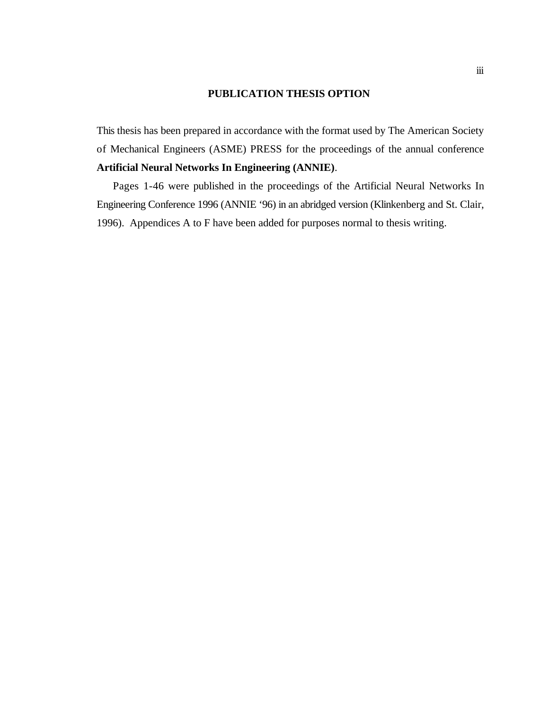#### **PUBLICATION THESIS OPTION**

This thesis has been prepared in accordance with the format used by The American Society of Mechanical Engineers (ASME) PRESS for the proceedings of the annual conference **Artificial Neural Networks In Engineering (ANNIE)**.

Pages 1-46 were published in the proceedings of the Artificial Neural Networks In Engineering Conference 1996 (ANNIE '96) in an abridged version (Klinkenberg and St. Clair, 1996). Appendices A to F have been added for purposes normal to thesis writing.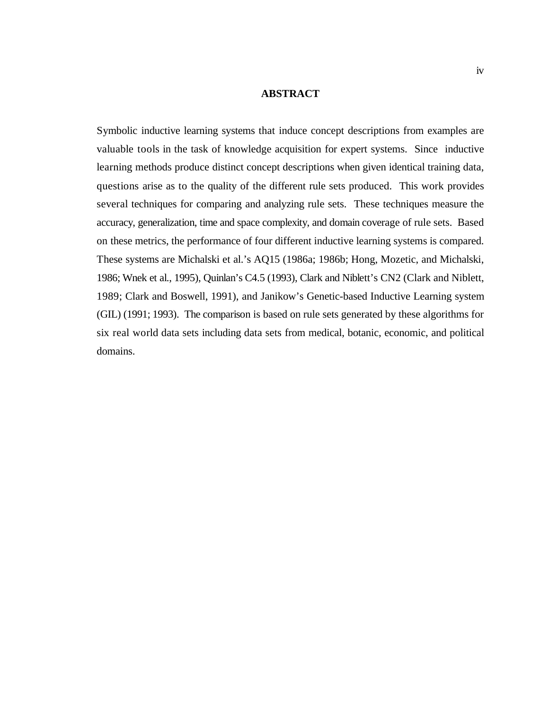#### **ABSTRACT**

Symbolic inductive learning systems that induce concept descriptions from examples are valuable tools in the task of knowledge acquisition for expert systems. Since inductive learning methods produce distinct concept descriptions when given identical training data, questions arise as to the quality of the different rule sets produced. This work provides several techniques for comparing and analyzing rule sets. These techniques measure the accuracy, generalization, time and space complexity, and domain coverage of rule sets. Based on these metrics, the performance of four different inductive learning systems is compared. These systems are Michalski et al.'s AQ15 (1986a; 1986b; Hong, Mozetic, and Michalski, 1986; Wnek et al., 1995), Quinlan's C4.5 (1993), Clark and Niblett's CN2 (Clark and Niblett, 1989; Clark and Boswell, 1991), and Janikow's Genetic-based Inductive Learning system (GIL) (1991; 1993). The comparison is based on rule sets generated by these algorithms for six real world data sets including data sets from medical, botanic, economic, and political domains.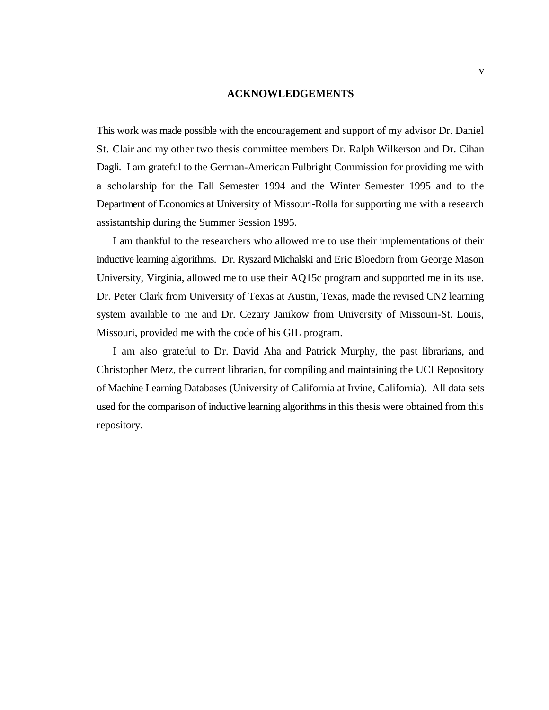#### **ACKNOWLEDGEMENTS**

This work was made possible with the encouragement and support of my advisor Dr. Daniel St. Clair and my other two thesis committee members Dr. Ralph Wilkerson and Dr. Cihan Dagli. I am grateful to the German-American Fulbright Commission for providing me with a scholarship for the Fall Semester 1994 and the Winter Semester 1995 and to the Department of Economics at University of Missouri-Rolla for supporting me with a research assistantship during the Summer Session 1995.

I am thankful to the researchers who allowed me to use their implementations of their inductive learning algorithms. Dr. Ryszard Michalski and Eric Bloedorn from George Mason University, Virginia, allowed me to use their AQ15c program and supported me in its use. Dr. Peter Clark from University of Texas at Austin, Texas, made the revised CN2 learning system available to me and Dr. Cezary Janikow from University of Missouri-St. Louis, Missouri, provided me with the code of his GIL program.

I am also grateful to Dr. David Aha and Patrick Murphy, the past librarians, and Christopher Merz, the current librarian, for compiling and maintaining the UCI Repository of Machine Learning Databases (University of California at Irvine, California). All data sets used for the comparison of inductive learning algorithms in this thesis were obtained from this repository.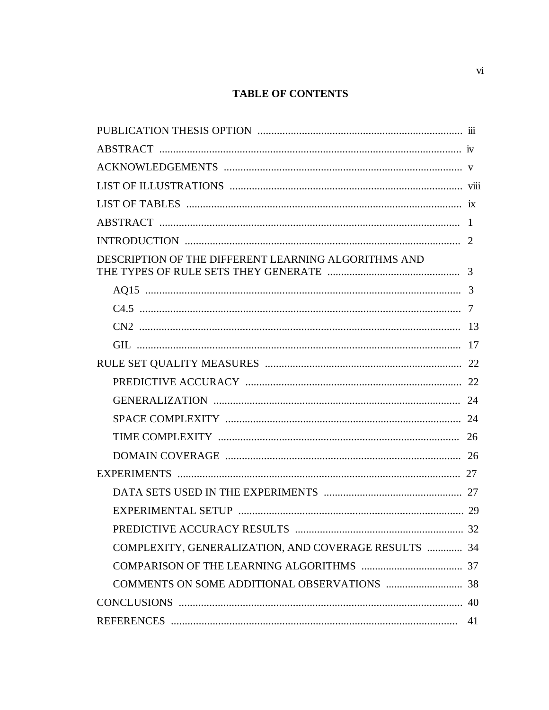# **TABLE OF CONTENTS**

| DESCRIPTION OF THE DIFFERENT LEARNING ALGORITHMS AND |  |
|------------------------------------------------------|--|
|                                                      |  |
|                                                      |  |
|                                                      |  |
|                                                      |  |
|                                                      |  |
|                                                      |  |
|                                                      |  |
|                                                      |  |
|                                                      |  |
|                                                      |  |
|                                                      |  |
|                                                      |  |
|                                                      |  |
|                                                      |  |
| COMPLEXITY, GENERALIZATION, AND COVERAGE RESULTS  34 |  |
|                                                      |  |
|                                                      |  |
|                                                      |  |
|                                                      |  |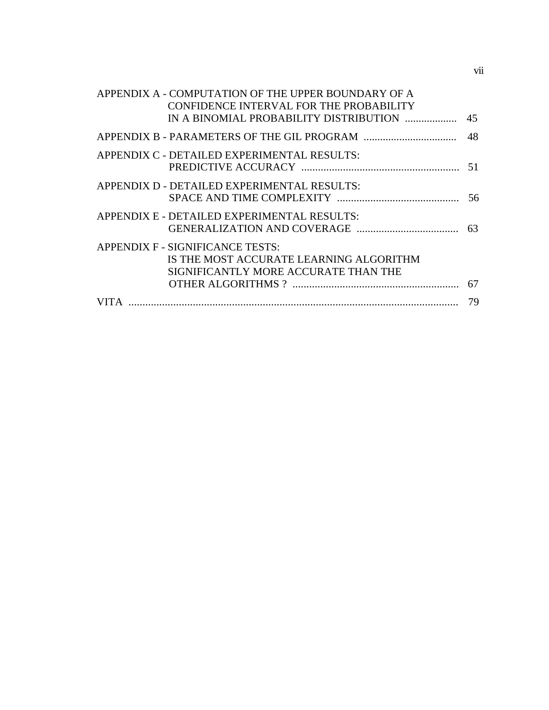| APPENDIX A - COMPUTATION OF THE UPPER BOUNDARY OF A<br>CONFIDENCE INTERVAL FOR THE PROBABILITY                      |  |
|---------------------------------------------------------------------------------------------------------------------|--|
|                                                                                                                     |  |
|                                                                                                                     |  |
| APPENDIX C - DETAILED EXPERIMENTAL RESULTS:                                                                         |  |
| APPENDIX D - DETAILED EXPERIMENTAL RESULTS:                                                                         |  |
| APPENDIX E - DETAILED EXPERIMENTAL RESULTS:                                                                         |  |
| APPENDIX F - SIGNIFICANCE TESTS:<br>IS THE MOST ACCURATE LEARNING ALGORITHM<br>SIGNIFICANTLY MORE ACCURATE THAN THE |  |
|                                                                                                                     |  |
|                                                                                                                     |  |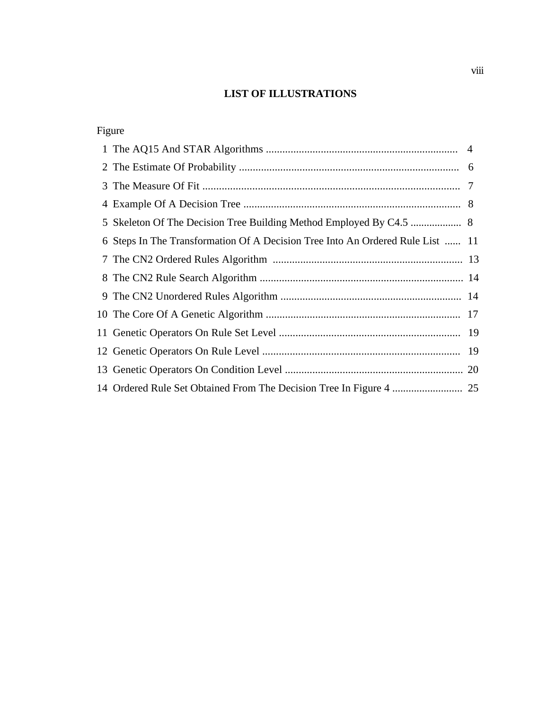# **LIST OF ILLUSTRATIONS**

| Figure                                                                         |  |
|--------------------------------------------------------------------------------|--|
|                                                                                |  |
|                                                                                |  |
|                                                                                |  |
|                                                                                |  |
|                                                                                |  |
| 6 Steps In The Transformation Of A Decision Tree Into An Ordered Rule List  11 |  |
|                                                                                |  |
|                                                                                |  |
|                                                                                |  |
|                                                                                |  |
|                                                                                |  |
|                                                                                |  |
|                                                                                |  |
|                                                                                |  |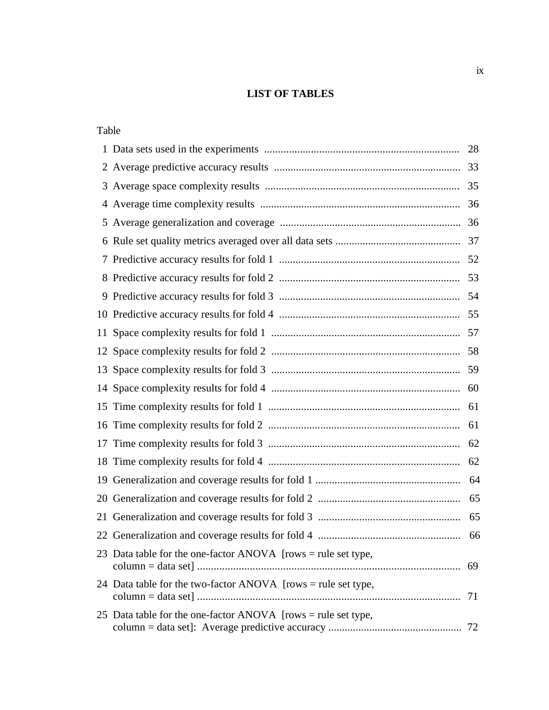## **LIST OF TABLES**

| Table |                                                               |    |
|-------|---------------------------------------------------------------|----|
|       |                                                               | 28 |
|       |                                                               |    |
| 3     |                                                               |    |
|       |                                                               |    |
|       |                                                               |    |
|       |                                                               |    |
|       |                                                               |    |
|       |                                                               |    |
|       |                                                               |    |
|       |                                                               |    |
|       |                                                               |    |
|       |                                                               |    |
|       |                                                               |    |
|       |                                                               |    |
|       |                                                               |    |
|       |                                                               | 61 |
|       |                                                               | 62 |
| 18    |                                                               |    |
| 19    |                                                               |    |
|       |                                                               |    |
|       |                                                               | 65 |
|       |                                                               |    |
|       | 23 Data table for the one-factor ANOVA [rows = rule set type, | 69 |
|       | 24 Data table for the two-factor ANOVA [rows = rule set type, | 71 |
|       | 25 Data table for the one-factor ANOVA [rows = rule set type, |    |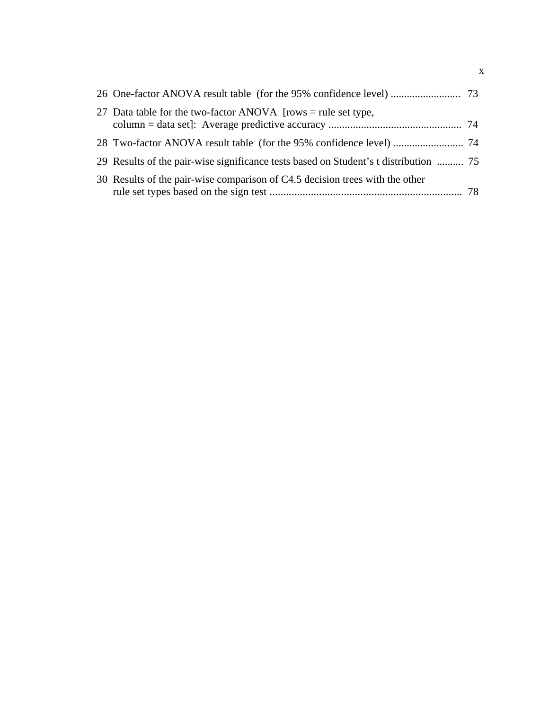| 27 Data table for the two-factor ANOVA [rows = rule set type,                        |  |
|--------------------------------------------------------------------------------------|--|
|                                                                                      |  |
| 29 Results of the pair-wise significance tests based on Student's t distribution  75 |  |
| 30 Results of the pair-wise comparison of C4.5 decision trees with the other         |  |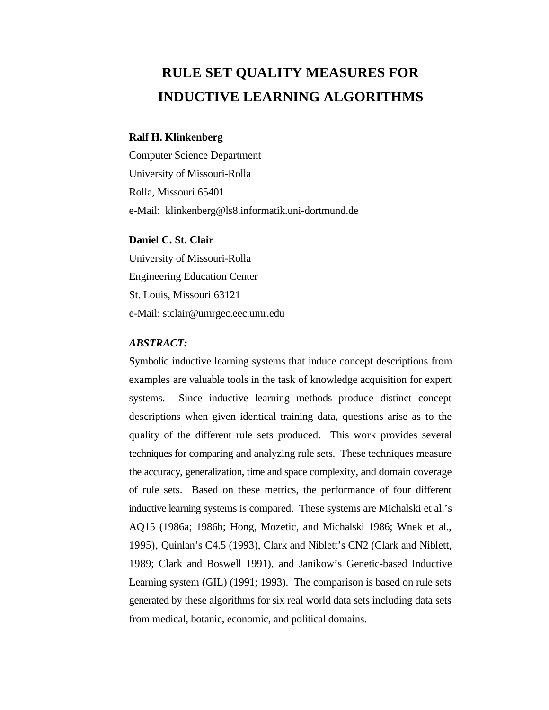# **RULE SET QUALITY MEASURES FOR INDUCTIVE LEARNING ALGORITHMS**

#### **Ralf H. Klinkenberg**

Computer Science Department University of Missouri-Rolla Rolla, Missouri 65401 e-Mail: klinkenberg@ls8.informatik.uni-dortmund.de

#### **Daniel C. St. Clair**

University of Missouri-Rolla Engineering Education Center St. Louis, Missouri 63121 e-Mail: stclair@umrgec.eec.umr.edu

#### *ABSTRACT:*

Symbolic inductive learning systems that induce concept descriptions from examples are valuable tools in the task of knowledge acquisition for expert systems. Since inductive learning methods produce distinct concept descriptions when given identical training data, questions arise as to the quality of the different rule sets produced. This work provides several techniques for comparing and analyzing rule sets. These techniques measure the accuracy, generalization, time and space complexity, and domain coverage of rule sets. Based on these metrics, the performance of four different inductive learning systems is compared. These systems are Michalski et al.'s AQ15 (1986a; 1986b; Hong, Mozetic, and Michalski 1986; Wnek et al., 1995), Quinlan's C4.5 (1993), Clark and Niblett's CN2 (Clark and Niblett, 1989; Clark and Boswell 1991), and Janikow's Genetic-based Inductive Learning system (GIL) (1991; 1993). The comparison is based on rule sets generated by these algorithms for six real world data sets including data sets from medical, botanic, economic, and political domains.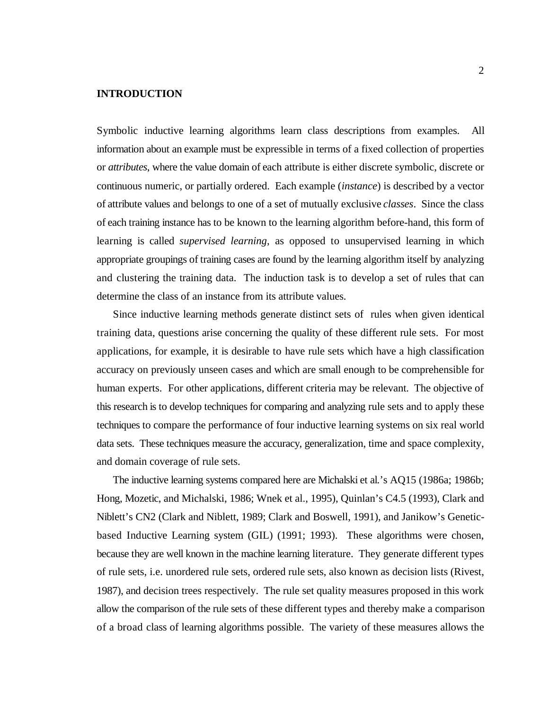#### **INTRODUCTION**

Symbolic inductive learning algorithms learn class descriptions from examples. All information about an example must be expressible in terms of a fixed collection of properties or *attributes*, where the value domain of each attribute is either discrete symbolic, discrete or continuous numeric, or partially ordered. Each example (*instance*) is described by a vector of attribute values and belongs to one of a set of mutually exclusive *classes*. Since the class of each training instance has to be known to the learning algorithm before-hand, this form of learning is called *supervised learning*, as opposed to unsupervised learning in which appropriate groupings of training cases are found by the learning algorithm itself by analyzing and clustering the training data. The induction task is to develop a set of rules that can determine the class of an instance from its attribute values.

Since inductive learning methods generate distinct sets of rules when given identical training data, questions arise concerning the quality of these different rule sets. For most applications, for example, it is desirable to have rule sets which have a high classification accuracy on previously unseen cases and which are small enough to be comprehensible for human experts. For other applications, different criteria may be relevant. The objective of this research is to develop techniques for comparing and analyzing rule sets and to apply these techniques to compare the performance of four inductive learning systems on six real world data sets. These techniques measure the accuracy, generalization, time and space complexity, and domain coverage of rule sets.

The inductive learning systems compared here are Michalski et al.'s AQ15 (1986a; 1986b; Hong, Mozetic, and Michalski, 1986; Wnek et al., 1995), Quinlan's C4.5 (1993), Clark and Niblett's CN2 (Clark and Niblett, 1989; Clark and Boswell, 1991), and Janikow's Geneticbased Inductive Learning system (GIL) (1991; 1993). These algorithms were chosen, because they are well known in the machine learning literature. They generate different types of rule sets, i.e. unordered rule sets, ordered rule sets, also known as decision lists (Rivest, 1987), and decision trees respectively. The rule set quality measures proposed in this work allow the comparison of the rule sets of these different types and thereby make a comparison of a broad class of learning algorithms possible. The variety of these measures allows the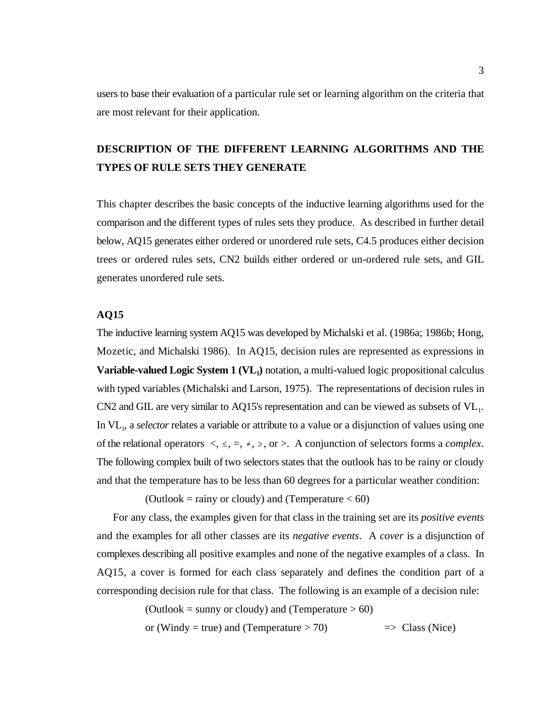users to base their evaluation of a particular rule set or learning algorithm on the criteria that are most relevant for their application.

# **DESCRIPTION OF THE DIFFERENT LEARNING ALGORITHMS AND THE TYPES OF RULE SETS THEY GENERATE**

This chapter describes the basic concepts of the inductive learning algorithms used for the comparison and the different types of rules sets they produce. As described in further detail below, AQ15 generates either ordered or unordered rule sets, C4.5 produces either decision trees or ordered rules sets, CN2 builds either ordered or un-ordered rule sets, and GIL generates unordered rule sets.

#### **AQ15**

The inductive learning system AQ15 was developed by Michalski et al. (1986a; 1986b; Hong, Mozetic, and Michalski 1986). In AQ15, decision rules are represented as expressions in **Variable-valued Logic System 1 (VL,)** notation, a multi-valued logic propositional calculus with typed variables (Michalski and Larson, 1975). The representations of decision rules in  $CN2$  and GIL are very similar to AQ15's representation and can be viewed as subsets of  $VL<sub>1</sub>$ . In VL<sub>1</sub>, a *selector* relates a variable or attribute to a value or a disjunction of values using one of the relational operators  $\langle , \leq, =, *, \geq,$  or  $\rangle$ . A conjunction of selectors forms a *complex*. The following complex built of two selectors states that the outlook has to be rainy or cloudy and that the temperature has to be less than 60 degrees for a particular weather condition:

(Outlook = rainy or cloudy) and (Temperature  $< 60$ )

For any class, the examples given for that class in the training set are its *positive events* and the examples for all other classes are its *negative events*. A *cover* is a disjunction of complexes describing all positive examples and none of the negative examples of a class. In AQ15, a cover is formed for each class separately and defines the condition part of a corresponding decision rule for that class. The following is an example of a decision rule:

(Outlook = sunny or cloudy) and (Temperature  $> 60$ )

or (Windy = true) and (Temperature  $> 70$ )  $\implies$  Class (Nice)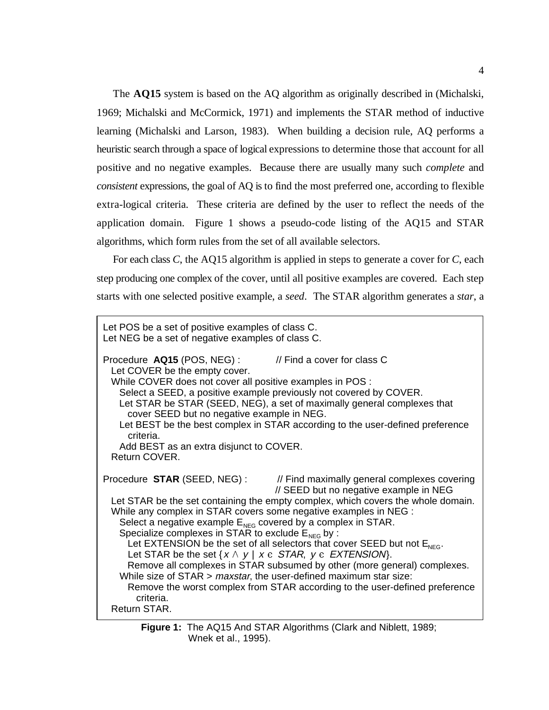The **AQ15** system is based on the AQ algorithm as originally described in (Michalski, 1969; Michalski and McCormick, 1971) and implements the STAR method of inductive learning (Michalski and Larson, 1983). When building a decision rule, AQ performs a heuristic search through a space of logical expressions to determine those that account for all positive and no negative examples. Because there are usually many such *complete* and *consistent* expressions, the goal of AQ is to find the most preferred one, according to flexible extra-logical criteria. These criteria are defined by the user to reflect the needs of the application domain. Figure 1 shows a pseudo-code listing of the AQ15 and STAR algorithms, which form rules from the set of all available selectors.

For each class *C*, the AQ15 algorithm is applied in steps to generate a cover for *C*, each step producing one complex of the cover, until all positive examples are covered. Each step starts with one selected positive example, a *seed*. The STAR algorithm generates a *star*, a

| Let POS be a set of positive examples of class C.<br>Let NEG be a set of negative examples of class C.                                                                                                                                                                                                                                                                                                                                                                                                                                                                                                                                                                                                                                                                                                                                   |
|------------------------------------------------------------------------------------------------------------------------------------------------------------------------------------------------------------------------------------------------------------------------------------------------------------------------------------------------------------------------------------------------------------------------------------------------------------------------------------------------------------------------------------------------------------------------------------------------------------------------------------------------------------------------------------------------------------------------------------------------------------------------------------------------------------------------------------------|
| Procedure AQ15 (POS, NEG) :<br>// Find a cover for class C<br>Let COVER be the empty cover.<br>While COVER does not cover all positive examples in POS :<br>Select a SEED, a positive example previously not covered by COVER.<br>Let STAR be STAR (SEED, NEG), a set of maximally general complexes that<br>cover SEED but no negative example in NEG.<br>Let BEST be the best complex in STAR according to the user-defined preference<br>criteria.<br>Add BEST as an extra disjunct to COVER.<br>Return COVER.                                                                                                                                                                                                                                                                                                                        |
| Procedure STAR (SEED, NEG): // Find maximally general complexes covering<br>// SEED but no negative example in NEG<br>Let STAR be the set containing the empty complex, which covers the whole domain.<br>While any complex in STAR covers some negative examples in NEG :<br>Select a negative example $E_{\text{NEG}}$ covered by a complex in STAR.<br>Specialize complexes in STAR to exclude $E_{NEG}$ by :<br>Let EXTENSION be the set of all selectors that cover SEED but not $ENEG$ .<br>Let STAR be the set $\{x \land y \mid x \in STAR, y \in EXTENSION\}$ .<br>Remove all complexes in STAR subsumed by other (more general) complexes.<br>While size of $STAR > maxstar$ , the user-defined maximum star size:<br>Remove the worst complex from STAR according to the user-defined preference<br>criteria.<br>Return STAR. |

**Figure 1:** The AQ15 And STAR Algorithms (Clark and Niblett, 1989; Wnek et al., 1995).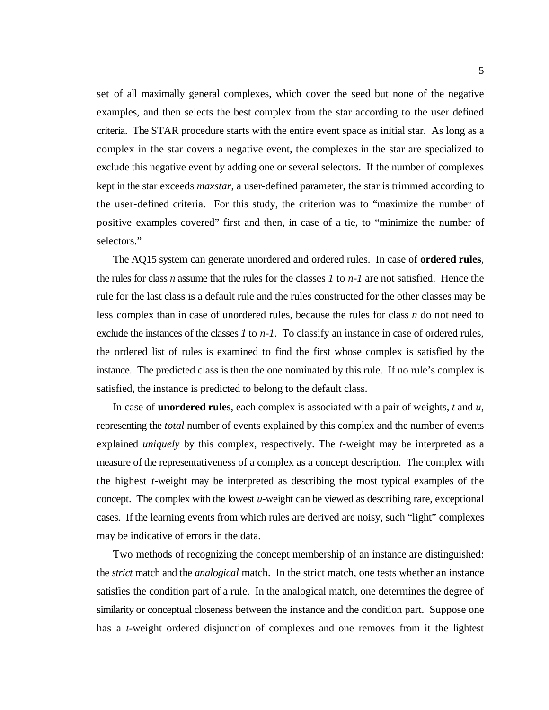set of all maximally general complexes, which cover the seed but none of the negative examples, and then selects the best complex from the star according to the user defined criteria. The STAR procedure starts with the entire event space as initial star. As long as a complex in the star covers a negative event, the complexes in the star are specialized to exclude this negative event by adding one or several selectors. If the number of complexes kept in the star exceeds *maxstar*, a user-defined parameter, the star is trimmed according to the user-defined criteria. For this study, the criterion was to "maximize the number of positive examples covered" first and then, in case of a tie, to "minimize the number of selectors."

The AQ15 system can generate unordered and ordered rules. In case of **ordered rules**, the rules for class *n* assume that the rules for the classes *1* to *n-1* are not satisfied. Hence the rule for the last class is a default rule and the rules constructed for the other classes may be less complex than in case of unordered rules, because the rules for class *n* do not need to exclude the instances of the classes *1* to *n-1*. To classify an instance in case of ordered rules, the ordered list of rules is examined to find the first whose complex is satisfied by the instance. The predicted class is then the one nominated by this rule. If no rule's complex is satisfied, the instance is predicted to belong to the default class.

In case of **unordered rules**, each complex is associated with a pair of weights, *t* and *u*, representing the *total* number of events explained by this complex and the number of events explained *uniquely* by this complex, respectively. The *t*-weight may be interpreted as a measure of the representativeness of a complex as a concept description. The complex with the highest *t*-weight may be interpreted as describing the most typical examples of the concept. The complex with the lowest *u*-weight can be viewed as describing rare, exceptional cases. If the learning events from which rules are derived are noisy, such "light" complexes may be indicative of errors in the data.

Two methods of recognizing the concept membership of an instance are distinguished: the *strict* match and the *analogical* match. In the strict match, one tests whether an instance satisfies the condition part of a rule. In the analogical match, one determines the degree of similarity or conceptual closeness between the instance and the condition part. Suppose one has a *t*-weight ordered disjunction of complexes and one removes from it the lightest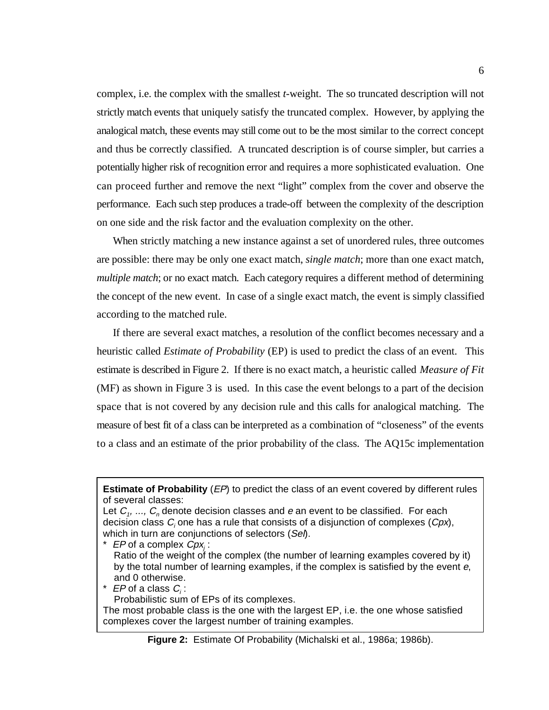complex, i.e. the complex with the smallest *t*-weight. The so truncated description will not strictly match events that uniquely satisfy the truncated complex. However, by applying the analogical match, these events may still come out to be the most similar to the correct concept and thus be correctly classified. A truncated description is of course simpler, but carries a potentially higher risk of recognition error and requires a more sophisticated evaluation. One can proceed further and remove the next "light" complex from the cover and observe the performance. Each such step produces a trade-off between the complexity of the description on one side and the risk factor and the evaluation complexity on the other.

When strictly matching a new instance against a set of unordered rules, three outcomes are possible: there may be only one exact match, *single match*; more than one exact match, *multiple match*; or no exact match. Each category requires a different method of determining the concept of the new event. In case of a single exact match, the event is simply classified according to the matched rule.

If there are several exact matches, a resolution of the conflict becomes necessary and a heuristic called *Estimate of Probability* (EP) is used to predict the class of an event. This estimate is described in Figure 2. If there is no exact match, a heuristic called *Measure of Fit* (MF) as shown in Figure 3 is used. In this case the event belongs to a part of the decision space that is not covered by any decision rule and this calls for analogical matching. The measure of best fit of a class can be interpreted as a combination of "closeness" of the events to a class and an estimate of the prior probability of the class. The AQ15c implementation

\*  $EP$  of a complex  $Cpx_i$ : Ratio of the weight of the complex (the number of learning examples covered by it) by the total number of learning examples, if the complex is satisfied by the event e, and 0 otherwise.

\*  $EP$  of a class  $C_i$ :

Probabilistic sum of EPs of its complexes.

The most probable class is the one with the largest EP, i.e. the one whose satisfied complexes cover the largest number of training examples.

**Figure 2:** Estimate Of Probability (Michalski et al., 1986a; 1986b).

**Estimate of Probability** (*EP*) to predict the class of an event covered by different rules of several classes:

Let  $C_1$ , ...,  $C_n$  denote decision classes and e an event to be classified. For each decision class  $C_i$  one has a rule that consists of a disjunction of complexes  $(Cpx)$ , which in turn are conjunctions of selectors (Sel).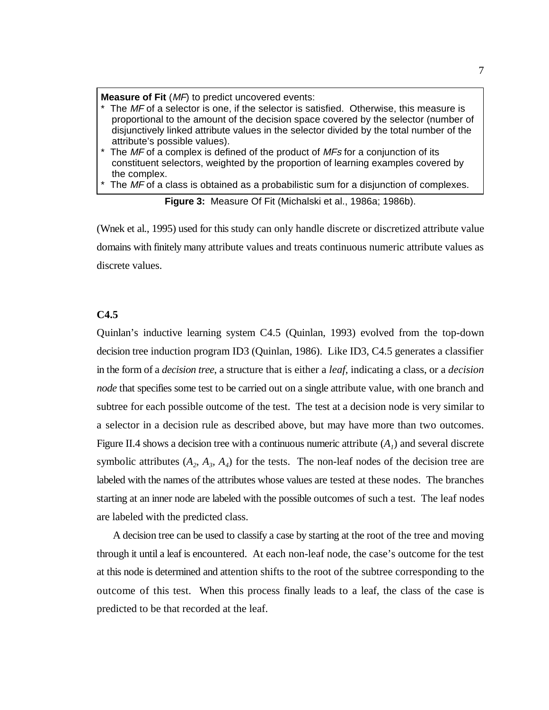**Measure of Fit** (MF) to predict uncovered events:

- $*$  The MF of a selector is one, if the selector is satisfied. Otherwise, this measure is proportional to the amount of the decision space covered by the selector (number of disjunctively linked attribute values in the selector divided by the total number of the attribute's possible values).
- $*$  The MF of a complex is defined of the product of MFs for a conjunction of its constituent selectors, weighted by the proportion of learning examples covered by the complex.
- $*$  The MF of a class is obtained as a probabilistic sum for a disjunction of complexes.

**Figure 3:** Measure Of Fit (Michalski et al., 1986a; 1986b).

(Wnek et al., 1995) used for this study can only handle discrete or discretized attribute value domains with finitely many attribute values and treats continuous numeric attribute values as discrete values.

#### **C4.5**

Quinlan's inductive learning system C4.5 (Quinlan, 1993) evolved from the top-down decision tree induction program ID3 (Quinlan, 1986). Like ID3, C4.5 generates a classifier in the form of a *decision tree*, a structure that is either a *leaf*, indicating a class, or a *decision node* that specifies some test to be carried out on a single attribute value, with one branch and subtree for each possible outcome of the test. The test at a decision node is very similar to a selector in a decision rule as described above, but may have more than two outcomes. Figure II.4 shows a decision tree with a continuous numeric attribute  $(A<sub>1</sub>)$  and several discrete symbolic attributes  $(A_2, A_3, A_4)$  for the tests. The non-leaf nodes of the decision tree are labeled with the names of the attributes whose values are tested at these nodes. The branches starting at an inner node are labeled with the possible outcomes of such a test. The leaf nodes are labeled with the predicted class.

A decision tree can be used to classify a case by starting at the root of the tree and moving through it until a leaf is encountered. At each non-leaf node, the case's outcome for the test at this node is determined and attention shifts to the root of the subtree corresponding to the outcome of this test. When this process finally leads to a leaf, the class of the case is predicted to be that recorded at the leaf.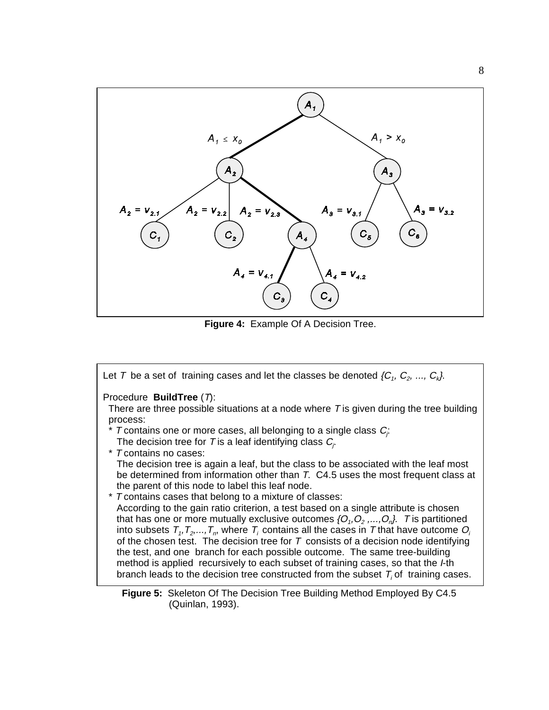

**Figure 4:** Example Of A Decision Tree.



(Quinlan, 1993).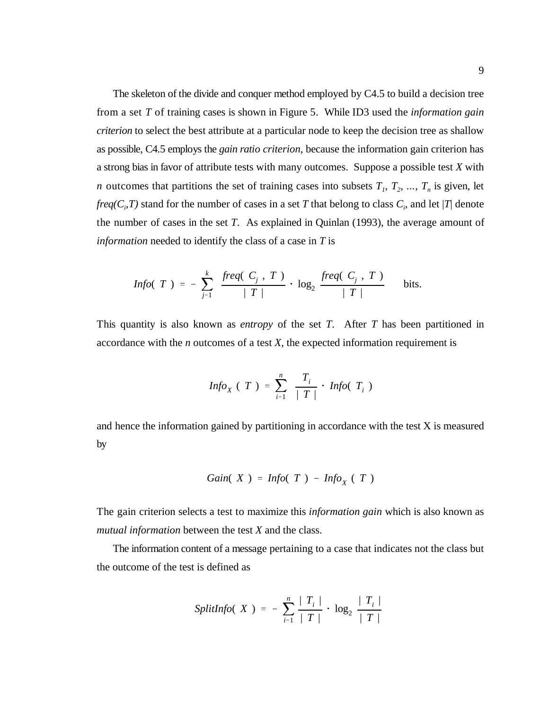The skeleton of the divide and conquer method employed by C4.5 to build a decision tree from a set *T* of training cases is shown in Figure 5. While ID3 used the *information gain criterion* to select the best attribute at a particular node to keep the decision tree as shallow as possible, C4.5 employs the *gain ratio criterion*, because the information gain criterion has a strong bias in favor of attribute tests with many outcomes. Suppose a possible test *X* with *n* outcomes that partitions the set of training cases into subsets  $T_1$ ,  $T_2$ , ...,  $T_n$  is given, let *freq(C<sub>i</sub>,T)* stand for the number of cases in a set *T* that belong to class  $C_i$ , and let |*T*| denote the number of cases in the set *T*. As explained in Quinlan (1993), the average amount of *information* needed to identify the class of a case in *T* is

$$
Info(T) = -\sum_{j=1}^{k} \frac{freq(C_j, T)}{|T|} \cdot \log_2 \frac{freq(C_j, T)}{|T|} \text{ bits.}
$$

This quantity is also known as *entropy* of the set *T*. After *T* has been partitioned in accordance with the *n* outcomes of a test *X*, the expected information requirement is

$$
Info_X (T) = \sum_{i=1}^{n} \frac{T_i}{|T|} \cdot Info(T_i)
$$

and hence the information gained by partitioning in accordance with the test X is measured by

Gain(X) = 
$$
Info(T) - Info_X(T)
$$

The gain criterion selects a test to maximize this *information gain* which is also known as *mutual information* between the test *X* and the class.

The information content of a message pertaining to a case that indicates not the class but the outcome of the test is defined as

SplitInfo(X) = 
$$
-\sum_{i=1}^{n} \frac{|T_i|}{|T|} \cdot \log_2 \frac{|T_i|}{|T|}
$$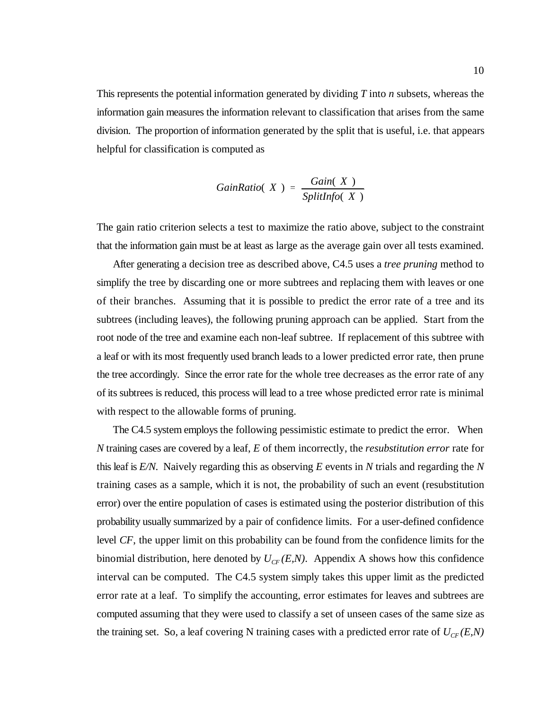This represents the potential information generated by dividing *T* into *n* subsets, whereas the information gain measures the information relevant to classification that arises from the same division. The proportion of information generated by the split that is useful, i.e. that appears helpful for classification is computed as

$$
GainRatio(X) = \frac{Gain(X)}{SplitInfo(X)}
$$

The gain ratio criterion selects a test to maximize the ratio above, subject to the constraint that the information gain must be at least as large as the average gain over all tests examined.

After generating a decision tree as described above, C4.5 uses a *tree pruning* method to simplify the tree by discarding one or more subtrees and replacing them with leaves or one of their branches. Assuming that it is possible to predict the error rate of a tree and its subtrees (including leaves), the following pruning approach can be applied. Start from the root node of the tree and examine each non-leaf subtree. If replacement of this subtree with a leaf or with its most frequently used branch leads to a lower predicted error rate, then prune the tree accordingly. Since the error rate for the whole tree decreases as the error rate of any of its subtrees is reduced, this process will lead to a tree whose predicted error rate is minimal with respect to the allowable forms of pruning.

The C4.5 system employs the following pessimistic estimate to predict the error. When *N* training cases are covered by a leaf, *E* of them incorrectly, the *resubstitution error* rate for this leaf is *E/N*. Naively regarding this as observing *E* events in *N* trials and regarding the *N* training cases as a sample, which it is not, the probability of such an event (resubstitution error) over the entire population of cases is estimated using the posterior distribution of this probability usually summarized by a pair of confidence limits. For a user-defined confidence level *CF*, the upper limit on this probability can be found from the confidence limits for the binomial distribution, here denoted by  $U_{CF}(E,N)$ . Appendix A shows how this confidence interval can be computed. The C4.5 system simply takes this upper limit as the predicted error rate at a leaf. To simplify the accounting, error estimates for leaves and subtrees are computed assuming that they were used to classify a set of unseen cases of the same size as the training set. So, a leaf covering N training cases with a predicted error rate of  $U_{CF}(E,N)$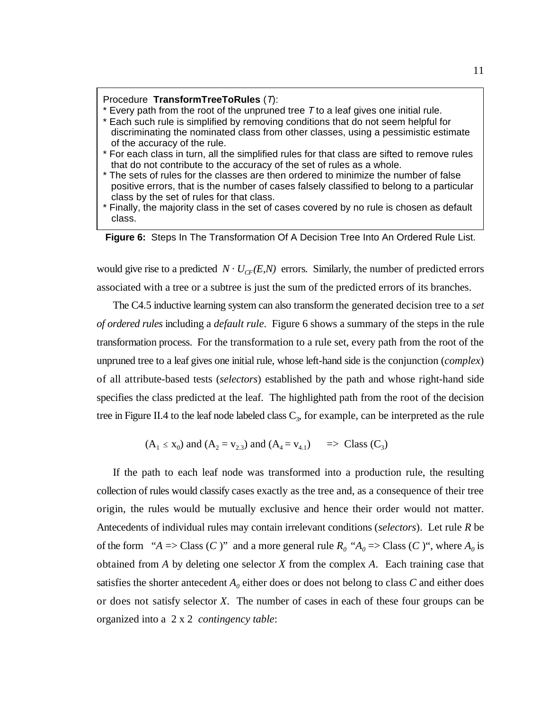#### Procedure **TransformTreeToRules** (T):

- $*$  Every path from the root of the unpruned tree  $T$  to a leaf gives one initial rule.
- \* Each such rule is simplified by removing conditions that do not seem helpful for discriminating the nominated class from other classes, using a pessimistic estimate of the accuracy of the rule.
- \* For each class in turn, all the simplified rules for that class are sifted to remove rules that do not contribute to the accuracy of the set of rules as a whole.
- \* The sets of rules for the classes are then ordered to minimize the number of false positive errors, that is the number of cases falsely classified to belong to a particular class by the set of rules for that class.
- \* Finally, the majority class in the set of cases covered by no rule is chosen as default class.

**Figure 6:** Steps In The Transformation Of A Decision Tree Into An Ordered Rule List.

would give rise to a predicted  $N \cdot U_{CF}(E,N)$  errors. Similarly, the number of predicted errors associated with a tree or a subtree is just the sum of the predicted errors of its branches.

The C4.5 inductive learning system can also transform the generated decision tree to a *set of ordered rules* including a *default rule*. Figure 6 shows a summary of the steps in the rule transformation process. For the transformation to a rule set, every path from the root of the unpruned tree to a leaf gives one initial rule, whose left-hand side is the conjunction (*complex*) of all attribute-based tests (*selectors*) established by the path and whose right-hand side specifies the class predicted at the leaf. The highlighted path from the root of the decision tree in Figure II.4 to the leaf node labeled class  $C_3$ , for example, can be interpreted as the rule

$$
(A_1 \le x_0)
$$
 and  $(A_2 = v_{2,3})$  and  $(A_4 = v_{4,1}) \implies$  Class  $(C_3)$ 

If the path to each leaf node was transformed into a production rule, the resulting collection of rules would classify cases exactly as the tree and, as a consequence of their tree origin, the rules would be mutually exclusive and hence their order would not matter. Antecedents of individual rules may contain irrelevant conditions (*selectors*). Let rule *R* be of the form " $A \Rightarrow$  Class (*C*)" and a more general rule  $R_0$  " $A_0 \Rightarrow$  Class (*C*)", where  $A_0$  is obtained from *A* by deleting one selector *X* from the complex *A*. Each training case that satisfies the shorter antecedent  $A_0$  either does or does not belong to class  $C$  and either does or does not satisfy selector *X*. The number of cases in each of these four groups can be organized into a 2 x 2 *contingency table*: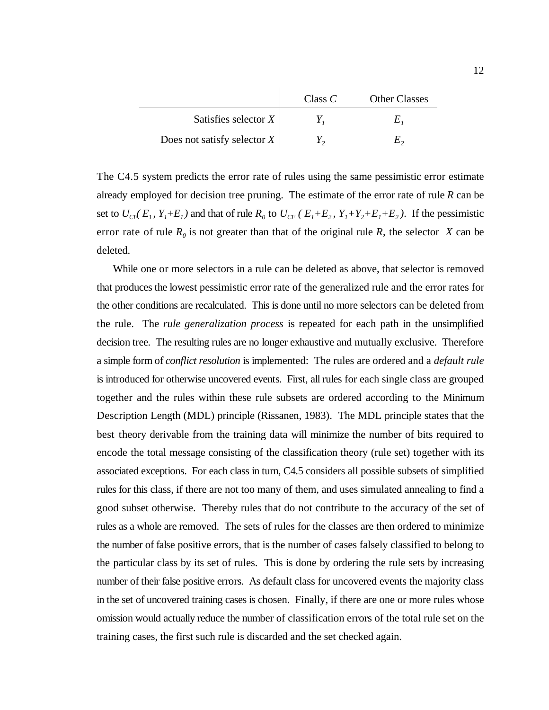|                               | Class $C$ | <b>Other Classes</b> |
|-------------------------------|-----------|----------------------|
| Satisfies selector $X$        |           |                      |
| Does not satisfy selector $X$ |           |                      |

The C4.5 system predicts the error rate of rules using the same pessimistic error estimate already employed for decision tree pruning. The estimate of the error rate of rule *R* can be set to  $U_{CF}(E_1, Y_1 + E_1)$  and that of rule  $R_0$  to  $U_{CF}(E_1 + E_2, Y_1 + Y_2 + E_1 + E_2)$ . If the pessimistic error rate of rule  $R_0$  is not greater than that of the original rule  $R$ , the selector  $X$  can be deleted.

While one or more selectors in a rule can be deleted as above, that selector is removed that produces the lowest pessimistic error rate of the generalized rule and the error rates for the other conditions are recalculated. This is done until no more selectors can be deleted from the rule. The *rule generalization process* is repeated for each path in the unsimplified decision tree. The resulting rules are no longer exhaustive and mutually exclusive. Therefore a simple form of *conflict resolution* is implemented: The rules are ordered and a *default rule* is introduced for otherwise uncovered events. First, all rules for each single class are grouped together and the rules within these rule subsets are ordered according to the Minimum Description Length (MDL) principle (Rissanen, 1983). The MDL principle states that the best theory derivable from the training data will minimize the number of bits required to encode the total message consisting of the classification theory (rule set) together with its associated exceptions. For each class in turn, C4.5 considers all possible subsets of simplified rules for this class, if there are not too many of them, and uses simulated annealing to find a good subset otherwise. Thereby rules that do not contribute to the accuracy of the set of rules as a whole are removed. The sets of rules for the classes are then ordered to minimize the number of false positive errors, that is the number of cases falsely classified to belong to the particular class by its set of rules. This is done by ordering the rule sets by increasing number of their false positive errors. As default class for uncovered events the majority class in the set of uncovered training cases is chosen. Finally, if there are one or more rules whose omission would actually reduce the number of classification errors of the total rule set on the training cases, the first such rule is discarded and the set checked again.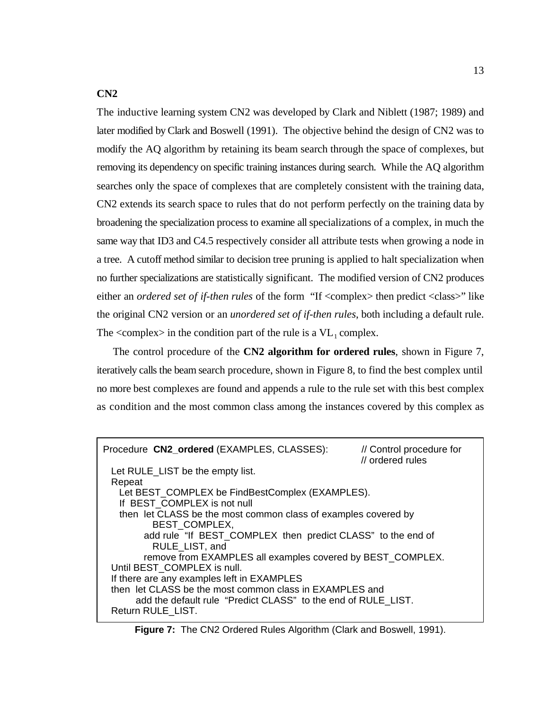### **CN2**

The inductive learning system CN2 was developed by Clark and Niblett (1987; 1989) and later modified by Clark and Boswell (1991). The objective behind the design of CN2 was to modify the AQ algorithm by retaining its beam search through the space of complexes, but removing its dependency on specific training instances during search. While the AQ algorithm searches only the space of complexes that are completely consistent with the training data, CN2 extends its search space to rules that do not perform perfectly on the training data by broadening the specialization process to examine all specializations of a complex, in much the same way that ID3 and C4.5 respectively consider all attribute tests when growing a node in a tree. A cutoff method similar to decision tree pruning is applied to halt specialization when no further specializations are statistically significant. The modified version of CN2 produces either an *ordered set of if-then rules* of the form "If <complex> then predict <class>" like the original CN2 version or an *unordered set of if-then rules*, both including a default rule. The  $\langle$ complex $>$  in the condition part of the rule is a VL<sub>1</sub> complex.

The control procedure of the **CN2 algorithm for ordered rules**, shown in Figure 7, iteratively calls the beam search procedure, shown in Figure 8, to find the best complex until no more best complexes are found and appends a rule to the rule set with this best complex as condition and the most common class among the instances covered by this complex as

| Procedure CN2_ordered (EXAMPLES, CLASSES):                     | // Control procedure for<br>// ordered rules |
|----------------------------------------------------------------|----------------------------------------------|
| Let RULE_LIST be the empty list.                               |                                              |
| Repeat                                                         |                                              |
| Let BEST_COMPLEX be FindBestComplex (EXAMPLES).                |                                              |
| If BEST COMPLEX is not null                                    |                                              |
| then let CLASS be the most common class of examples covered by |                                              |
| <b>BEST COMPLEX,</b>                                           |                                              |
| add rule "If BEST_COMPLEX then predict CLASS" to the end of    |                                              |
| RULE_LIST, and                                                 |                                              |
| remove from EXAMPLES all examples covered by BEST COMPLEX.     |                                              |
| Until BEST COMPLEX is null.                                    |                                              |
| If there are any examples left in EXAMPLES                     |                                              |
| then let CLASS be the most common class in EXAMPLES and        |                                              |
| add the default rule "Predict CLASS" to the end of RULE LIST.  |                                              |
| Return RULE LIST.                                              |                                              |

**Figure 7:** The CN2 Ordered Rules Algorithm (Clark and Boswell, 1991).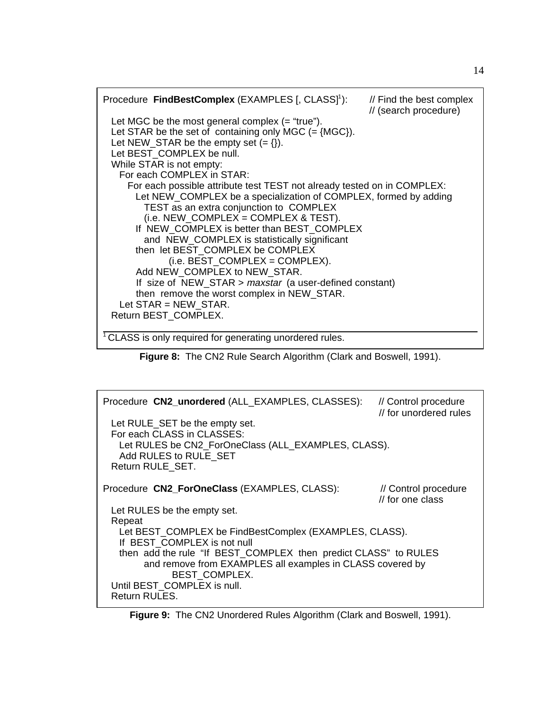

**Figure 8:** The CN2 Rule Search Algorithm (Clark and Boswell, 1991).

| Procedure CN2_unordered (ALL_EXAMPLES, CLASSES):<br>Let RULE_SET be the empty set.<br>For each CLASS in CLASSES:<br>Let RULES be CN2_ForOneClass (ALL_EXAMPLES, CLASS).<br>Add RULES to RULE SET<br>Return RULE SET.                                                                   | // Control procedure<br>// for unordered rules |
|----------------------------------------------------------------------------------------------------------------------------------------------------------------------------------------------------------------------------------------------------------------------------------------|------------------------------------------------|
| Procedure CN2_ForOneClass (EXAMPLES, CLASS):<br>Let RULES be the empty set.<br>Repeat                                                                                                                                                                                                  | // Control procedure<br>// for one class       |
| Let BEST_COMPLEX be FindBestComplex (EXAMPLES, CLASS).<br>If BEST COMPLEX is not null<br>then add the rule "If BEST_COMPLEX then predict CLASS" to RULES<br>and remove from EXAMPLES all examples in CLASS covered by<br>BEST COMPLEX.<br>Until BEST COMPLEX is null.<br>Return RULES. |                                                |

**Figure 9:** The CN2 Unordered Rules Algorithm (Clark and Boswell, 1991).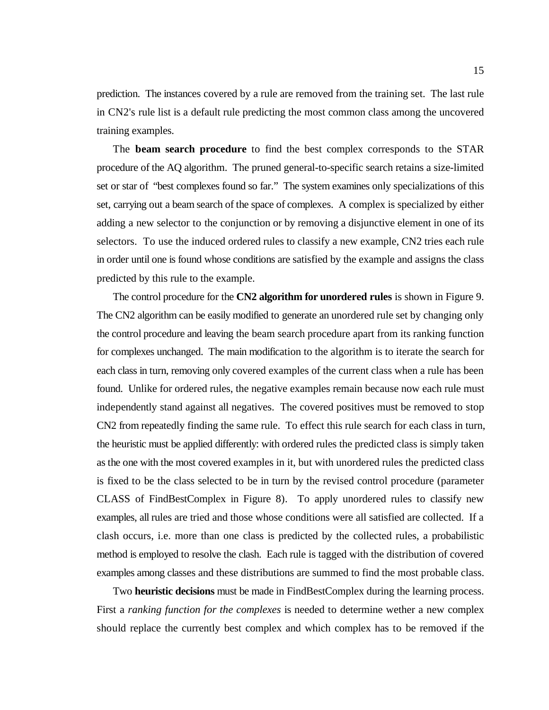prediction. The instances covered by a rule are removed from the training set. The last rule in CN2's rule list is a default rule predicting the most common class among the uncovered training examples.

The **beam search procedure** to find the best complex corresponds to the STAR procedure of the AQ algorithm. The pruned general-to-specific search retains a size-limited set or star of "best complexes found so far." The system examines only specializations of this set, carrying out a beam search of the space of complexes. A complex is specialized by either adding a new selector to the conjunction or by removing a disjunctive element in one of its selectors. To use the induced ordered rules to classify a new example, CN2 tries each rule in order until one is found whose conditions are satisfied by the example and assigns the class predicted by this rule to the example.

The control procedure for the **CN2 algorithm for unordered rules** is shown in Figure 9. The CN2 algorithm can be easily modified to generate an unordered rule set by changing only the control procedure and leaving the beam search procedure apart from its ranking function for complexes unchanged. The main modification to the algorithm is to iterate the search for each class in turn, removing only covered examples of the current class when a rule has been found. Unlike for ordered rules, the negative examples remain because now each rule must independently stand against all negatives. The covered positives must be removed to stop CN2 from repeatedly finding the same rule. To effect this rule search for each class in turn, the heuristic must be applied differently: with ordered rules the predicted class is simply taken as the one with the most covered examples in it, but with unordered rules the predicted class is fixed to be the class selected to be in turn by the revised control procedure (parameter CLASS of FindBestComplex in Figure 8). To apply unordered rules to classify new examples, all rules are tried and those whose conditions were all satisfied are collected. If a clash occurs, i.e. more than one class is predicted by the collected rules, a probabilistic method is employed to resolve the clash. Each rule is tagged with the distribution of covered examples among classes and these distributions are summed to find the most probable class.

Two **heuristic decisions** must be made in FindBestComplex during the learning process. First a *ranking function for the complexes* is needed to determine wether a new complex should replace the currently best complex and which complex has to be removed if the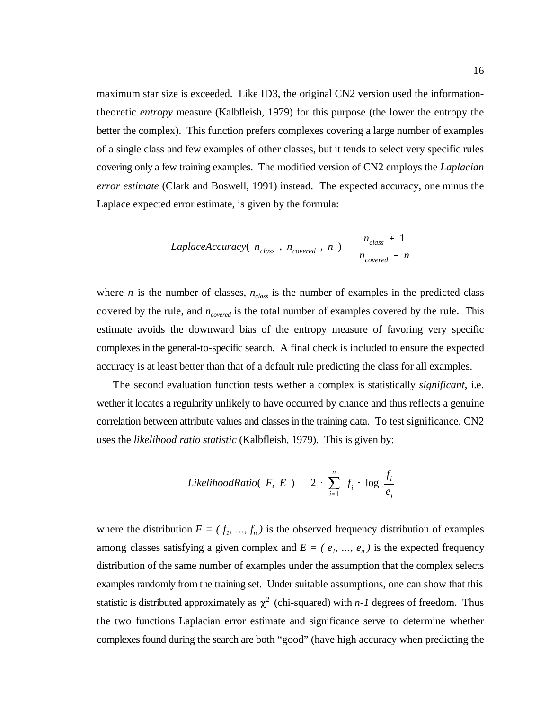maximum star size is exceeded. Like ID3, the original CN2 version used the informationtheoretic *entropy* measure (Kalbfleish, 1979) for this purpose (the lower the entropy the better the complex). This function prefers complexes covering a large number of examples of a single class and few examples of other classes, but it tends to select very specific rules covering only a few training examples. The modified version of CN2 employs the *Laplacian error estimate* (Clark and Boswell, 1991) instead. The expected accuracy, one minus the Laplace expected error estimate, is given by the formula:

LaplaceAccuracy(
$$
n_{class}
$$
,  $n_{covered}$ ,  $n$ ) =  $\frac{n_{class} + 1}{n_{covered} + n}$ 

where *n* is the number of classes,  $n_{class}$  is the number of examples in the predicted class covered by the rule, and  $n_{covered}$  is the total number of examples covered by the rule. This estimate avoids the downward bias of the entropy measure of favoring very specific complexes in the general-to-specific search. A final check is included to ensure the expected accuracy is at least better than that of a default rule predicting the class for all examples.

The second evaluation function tests wether a complex is statistically *significant*, i.e. wether it locates a regularity unlikely to have occurred by chance and thus reflects a genuine correlation between attribute values and classes in the training data. To test significance, CN2 uses the *likelihood ratio statistic* (Kalbfleish, 1979). This is given by:

LikelihoodRatio(
$$
F, E
$$
) = 2  $\sum_{i=1}^{n} f_i \cdot \log \frac{f_i}{e_i}$ 

statistic is distributed approximately as  $\chi^2$  (chi-squared) with *n-1* degrees of freedom. Thus where the distribution  $F = (f_1, ..., f_n)$  is the observed frequency distribution of examples among classes satisfying a given complex and  $E = (e_1, ..., e_n)$  is the expected frequency distribution of the same number of examples under the assumption that the complex selects examples randomly from the training set. Under suitable assumptions, one can show that this the two functions Laplacian error estimate and significance serve to determine whether complexes found during the search are both "good" (have high accuracy when predicting the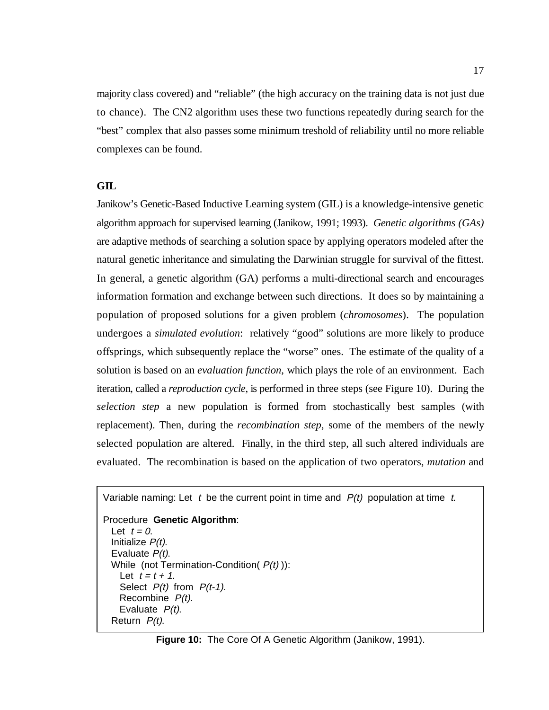majority class covered) and "reliable" (the high accuracy on the training data is not just due to chance). The CN2 algorithm uses these two functions repeatedly during search for the "best" complex that also passes some minimum treshold of reliability until no more reliable complexes can be found.

#### **GIL**

Janikow's Genetic-Based Inductive Learning system (GIL) is a knowledge-intensive genetic algorithm approach for supervised learning (Janikow, 1991; 1993).*Genetic algorithms (GAs)* are adaptive methods of searching a solution space by applying operators modeled after the natural genetic inheritance and simulating the Darwinian struggle for survival of the fittest. In general, a genetic algorithm (GA) performs a multi-directional search and encourages information formation and exchange between such directions. It does so by maintaining a population of proposed solutions for a given problem (*chromosomes*). The population undergoes a *simulated evolution*: relatively "good" solutions are more likely to produce offsprings, which subsequently replace the "worse" ones. The estimate of the quality of a solution is based on an *evaluation function*, which plays the role of an environment. Each iteration, called a *reproduction cycle*, is performed in three steps (see Figure 10). During the *selection step* a new population is formed from stochastically best samples (with replacement). Then, during the *recombination step*, some of the members of the newly selected population are altered. Finally, in the third step, all such altered individuals are evaluated. The recombination is based on the application of two operators, *mutation* and

```
Variable naming: Let t be the current point in time and P(t) population at time t.
```

```
Procedure Genetic Algorithm:
 Let t = 0.
  Initialize P(t).
   Evaluate P(t).
  While (not Termination-Condition(P(t))):
   Let t = t + 1.
   Select P(t) from P(t-1).
    Recombine P(t).
   Evaluate P(t).
   Return P(t).
```
**Figure 10:** The Core Of A Genetic Algorithm (Janikow, 1991).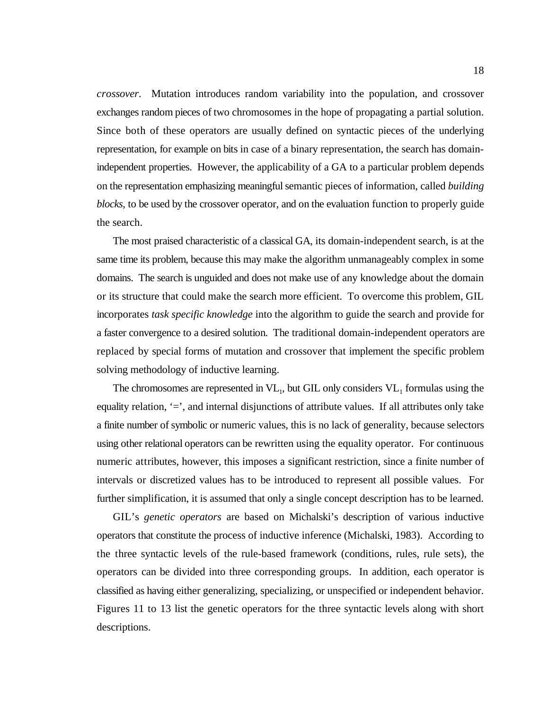*crossover*. Mutation introduces random variability into the population, and crossover exchanges random pieces of two chromosomes in the hope of propagating a partial solution. Since both of these operators are usually defined on syntactic pieces of the underlying representation, for example on bits in case of a binary representation, the search has domainindependent properties. However, the applicability of a GA to a particular problem depends on the representation emphasizing meaningful semantic pieces of information, called *building blocks*, to be used by the crossover operator, and on the evaluation function to properly guide the search.

The most praised characteristic of a classical GA, its domain-independent search, is at the same time its problem, because this may make the algorithm unmanageably complex in some domains. The search is unguided and does not make use of any knowledge about the domain or its structure that could make the search more efficient. To overcome this problem, GIL incorporates *task specific knowledge* into the algorithm to guide the search and provide for a faster convergence to a desired solution. The traditional domain-independent operators are replaced by special forms of mutation and crossover that implement the specific problem solving methodology of inductive learning.

The chromosomes are represented in  $VL_1$ , but GIL only considers  $VL_1$  formulas using the equality relation,  $\epsilon$ , and internal disjunctions of attribute values. If all attributes only take a finite number of symbolic or numeric values, this is no lack of generality, because selectors using other relational operators can be rewritten using the equality operator. For continuous numeric attributes, however, this imposes a significant restriction, since a finite number of intervals or discretized values has to be introduced to represent all possible values. For further simplification, it is assumed that only a single concept description has to be learned.

GIL's *genetic operators* are based on Michalski's description of various inductive operators that constitute the process of inductive inference (Michalski, 1983). According to the three syntactic levels of the rule-based framework (conditions, rules, rule sets), the operators can be divided into three corresponding groups. In addition, each operator is classified as having either generalizing, specializing, or unspecified or independent behavior. Figures 11 to 13 list the genetic operators for the three syntactic levels along with short descriptions.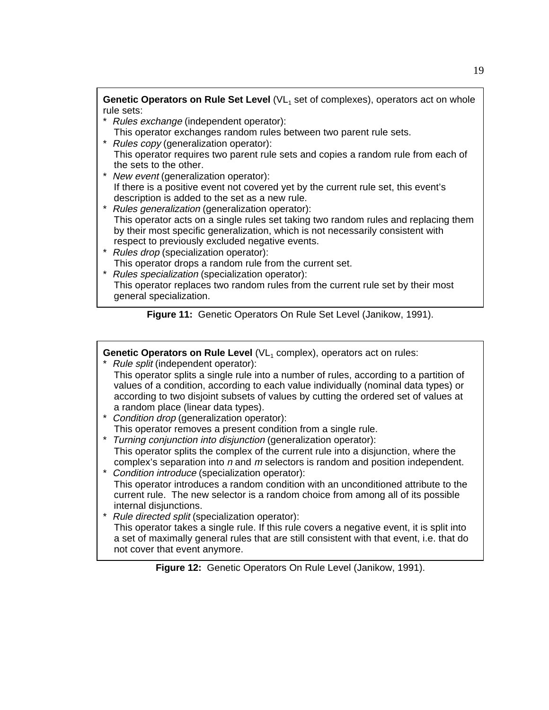**Genetic Operators on Rule Set Level** (VL, set of complexes), operators act on whole rule sets:

- \* Rules exchange (independent operator):
- This operator exchanges random rules between two parent rule sets. \* Rules copy (generalization operator):
- This operator requires two parent rule sets and copies a random rule from each of the sets to the other.
- \* New event (generalization operator): If there is a positive event not covered yet by the current rule set, this event's description is added to the set as a new rule.
- \* Rules generalization (generalization operator): This operator acts on a single rules set taking two random rules and replacing them by their most specific generalization, which is not necessarily consistent with respect to previously excluded negative events.
- \* Rules drop (specialization operator): This operator drops a random rule from the current set.
- \* Rules specialization (specialization operator): This operator replaces two random rules from the current rule set by their most general specialization.

**Figure 11:** Genetic Operators On Rule Set Level (Janikow, 1991).

**Genetic Operators on Rule Level** (VL, complex), operators act on rules:

- \* Rule split (independent operator): This operator splits a single rule into a number of rules, according to a partition of values of a condition, according to each value individually (nominal data types) or according to two disjoint subsets of values by cutting the ordered set of values at a random place (linear data types).
- \* Condition drop (generalization operator): This operator removes a present condition from a single rule.
- \* Turning conjunction into disjunction (generalization operator): This operator splits the complex of the current rule into a disjunction, where the complex's separation into n and m selectors is random and position independent.
- \* Condition introduce (specialization operator): This operator introduces a random condition with an unconditioned attribute to the current rule. The new selector is a random choice from among all of its possible internal disjunctions.
- \* Rule directed split (specialization operator):
	- This operator takes a single rule. If this rule covers a negative event, it is split into a set of maximally general rules that are still consistent with that event, i.e. that do not cover that event anymore.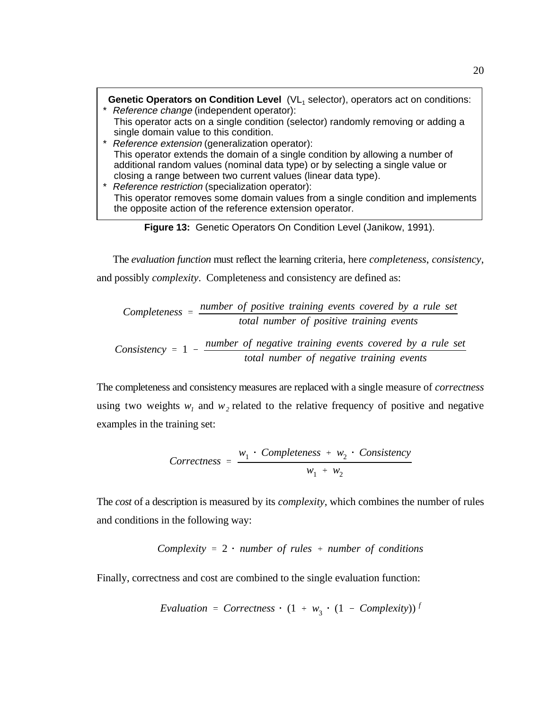**Genetic Operators on Condition Level** (VL selector), operators act on conditions: <sup>1</sup> \* Reference change (independent operator): This operator acts on a single condition (selector) randomly removing or adding a single domain value to this condition. \* Reference extension (generalization operator): This operator extends the domain of a single condition by allowing a number of additional random values (nominal data type) or by selecting a single value or closing a range between two current values (linear data type). \* Reference restriction (specialization operator): This operator removes some domain values from a single condition and implements the opposite action of the reference extension operator.



The *evaluation function* must reflect the learning criteria, here *completeness*, *consistency*, and possibly *complexity*. Completeness and consistency are defined as:

Completeness = 
$$
\frac{number\ of\ positive\ training\ events\ covered\ by\ a\ rule\ set}{total\ number\ of\ positive\ training\ events}
$$

\nNumber of *negative* training\ events\ covered\ by\ a\ rule\ so

Consistency = 
$$
1 - \frac{number\ of\ negative\ training\ events\ covered\ by\ a\ rule\ set}{total\ number\ of\ negative\ training\ events}
$$

The completeness and consistency measures are replaced with a single measure of *correctness* using two weights  $w_1$  and  $w_2$  related to the relative frequency of positive and negative examples in the training set:

*Correctness* = 
$$
\frac{w_1 \cdot Completeness + w_2 \cdot Consistency}{w_1 + w_2}
$$

The *cost* of a description is measured by its *complexity*, which combines the number of rules and conditions in the following way:

Complexity = 
$$
2 \cdot
$$
 number of rules + number of conditions

Finally, correctness and cost are combined to the single evaluation function:

$$
Evaluation = Correctness \cdot (1 + w_3 \cdot (1 - Complexity))^T
$$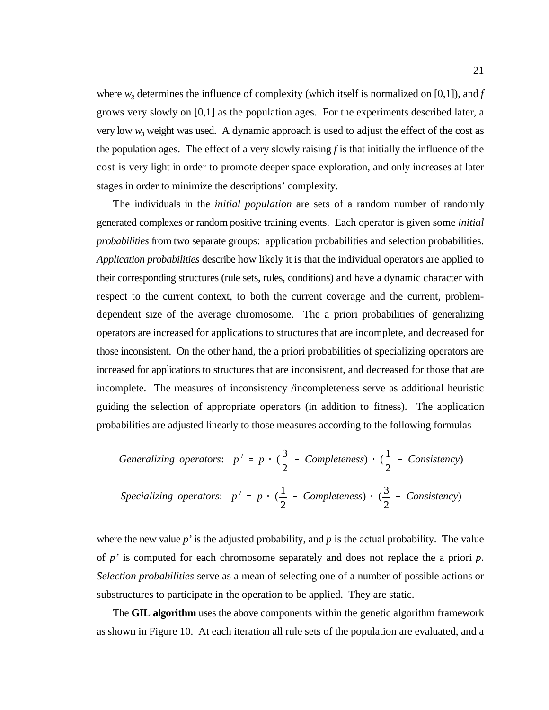where  $w_i$  determines the influence of complexity (which itself is normalized on [0,1]), and *f* grows very slowly on [0,1] as the population ages. For the experiments described later, a very low  $w_3$  weight was used. A dynamic approach is used to adjust the effect of the cost as the population ages. The effect of a very slowly raising *f* is that initially the influence of the cost is very light in order to promote deeper space exploration, and only increases at later stages in order to minimize the descriptions' complexity.

The individuals in the *initial population* are sets of a random number of randomly generated complexes or random positive training events. Each operator is given some *initial probabilities* from two separate groups: application probabilities and selection probabilities. *Application probabilities* describe how likely it is that the individual operators are applied to their corresponding structures (rule sets, rules, conditions) and have a dynamic character with respect to the current context, to both the current coverage and the current, problemdependent size of the average chromosome. The a priori probabilities of generalizing operators are increased for applications to structures that are incomplete, and decreased for those inconsistent. On the other hand, the a priori probabilities of specializing operators are increased for applications to structures that are inconsistent, and decreased for those that are incomplete. The measures of inconsistency /incompleteness serve as additional heuristic guiding the selection of appropriate operators (in addition to fitness). The application probabilities are adjusted linearly to those measures according to the following formulas

Generalizing operators: 
$$
p' = p \cdot (\frac{3}{2} - Completeness) \cdot (\frac{1}{2} + Consistency)
$$
  
Specializing operators:  $p' = p \cdot (\frac{1}{2} + Completeness) \cdot (\frac{3}{2} - Consistency)$ 

where the new value  $p'$  is the adjusted probability, and  $p$  is the actual probability. The value of *p'* is computed for each chromosome separately and does not replace the a priori *p*. *Selection probabilities* serve as a mean of selecting one of a number of possible actions or substructures to participate in the operation to be applied. They are static.

The **GIL algorithm** uses the above components within the genetic algorithm framework as shown in Figure 10. At each iteration all rule sets of the population are evaluated, and a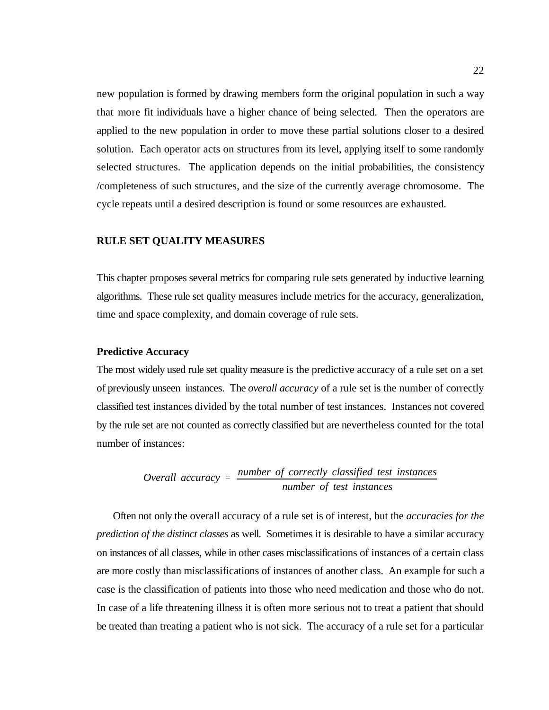new population is formed by drawing members form the original population in such a way that more fit individuals have a higher chance of being selected. Then the operators are applied to the new population in order to move these partial solutions closer to a desired solution. Each operator acts on structures from its level, applying itself to some randomly selected structures. The application depends on the initial probabilities, the consistency /completeness of such structures, and the size of the currently average chromosome. The cycle repeats until a desired description is found or some resources are exhausted.

#### **RULE SET QUALITY MEASURES**

This chapter proposes several metrics for comparing rule sets generated by inductive learning algorithms. These rule set quality measures include metrics for the accuracy, generalization, time and space complexity, and domain coverage of rule sets.

#### **Predictive Accuracy**

The most widely used rule set quality measure is the predictive accuracy of a rule set on a set of previously unseen instances. The *overall accuracy* of a rule set is the number of correctly classified test instances divided by the total number of test instances. Instances not covered by the rule set are not counted as correctly classified but are nevertheless counted for the total number of instances:

Overall accuracy = 
$$
\frac{number\ of\ correctly\ classified\ test\ instances}{number\ of\ test\ instances}
$$

Often not only the overall accuracy of a rule set is of interest, but the *accuracies for the prediction of the distinct classes* as well. Sometimes it is desirable to have a similar accuracy on instances of all classes, while in other cases misclassifications of instances of a certain class are more costly than misclassifications of instances of another class. An example for such a case is the classification of patients into those who need medication and those who do not. In case of a life threatening illness it is often more serious not to treat a patient that should be treated than treating a patient who is not sick. The accuracy of a rule set for a particular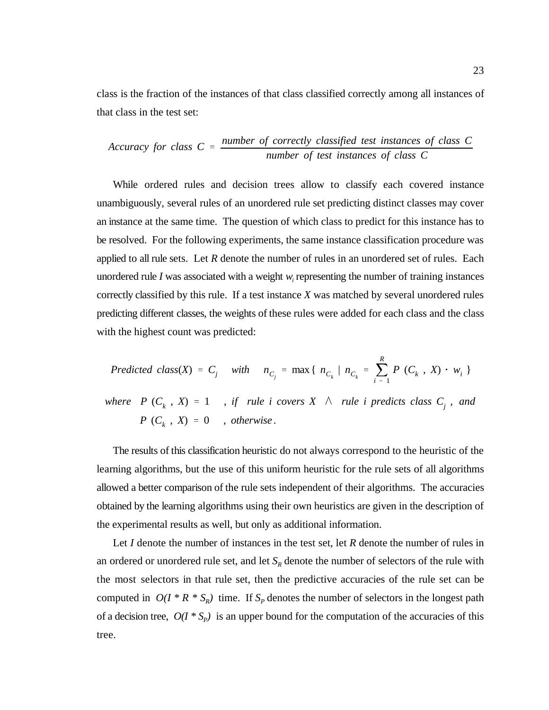class is the fraction of the instances of that class classified correctly among all instances of that class in the test set:

$$
Accuracy for class C = \frac{number of correctly classified test instances of class C}{number of test instances of class C}
$$

While ordered rules and decision trees allow to classify each covered instance unambiguously, several rules of an unordered rule set predicting distinct classes may cover an instance at the same time. The question of which class to predict for this instance has to be resolved. For the following experiments, the same instance classification procedure was applied to all rule sets. Let *R* denote the number of rules in an unordered set of rules. Each unordered rule *I* was associated with a weight *w* representing the number of training instances correctly classified by this rule. If a test instance *X* was matched by several unordered rules predicting different classes, the weights of these rules were added for each class and the class with the highest count was predicted:

Predicted class(X) = C<sub>j</sub> with 
$$
n_{C_j} = \max\{n_{C_k} | n_{C_k} = \sum_{i=1}^R P(C_k, X) \cdot w_i\}
$$
  
\nwhere  $P(C_k, X) = 1$ , if rule *i* covers  $X \wedge$  rule *i* predicts class  $C_j$ , and  $P(C_k, X) = 0$ , otherwise.

The results of this classification heuristic do not always correspond to the heuristic of the learning algorithms, but the use of this uniform heuristic for the rule sets of all algorithms allowed a better comparison of the rule sets independent of their algorithms. The accuracies obtained by the learning algorithms using their own heuristics are given in the description of the experimental results as well, but only as additional information.

Let *I* denote the number of instances in the test set, let *R* denote the number of rules in an ordered or unordered rule set, and let  $S_R$  denote the number of selectors of the rule with the most selectors in that rule set, then the predictive accuracies of the rule set can be computed in  $O(I * R * S_R)$  time. If  $S_P$  denotes the number of selectors in the longest path of a decision tree,  $O(I * S_p)$  is an upper bound for the computation of the accuracies of this tree.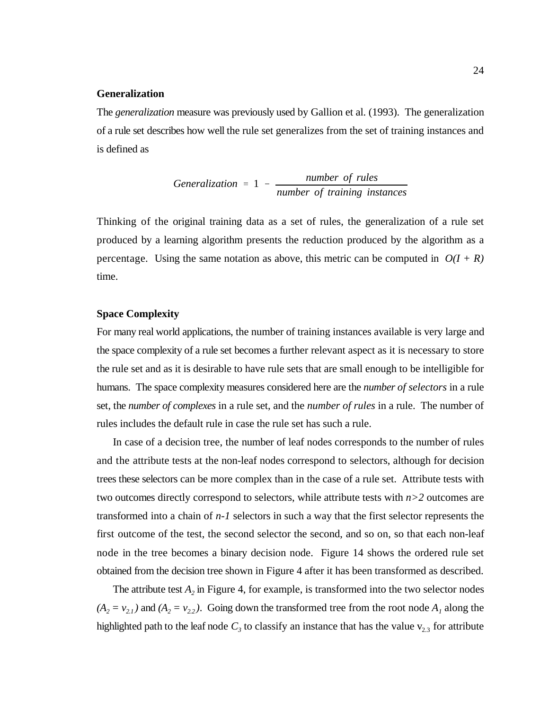#### **Generalization**

The *generalization* measure was previously used by Gallion et al. (1993). The generalization of a rule set describes how well the rule set generalizes from the set of training instances and is defined as

Generalization = 
$$
1 - \frac{number \ of \ rules}{number \ of \ training \ instances}
$$

Thinking of the original training data as a set of rules, the generalization of a rule set produced by a learning algorithm presents the reduction produced by the algorithm as a percentage. Using the same notation as above, this metric can be computed in  $O(I + R)$ time.

#### **Space Complexity**

For many real world applications, the number of training instances available is very large and the space complexity of a rule set becomes a further relevant aspect as it is necessary to store the rule set and as it is desirable to have rule sets that are small enough to be intelligible for humans. The space complexity measures considered here are the *number of selectors* in a rule set, the *number of complexes* in a rule set, and the *number of rules* in a rule. The number of rules includes the default rule in case the rule set has such a rule.

In case of a decision tree, the number of leaf nodes corresponds to the number of rules and the attribute tests at the non-leaf nodes correspond to selectors, although for decision trees these selectors can be more complex than in the case of a rule set. Attribute tests with two outcomes directly correspond to selectors, while attribute tests with *n>2* outcomes are transformed into a chain of *n-1* selectors in such a way that the first selector represents the first outcome of the test, the second selector the second, and so on, so that each non-leaf node in the tree becomes a binary decision node. Figure 14 shows the ordered rule set obtained from the decision tree shown in Figure 4 after it has been transformed as described.

The attribute test  $A_2$  in Figure 4, for example, is transformed into the two selector nodes  $(A_2 = v_{2,1})$  and  $(A_2 = v_{2,2})$ . Going down the transformed tree from the root node  $A_1$  along the highlighted path to the leaf node  $C_3$  to classify an instance that has the value  $v_{2,3}$  for attribute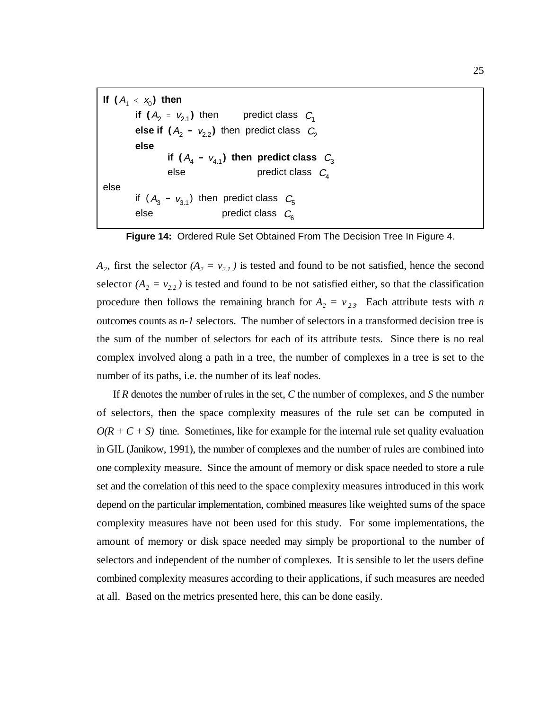```
If (A_1 \leq x_0) then
        if (A_2 = v_{2.1}) then predict class C_1else if (A_2 = v_{2,2}) then predict class C_2if (A_4 = v_{4.1}) then predict class \mathcal{C}^{\phantom{\dagger}}_3else predict class C_4if (A_3 = v_{3.1}) then predict class C_5else predict class \,C_{\!6}^{}else
else
```
**Figure 14:** Ordered Rule Set Obtained From The Decision Tree In Figure 4.

 $A_2$ , first the selector  $(A_2 = v_{2,1})$  is tested and found to be not satisfied, hence the second selector  $(A_2 = v_{2,2})$  is tested and found to be not satisfied either, so that the classification procedure then follows the remaining branch for  $A_2 = v_{2,3}$ . Each attribute tests with *n* outcomes counts as *n-1* selectors. The number of selectors in a transformed decision tree is the sum of the number of selectors for each of its attribute tests. Since there is no real complex involved along a path in a tree, the number of complexes in a tree is set to the number of its paths, i.e. the number of its leaf nodes.

If *R* denotes the number of rules in the set, *C* the number of complexes, and *S* the number of selectors, then the space complexity measures of the rule set can be computed in  $O(R + C + S)$  time. Sometimes, like for example for the internal rule set quality evaluation in GIL (Janikow, 1991), the number of complexes and the number of rules are combined into one complexity measure. Since the amount of memory or disk space needed to store a rule set and the correlation of this need to the space complexity measures introduced in this work depend on the particular implementation, combined measures like weighted sums of the space complexity measures have not been used for this study. For some implementations, the amount of memory or disk space needed may simply be proportional to the number of selectors and independent of the number of complexes. It is sensible to let the users define combined complexity measures according to their applications, if such measures are needed at all. Based on the metrics presented here, this can be done easily.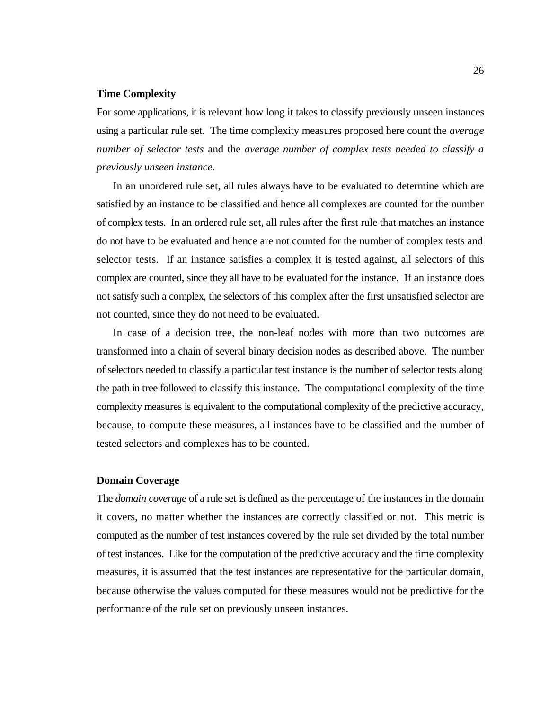#### **Time Complexity**

For some applications, it is relevant how long it takes to classify previously unseen instances using a particular rule set. The time complexity measures proposed here count the *average number of selector tests* and the *average number of complex tests needed to classify a previously unseen instance.*

In an unordered rule set, all rules always have to be evaluated to determine which are satisfied by an instance to be classified and hence all complexes are counted for the number of complex tests. In an ordered rule set, all rules after the first rule that matches an instance do not have to be evaluated and hence are not counted for the number of complex tests and selector tests. If an instance satisfies a complex it is tested against, all selectors of this complex are counted, since they all have to be evaluated for the instance. If an instance does not satisfy such a complex, the selectors of this complex after the first unsatisfied selector are not counted, since they do not need to be evaluated.

In case of a decision tree, the non-leaf nodes with more than two outcomes are transformed into a chain of several binary decision nodes as described above. The number of selectors needed to classify a particular test instance is the number of selector tests along the path in tree followed to classify this instance. The computational complexity of the time complexity measures is equivalent to the computational complexity of the predictive accuracy, because, to compute these measures, all instances have to be classified and the number of tested selectors and complexes has to be counted.

#### **Domain Coverage**

The *domain coverage* of a rule set is defined as the percentage of the instances in the domain it covers, no matter whether the instances are correctly classified or not. This metric is computed as the number of test instances covered by the rule set divided by the total number of test instances. Like for the computation of the predictive accuracy and the time complexity measures, it is assumed that the test instances are representative for the particular domain, because otherwise the values computed for these measures would not be predictive for the performance of the rule set on previously unseen instances.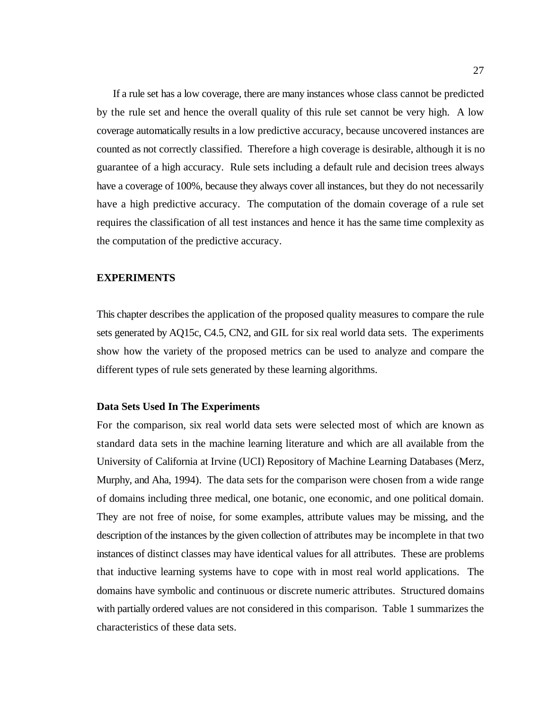If a rule set has a low coverage, there are many instances whose class cannot be predicted by the rule set and hence the overall quality of this rule set cannot be very high. A low coverage automatically results in a low predictive accuracy, because uncovered instances are counted as not correctly classified. Therefore a high coverage is desirable, although it is no guarantee of a high accuracy. Rule sets including a default rule and decision trees always have a coverage of 100%, because they always cover all instances, but they do not necessarily have a high predictive accuracy. The computation of the domain coverage of a rule set requires the classification of all test instances and hence it has the same time complexity as the computation of the predictive accuracy.

### **EXPERIMENTS**

This chapter describes the application of the proposed quality measures to compare the rule sets generated by AQ15c, C4.5, CN2, and GIL for six real world data sets. The experiments show how the variety of the proposed metrics can be used to analyze and compare the different types of rule sets generated by these learning algorithms.

#### **Data Sets Used In The Experiments**

For the comparison, six real world data sets were selected most of which are known as standard data sets in the machine learning literature and which are all available from the University of California at Irvine (UCI) Repository of Machine Learning Databases (Merz, Murphy, and Aha, 1994). The data sets for the comparison were chosen from a wide range of domains including three medical, one botanic, one economic, and one political domain. They are not free of noise, for some examples, attribute values may be missing, and the description of the instances by the given collection of attributes may be incomplete in that two instances of distinct classes may have identical values for all attributes. These are problems that inductive learning systems have to cope with in most real world applications. The domains have symbolic and continuous or discrete numeric attributes. Structured domains with partially ordered values are not considered in this comparison. Table 1 summarizes the characteristics of these data sets.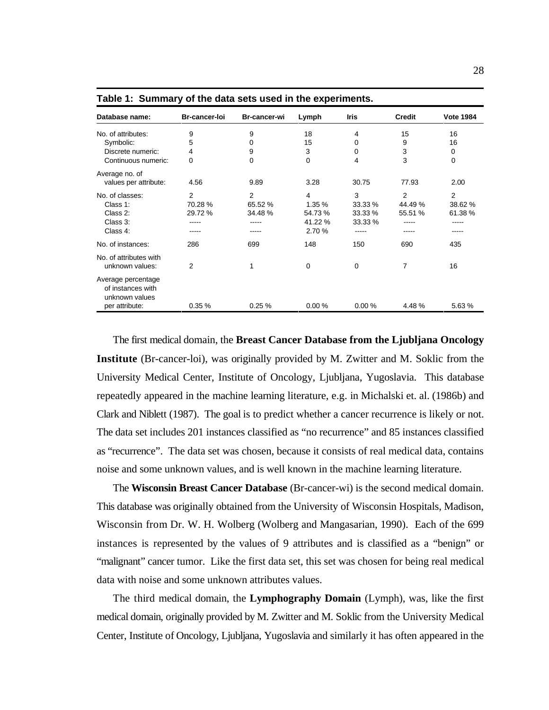| Database name:                                                              | Br-cancer-loi          | Br-cancer-wi           | Lymph                                     | <b>Iris</b>                        | <b>Credit</b>           | <b>Vote 1984</b>                |
|-----------------------------------------------------------------------------|------------------------|------------------------|-------------------------------------------|------------------------------------|-------------------------|---------------------------------|
| No. of attributes:                                                          | 9                      | 9                      | 18                                        | 4                                  | 15                      | 16                              |
| Symbolic:                                                                   | 5                      | 0                      | 15                                        | 0                                  | 9                       | 16                              |
| Discrete numeric:                                                           | 4                      | 9                      | 3                                         | 0                                  | 3                       | 0                               |
| Continuous numeric:                                                         | 0                      | 0                      | 0                                         | 4                                  | 3                       | 0                               |
| Average no. of<br>values per attribute:                                     | 4.56                   | 9.89                   | 3.28                                      | 30.75                              | 77.93                   | 2.00                            |
| No. of classes:<br>Class 1:<br>Class 2:<br>Class 3:<br>Class 4:             | 2<br>70.28%<br>29.72 % | 2<br>65.52 %<br>34.48% | 4<br>1.35 %<br>54.73%<br>41.22 %<br>2.70% | 3<br>33.33 %<br>33.33 %<br>33.33 % | 2<br>44.49 %<br>55.51 % | 2<br>38.62 %<br>61.38%<br>----- |
| No. of instances:                                                           | 286                    | 699                    | 148                                       | 150                                | 690                     | 435                             |
| No. of attributes with<br>unknown values:                                   | 2                      | 1                      | 0                                         | 0                                  | 7                       | 16                              |
| Average percentage<br>of instances with<br>unknown values<br>per attribute: | 0.35%                  | 0.25%                  | 0.00%                                     | 0.00%                              | 4.48%                   | 5.63%                           |

**Table 1: Summary of the data sets used in the experiments.**

The first medical domain, the **Breast Cancer Database from the Ljubljana Oncology Institute** (Br-cancer-loi), was originally provided by M. Zwitter and M. Soklic from the University Medical Center, Institute of Oncology, Ljubljana, Yugoslavia. This database repeatedly appeared in the machine learning literature, e.g. in Michalski et. al. (1986b) and Clark and Niblett (1987). The goal is to predict whether a cancer recurrence is likely or not. The data set includes 201 instances classified as "no recurrence" and 85 instances classified as "recurrence". The data set was chosen, because it consists of real medical data, contains noise and some unknown values, and is well known in the machine learning literature.

The **Wisconsin Breast Cancer Database** (Br-cancer-wi) is the second medical domain. This database was originally obtained from the University of Wisconsin Hospitals, Madison, Wisconsin from Dr. W. H. Wolberg (Wolberg and Mangasarian, 1990). Each of the 699 instances is represented by the values of 9 attributes and is classified as a "benign" or "malignant" cancer tumor. Like the first data set, this set was chosen for being real medical data with noise and some unknown attributes values.

The third medical domain, the **Lymphography Domain** (Lymph), was, like the first medical domain, originally provided by M. Zwitter and M. Soklic from the University Medical Center, Institute of Oncology, Ljubljana, Yugoslavia and similarly it has often appeared in the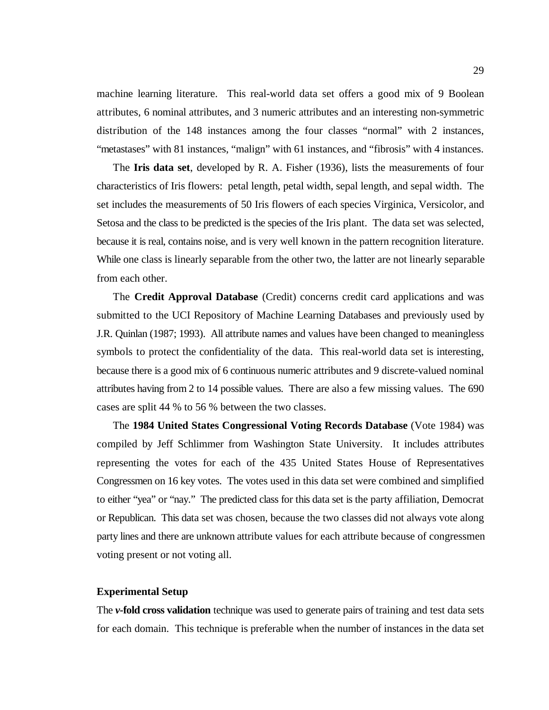machine learning literature. This real-world data set offers a good mix of 9 Boolean attributes, 6 nominal attributes, and 3 numeric attributes and an interesting non-symmetric distribution of the 148 instances among the four classes "normal" with 2 instances, "metastases" with 81 instances, "malign" with 61 instances, and "fibrosis" with 4 instances.

The **Iris data set**, developed by R. A. Fisher (1936), lists the measurements of four characteristics of Iris flowers: petal length, petal width, sepal length, and sepal width. The set includes the measurements of 50 Iris flowers of each species Virginica, Versicolor, and Setosa and the class to be predicted is the species of the Iris plant. The data set was selected, because it is real, contains noise, and is very well known in the pattern recognition literature. While one class is linearly separable from the other two, the latter are not linearly separable from each other.

The **Credit Approval Database** (Credit) concerns credit card applications and was submitted to the UCI Repository of Machine Learning Databases and previously used by J.R. Quinlan (1987; 1993). All attribute names and values have been changed to meaningless symbols to protect the confidentiality of the data. This real-world data set is interesting, because there is a good mix of 6 continuous numeric attributes and 9 discrete-valued nominal attributes having from 2 to 14 possible values. There are also a few missing values. The 690 cases are split 44 % to 56 % between the two classes.

The **1984 United States Congressional Voting Records Database** (Vote 1984) was compiled by Jeff Schlimmer from Washington State University. It includes attributes representing the votes for each of the 435 United States House of Representatives Congressmen on 16 key votes. The votes used in this data set were combined and simplified to either "yea" or "nay." The predicted class for this data set is the party affiliation, Democrat or Republican. This data set was chosen, because the two classes did not always vote along party lines and there are unknown attribute values for each attribute because of congressmen voting present or not voting all.

#### **Experimental Setup**

The *v***-fold cross validation** technique was used to generate pairs of training and test data sets for each domain. This technique is preferable when the number of instances in the data set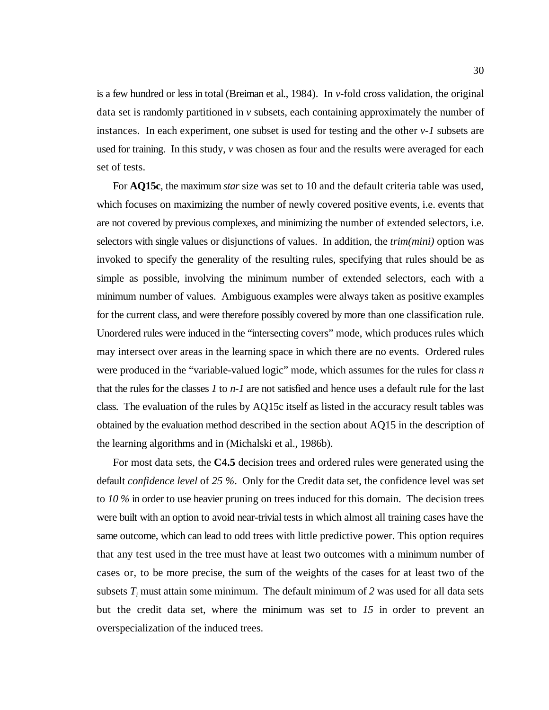is a few hundred or less in total (Breiman et al., 1984). In *v*-fold cross validation, the original data set is randomly partitioned in *v* subsets, each containing approximately the number of instances. In each experiment, one subset is used for testing and the other *v-1* subsets are used for training. In this study, *v* was chosen as four and the results were averaged for each set of tests.

For **AQ15c**, the maximum *star* size was set to 10 and the default criteria table was used, which focuses on maximizing the number of newly covered positive events, i.e. events that are not covered by previous complexes, and minimizing the number of extended selectors, i.e. selectors with single values or disjunctions of values. In addition, the *trim(mini)* option was invoked to specify the generality of the resulting rules, specifying that rules should be as simple as possible, involving the minimum number of extended selectors, each with a minimum number of values. Ambiguous examples were always taken as positive examples for the current class, and were therefore possibly covered by more than one classification rule. Unordered rules were induced in the "intersecting covers" mode, which produces rules which may intersect over areas in the learning space in which there are no events. Ordered rules were produced in the "variable-valued logic" mode, which assumes for the rules for class *n* that the rules for the classes *1* to *n-1* are not satisfied and hence uses a default rule for the last class. The evaluation of the rules by AQ15c itself as listed in the accuracy result tables was obtained by the evaluation method described in the section about AQ15 in the description of the learning algorithms and in (Michalski et al., 1986b).

For most data sets, the **C4.5** decision trees and ordered rules were generated using the default *confidence level* of *25 %*. Only for the Credit data set, the confidence level was set to *10 %* in order to use heavier pruning on trees induced for this domain. The decision trees were built with an option to avoid near-trivial tests in which almost all training cases have the same outcome, which can lead to odd trees with little predictive power. This option requires that any test used in the tree must have at least two outcomes with a minimum number of cases or, to be more precise, the sum of the weights of the cases for at least two of the subsets  $T_i$  must attain some minimum. The default minimum of 2 was used for all data sets but the credit data set, where the minimum was set to *15* in order to prevent an overspecialization of the induced trees.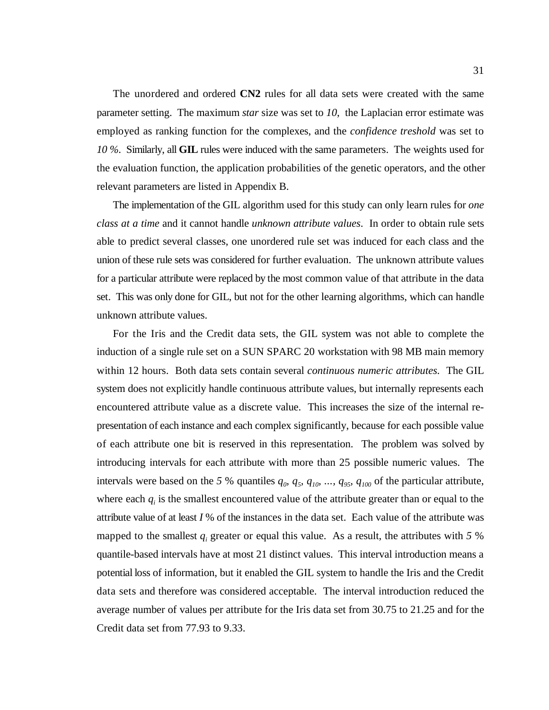The unordered and ordered **CN2** rules for all data sets were created with the same parameter setting. The maximum *star* size was set to *10*, the Laplacian error estimate was employed as ranking function for the complexes, and the *confidence treshold* was set to *10 %*. Similarly, all **GIL** rules were induced with the same parameters. The weights used for the evaluation function, the application probabilities of the genetic operators, and the other relevant parameters are listed in Appendix B.

The implementation of the GIL algorithm used for this study can only learn rules for *one class at a time* and it cannot handle *unknown attribute values*. In order to obtain rule sets able to predict several classes, one unordered rule set was induced for each class and the union of these rule sets was considered for further evaluation. The unknown attribute values for a particular attribute were replaced by the most common value of that attribute in the data set. This was only done for GIL, but not for the other learning algorithms, which can handle unknown attribute values.

For the Iris and the Credit data sets, the GIL system was not able to complete the induction of a single rule set on a SUN SPARC 20 workstation with 98 MB main memory within 12 hours. Both data sets contain several *continuous numeric attributes.* The GIL system does not explicitly handle continuous attribute values, but internally represents each encountered attribute value as a discrete value. This increases the size of the internal representation of each instance and each complex significantly, because for each possible value of each attribute one bit is reserved in this representation. The problem was solved by introducing intervals for each attribute with more than 25 possible numeric values. The intervals were based on the 5 % quantiles  $q_0$ ,  $q_5$ ,  $q_{10}$ , ...,  $q_{95}$ ,  $q_{100}$  of the particular attribute, where each  $q_i$  is the smallest encountered value of the attribute greater than or equal to the attribute value of at least *I* % of the instances in the data set. Each value of the attribute was mapped to the smallest  $q_i$  greater or equal this value. As a result, the attributes with  $5\%$ quantile-based intervals have at most 21 distinct values. This interval introduction means a potential loss of information, but it enabled the GIL system to handle the Iris and the Credit data sets and therefore was considered acceptable. The interval introduction reduced the average number of values per attribute for the Iris data set from 30.75 to 21.25 and for the Credit data set from 77.93 to 9.33.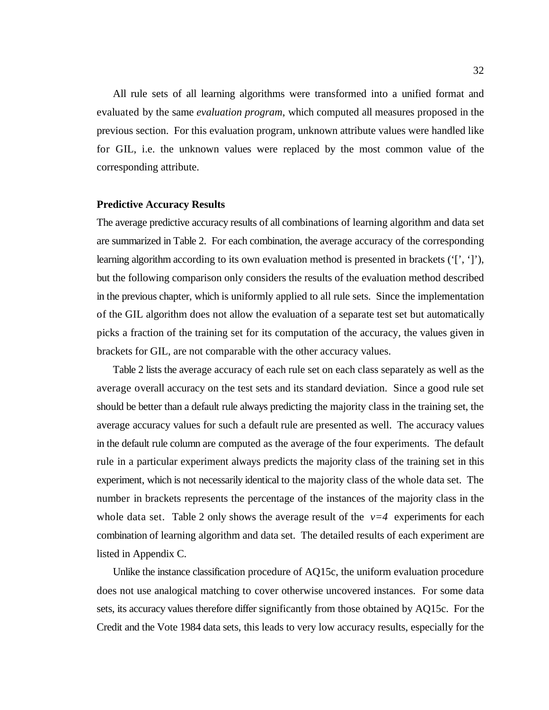All rule sets of all learning algorithms were transformed into a unified format and evaluated by the same *evaluation program*, which computed all measures proposed in the previous section. For this evaluation program, unknown attribute values were handled like for GIL, i.e. the unknown values were replaced by the most common value of the corresponding attribute.

### **Predictive Accuracy Results**

The average predictive accuracy results of all combinations of learning algorithm and data set are summarized in Table 2. For each combination, the average accuracy of the corresponding learning algorithm according to its own evaluation method is presented in brackets ('[', ']'), but the following comparison only considers the results of the evaluation method described in the previous chapter, which is uniformly applied to all rule sets. Since the implementation of the GIL algorithm does not allow the evaluation of a separate test set but automatically picks a fraction of the training set for its computation of the accuracy, the values given in brackets for GIL, are not comparable with the other accuracy values.

Table 2 lists the average accuracy of each rule set on each class separately as well as the average overall accuracy on the test sets and its standard deviation. Since a good rule set should be better than a default rule always predicting the majority class in the training set, the average accuracy values for such a default rule are presented as well. The accuracy values in the default rule column are computed as the average of the four experiments. The default rule in a particular experiment always predicts the majority class of the training set in this experiment, which is not necessarily identical to the majority class of the whole data set. The number in brackets represents the percentage of the instances of the majority class in the whole data set. Table 2 only shows the average result of the  $v=4$  experiments for each combination of learning algorithm and data set. The detailed results of each experiment are listed in Appendix C.

Unlike the instance classification procedure of AQ15c, the uniform evaluation procedure does not use analogical matching to cover otherwise uncovered instances. For some data sets, its accuracy values therefore differ significantly from those obtained by AQ15c. For the Credit and the Vote 1984 data sets, this leads to very low accuracy results, especially for the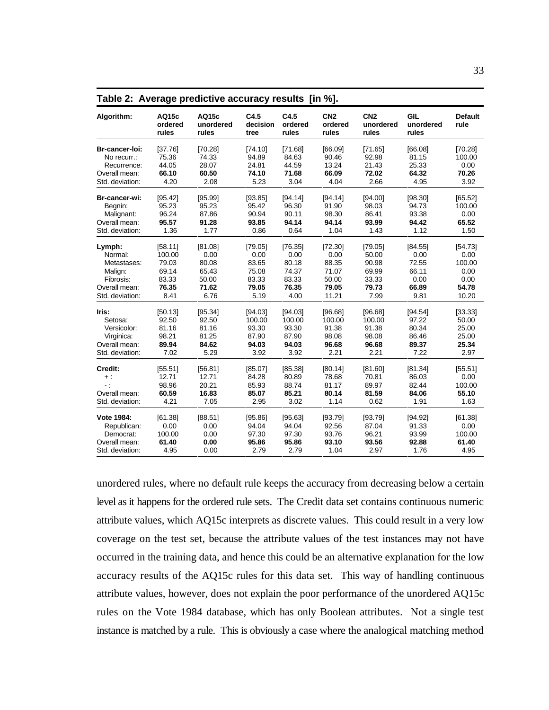| Algorithm:               | AQ15c<br>ordered<br>rules | AQ15c<br>unordered<br>rules | C4.5<br>decision<br>tree | C4.5<br>ordered<br>rules | CN <sub>2</sub><br>ordered<br>rules | CN <sub>2</sub><br>unordered<br>rules | GIL<br>unordered<br>rules | <b>Default</b><br>rule |
|--------------------------|---------------------------|-----------------------------|--------------------------|--------------------------|-------------------------------------|---------------------------------------|---------------------------|------------------------|
| Br-cancer-loi:           | [37.76]                   | [70.28]                     | [74.10]                  | [71.68]                  | [66.09]                             | [71.65]                               | [66.08]                   | [70.28]                |
| No recurr.:              | 75.36                     | 74.33                       | 94.89                    | 84.63                    | 90.46                               | 92.98                                 | 81.15                     | 100.00                 |
| Recurrence:              | 44.05                     | 28.07                       | 24.81                    | 44.59                    | 13.24                               | 21.43                                 | 25.33                     | 0.00                   |
| Overall mean:            | 66.10                     | 60.50                       | 74.10                    | 71.68                    | 66.09                               | 72.02                                 | 64.32                     | 70.26                  |
| Std. deviation:          | 4.20                      | 2.08                        | 5.23                     | 3.04                     | 4.04                                | 2.66                                  | 4.95                      | 3.92                   |
| Br-cancer-wi:            | [95.42]                   | [95.99]                     | [93.85]                  | [94.14]                  | [94.14]                             | [94.00]                               | [98.30]                   | [65.52]                |
| Begnin:                  | 95.23                     | 95.23                       | 95.42                    | 96.30                    | 91.90                               | 98.03                                 | 94.73                     | 100.00                 |
| Malignant:               | 96.24                     | 87.86                       | 90.94                    | 90.11                    | 98.30                               | 86.41                                 | 93.38                     | 0.00                   |
| Overall mean:            | 95.57                     | 91.28                       | 93.85                    | 94.14                    | 94.14                               | 93.99                                 | 94.42                     | 65.52                  |
| Std. deviation:          | 1.36                      | 1.77                        | 0.86                     | 0.64                     | 1.04                                | 1.43                                  | 1.12                      | 1.50                   |
| Lymph:                   | [58.11]                   | [81.08]                     | [79.05]                  | [76.35]                  | [72.30]                             | [79.05]                               | [84.55]                   | [54.73]                |
| Normal:                  | 100.00                    | 0.00                        | 0.00                     | 0.00                     | 0.00                                | 50.00                                 | 0.00                      | 0.00                   |
| Metastases:              | 79.03                     | 80.08                       | 83.65                    | 80.18                    | 88.35                               | 90.98                                 | 72.55                     | 100.00                 |
| Malign:                  | 69.14                     | 65.43                       | 75.08                    | 74.37                    | 71.07                               | 69.99                                 | 66.11                     | 0.00                   |
| Fibrosis:                | 83.33                     | 50.00                       | 83.33                    | 83.33                    | 50.00                               | 33.33                                 | 0.00                      | 0.00                   |
| Overall mean:            | 76.35                     | 71.62                       | 79.05                    | 76.35                    | 79.05                               | 79.73                                 | 66.89                     | 54.78                  |
| Std. deviation:          | 8.41                      | 6.76                        | 5.19                     | 4.00                     | 11.21                               | 7.99                                  | 9.81                      | 10.20                  |
| Iris:                    | [50.13]                   | [95.34]                     | [94.03]                  | [94.03]                  | [96.68]                             | [96.68]                               | [94.54]                   | [33.33]                |
| Setosa:                  | 92.50                     | 92.50                       | 100.00                   | 100.00                   | 100.00                              | 100.00                                | 97.22                     | 50.00                  |
| Versicolor:              | 81.16                     | 81.16                       | 93.30                    | 93.30                    | 91.38                               | 91.38                                 | 80.34                     | 25.00                  |
| Virginica:               | 98.21                     | 81.25                       | 87.90                    | 87.90                    | 98.08                               | 98.08                                 | 86.46                     | 25.00                  |
| Overall mean:            | 89.94                     | 84.62                       | 94.03                    | 94.03                    | 96.68                               | 96.68                                 | 89.37                     | 25.34                  |
| Std. deviation:          | 7.02                      | 5.29                        | 3.92                     | 3.92                     | 2.21                                | 2.21                                  | 7.22                      | 2.97                   |
| Credit:                  | [55.51]                   | [56.81]                     | [85.07]                  | [85.38]                  | [80.14]                             | [81.60]                               | [81.34]                   | [55.51]                |
| $+$ :                    | 12.71                     | 12.71                       | 84.28                    | 80.89                    | 78.68                               | 70.81                                 | 86.03                     | 0.00                   |
| $\overline{\phantom{a}}$ | 98.96                     | 20.21                       | 85.93                    | 88.74                    | 81.17                               | 89.97                                 | 82.44                     | 100.00                 |
| Overall mean:            | 60.59                     | 16.83                       | 85.07                    | 85.21                    | 80.14                               | 81.59                                 | 84.06                     | 55.10                  |
| Std. deviation:          | 4.21                      | 7.05                        | 2.95                     | 3.02                     | 1.14                                | 0.62                                  | 1.91                      | 1.63                   |
| Vote 1984:               | [61.38]                   | [88.51]                     | [95.86]                  | [95.63]                  | [93.79]                             | [93.79]                               | [94.92]                   | [61.38]                |
| Republican:              | 0.00                      | 0.00                        | 94.04                    | 94.04                    | 92.56                               | 87.04                                 | 91.33                     | 0.00                   |
| Democrat:                | 100.00                    | 0.00                        | 97.30                    | 97.30                    | 93.76                               | 96.21                                 | 93.99                     | 100.00                 |
| Overall mean:            | 61.40                     | 0.00                        | 95.86                    | 95.86                    | 93.10                               | 93.56                                 | 92.88                     | 61.40                  |
| Std. deviation:          | 4.95                      | 0.00                        | 2.79                     | 2.79                     | 1.04                                | 2.97                                  | 1.76                      | 4.95                   |

**Table 2: Average predictive accuracy results [in %].**

unordered rules, where no default rule keeps the accuracy from decreasing below a certain level as it happens for the ordered rule sets. The Credit data set contains continuous numeric attribute values, which AQ15c interprets as discrete values. This could result in a very low coverage on the test set, because the attribute values of the test instances may not have occurred in the training data, and hence this could be an alternative explanation for the low accuracy results of the AQ15c rules for this data set. This way of handling continuous attribute values, however, does not explain the poor performance of the unordered AQ15c rules on the Vote 1984 database, which has only Boolean attributes. Not a single test instance is matched by a rule. This is obviously a case where the analogical matching method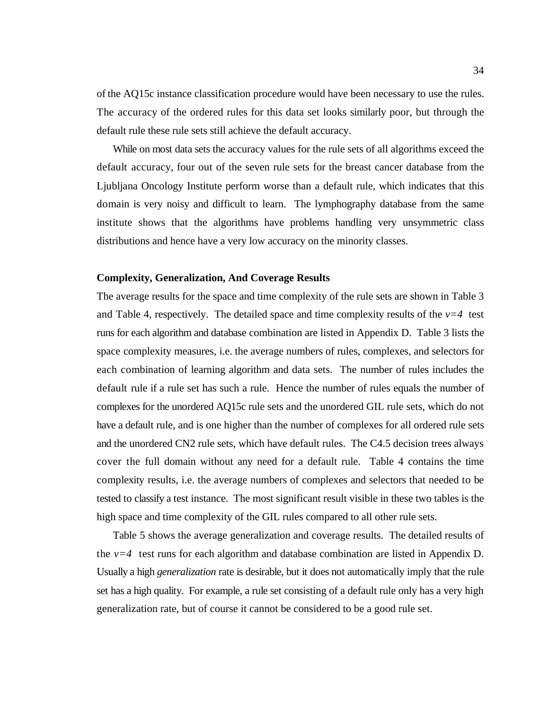of the AQ15c instance classification procedure would have been necessary to use the rules. The accuracy of the ordered rules for this data set looks similarly poor, but through the default rule these rule sets still achieve the default accuracy.

While on most data sets the accuracy values for the rule sets of all algorithms exceed the default accuracy, four out of the seven rule sets for the breast cancer database from the Ljubljana Oncology Institute perform worse than a default rule, which indicates that this domain is very noisy and difficult to learn. The lymphography database from the same institute shows that the algorithms have problems handling very unsymmetric class distributions and hence have a very low accuracy on the minority classes.

### **Complexity, Generalization, And Coverage Results**

The average results for the space and time complexity of the rule sets are shown in Table 3 and Table 4, respectively. The detailed space and time complexity results of the  $v=4$  test runs for each algorithm and database combination are listed in Appendix D. Table 3 lists the space complexity measures, i.e. the average numbers of rules, complexes, and selectors for each combination of learning algorithm and data sets. The number of rules includes the default rule if a rule set has such a rule. Hence the number of rules equals the number of complexes for the unordered AQ15c rule sets and the unordered GIL rule sets, which do not have a default rule, and is one higher than the number of complexes for all ordered rule sets and the unordered CN2 rule sets, which have default rules. The C4.5 decision trees always cover the full domain without any need for a default rule. Table 4 contains the time complexity results, i.e. the average numbers of complexes and selectors that needed to be tested to classify a test instance. The most significant result visible in these two tables is the high space and time complexity of the GIL rules compared to all other rule sets.

Table 5 shows the average generalization and coverage results. The detailed results of the  $v=4$  test runs for each algorithm and database combination are listed in Appendix D. Usually a high *generalization* rate is desirable, but it does not automatically imply that the rule set has a high quality. For example, a rule set consisting of a default rule only has a very high generalization rate, but of course it cannot be considered to be a good rule set.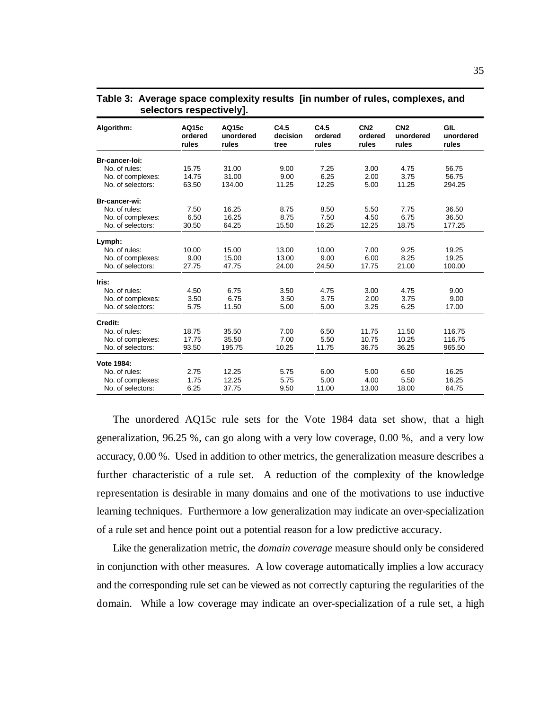| Algorithm:        | AQ15c<br>ordered<br>rules | AQ15c<br>unordered<br>rules | C4.5<br>decision<br>tree | C4.5<br>ordered<br>rules | CN <sub>2</sub><br>ordered<br>rules | CN <sub>2</sub><br>unordered<br>rules | <b>GIL</b><br>unordered<br>rules |
|-------------------|---------------------------|-----------------------------|--------------------------|--------------------------|-------------------------------------|---------------------------------------|----------------------------------|
| Br-cancer-loi:    |                           |                             |                          |                          |                                     |                                       |                                  |
| No. of rules:     | 15.75                     | 31.00                       | 9.00                     | 7.25                     | 3.00                                | 4.75                                  | 56.75                            |
| No. of complexes: | 14.75                     | 31.00                       | 9.00                     | 6.25                     | 2.00                                | 3.75                                  | 56.75                            |
| No. of selectors: | 63.50                     | 134.00                      | 11.25                    | 12.25                    | 5.00                                | 11.25                                 | 294.25                           |
| Br-cancer-wi:     |                           |                             |                          |                          |                                     |                                       |                                  |
| No. of rules:     | 7.50                      | 16.25                       | 8.75                     | 8.50                     | 5.50                                | 7.75                                  | 36.50                            |
| No. of complexes: | 6.50                      | 16.25                       | 8.75                     | 7.50                     | 4.50                                | 6.75                                  | 36.50                            |
| No. of selectors: | 30.50                     | 64.25                       | 15.50                    | 16.25                    | 12.25                               | 18.75                                 | 177.25                           |
| Lymph:            |                           |                             |                          |                          |                                     |                                       |                                  |
| No. of rules:     | 10.00                     | 15.00                       | 13.00                    | 10.00                    | 7.00                                | 9.25                                  | 19.25                            |
| No. of complexes: | 9.00                      | 15.00                       | 13.00                    | 9.00                     | 6.00                                | 8.25                                  | 19.25                            |
| No. of selectors: | 27.75                     | 47.75                       | 24.00                    | 24.50                    | 17.75                               | 21.00                                 | 100.00                           |
| Iris:             |                           |                             |                          |                          |                                     |                                       |                                  |
| No. of rules:     | 4.50                      | 6.75                        | 3.50                     | 4.75                     | 3.00                                | 4.75                                  | 9.00                             |
| No. of complexes: | 3.50                      | 6.75                        | 3.50                     | 3.75                     | 2.00                                | 3.75                                  | 9.00                             |
| No. of selectors: | 5.75                      | 11.50                       | 5.00                     | 5.00                     | 3.25                                | 6.25                                  | 17.00                            |
| Credit:           |                           |                             |                          |                          |                                     |                                       |                                  |
| No. of rules:     | 18.75                     | 35.50                       | 7.00                     | 6.50                     | 11.75                               | 11.50                                 | 116.75                           |
| No. of complexes: | 17.75                     | 35.50                       | 7.00                     | 5.50                     | 10.75                               | 10.25                                 | 116.75                           |
| No. of selectors: | 93.50                     | 195.75                      | 10.25                    | 11.75                    | 36.75                               | 36.25                                 | 965.50                           |
| Vote 1984:        |                           |                             |                          |                          |                                     |                                       |                                  |
| No. of rules:     | 2.75                      | 12.25                       | 5.75                     | 6.00                     | 5.00                                | 6.50                                  | 16.25                            |
| No. of complexes: | 1.75                      | 12.25                       | 5.75                     | 5.00                     | 4.00                                | 5.50                                  | 16.25                            |
| No. of selectors: | 6.25                      | 37.75                       | 9.50                     | 11.00                    | 13.00                               | 18.00                                 | 64.75                            |

**Table 3: Average space complexity results [in number of rules, complexes, and selectors respectively].**

The unordered AQ15c rule sets for the Vote 1984 data set show, that a high generalization, 96.25 %, can go along with a very low coverage, 0.00 %, and a very low accuracy, 0.00 %. Used in addition to other metrics, the generalization measure describes a further characteristic of a rule set. A reduction of the complexity of the knowledge representation is desirable in many domains and one of the motivations to use inductive learning techniques. Furthermore a low generalization may indicate an over-specialization of a rule set and hence point out a potential reason for a low predictive accuracy.

Like the generalization metric, the *domain coverage* measure should only be considered in conjunction with other measures. A low coverage automatically implies a low accuracy and the corresponding rule set can be viewed as not correctly capturing the regularities of the domain. While a low coverage may indicate an over-specialization of a rule set, a high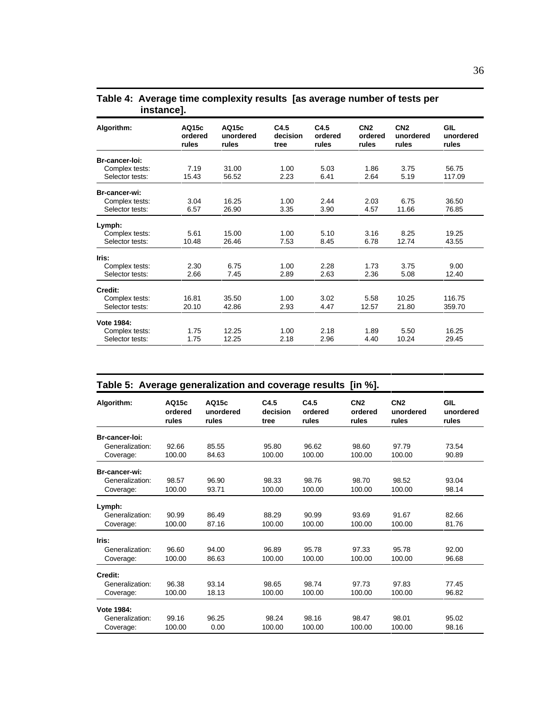| Algorithm:                                  | AQ15c<br>ordered<br>rules | AQ15c<br>unordered<br>rules | C4.5<br>decision<br>tree | C4.5<br>ordered<br>rules | CN <sub>2</sub><br>ordered<br>rules | CN <sub>2</sub><br>unordered<br>rules | GIL<br>unordered<br>rules |
|---------------------------------------------|---------------------------|-----------------------------|--------------------------|--------------------------|-------------------------------------|---------------------------------------|---------------------------|
| Br-cancer-loi:                              |                           |                             |                          |                          |                                     |                                       |                           |
| Complex tests:                              | 7.19                      | 31.00                       | 1.00                     | 5.03                     | 1.86                                | 3.75                                  | 56.75                     |
| Selector tests:                             | 15.43                     | 56.52                       | 2.23                     | 6.41                     | 2.64                                | 5.19                                  | 117.09                    |
| Br-cancer-wi:                               |                           |                             |                          |                          |                                     |                                       |                           |
| Complex tests:                              | 3.04                      | 16.25                       | 1.00                     | 2.44                     | 2.03                                | 6.75                                  | 36.50                     |
| Selector tests:                             | 6.57                      | 26.90                       | 3.35                     | 3.90                     | 4.57                                | 11.66                                 | 76.85                     |
| Lymph:<br>Complex tests:<br>Selector tests: | 5.61<br>10.48             | 15.00<br>26.46              | 1.00<br>7.53             | 5.10<br>8.45             | 3.16<br>6.78                        | 8.25<br>12.74                         | 19.25<br>43.55            |
| Iris:                                       |                           |                             |                          |                          |                                     |                                       |                           |
| Complex tests:                              | 2.30                      | 6.75                        | 1.00                     | 2.28                     | 1.73                                | 3.75                                  | 9.00                      |
| Selector tests:                             | 2.66                      | 7.45                        | 2.89                     | 2.63                     | 2.36                                | 5.08                                  | 12.40                     |
| Credit:                                     |                           |                             |                          |                          |                                     |                                       |                           |
| Complex tests:                              | 16.81                     | 35.50                       | 1.00                     | 3.02                     | 5.58                                | 10.25                                 | 116.75                    |
| Selector tests:                             | 20.10                     | 42.86                       | 2.93                     | 4.47                     | 12.57                               | 21.80                                 | 359.70                    |
| Vote 1984:                                  |                           |                             |                          |                          |                                     |                                       |                           |
| Complex tests:                              | 1.75                      | 12.25                       | 1.00                     | 2.18                     | 1.89                                | 5.50                                  | 16.25                     |
| Selector tests:                             | 1.75                      | 12.25                       | 2.18                     | 2.96                     | 4.40                                | 10.24                                 | 29.45                     |
|                                             |                           |                             |                          |                          |                                     |                                       |                           |

### **Table 4: Average time complexity results [as average number of tests per instance].**

| Table 5: Average generalization and coverage results [in %]. |                           |                             |                          |                          |                                     |                                       |                           |
|--------------------------------------------------------------|---------------------------|-----------------------------|--------------------------|--------------------------|-------------------------------------|---------------------------------------|---------------------------|
| Algorithm:                                                   | AQ15c<br>ordered<br>rules | AQ15c<br>unordered<br>rules | C4.5<br>decision<br>tree | C4.5<br>ordered<br>rules | CN <sub>2</sub><br>ordered<br>rules | CN <sub>2</sub><br>unordered<br>rules | GIL<br>unordered<br>rules |
| Br-cancer-loi:                                               |                           |                             |                          |                          |                                     |                                       |                           |
| Generalization:                                              | 92.66                     | 85.55                       | 95.80                    | 96.62                    | 98.60                               | 97.79                                 | 73.54                     |
| Coverage:                                                    | 100.00                    | 84.63                       | 100.00                   | 100.00                   | 100.00                              | 100.00                                | 90.89                     |
| Br-cancer-wi:                                                |                           |                             |                          |                          |                                     |                                       |                           |
| Generalization:                                              | 98.57                     | 96.90                       | 98.33                    | 98.76                    | 98.70                               | 98.52                                 | 93.04                     |
| Coverage:                                                    | 100.00                    | 93.71                       | 100.00                   | 100.00                   | 100.00                              | 100.00                                | 98.14                     |
| Lymph:                                                       |                           |                             |                          |                          |                                     |                                       |                           |
| Generalization:                                              | 90.99                     | 86.49                       | 88.29                    | 90.99                    | 93.69                               | 91.67                                 | 82.66                     |
| Coverage:                                                    | 100.00                    | 87.16                       | 100.00                   | 100.00                   | 100.00                              | 100.00                                | 81.76                     |
| Iris:                                                        |                           |                             |                          |                          |                                     |                                       |                           |
| Generalization:                                              | 96.60                     | 94.00                       | 96.89                    | 95.78                    | 97.33                               | 95.78                                 | 92.00                     |
| Coverage:                                                    | 100.00                    | 86.63                       | 100.00                   | 100.00                   | 100.00                              | 100.00                                | 96.68                     |
| Credit:                                                      |                           |                             |                          |                          |                                     |                                       |                           |
| Generalization:                                              | 96.38                     | 93.14                       | 98.65                    | 98.74                    | 97.73                               | 97.83                                 | 77.45                     |
| Coverage:                                                    | 100.00                    | 18.13                       | 100.00                   | 100.00                   | 100.00                              | 100.00                                | 96.82                     |
| Vote 1984:                                                   |                           |                             |                          |                          |                                     |                                       |                           |
| Generalization:                                              | 99.16                     | 96.25                       | 98.24                    | 98.16                    | 98.47                               | 98.01                                 | 95.02                     |
| Coverage:                                                    | 100.00                    | 0.00                        | 100.00                   | 100.00                   | 100.00                              | 100.00                                | 98.16                     |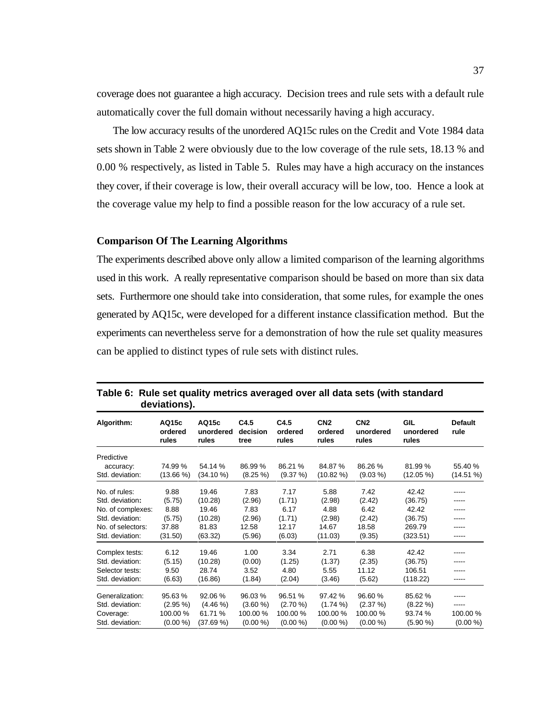coverage does not guarantee a high accuracy. Decision trees and rule sets with a default rule automatically cover the full domain without necessarily having a high accuracy.

The low accuracy results of the unordered AQ15c rules on the Credit and Vote 1984 data sets shown in Table 2 were obviously due to the low coverage of the rule sets, 18.13 % and 0.00 % respectively, as listed in Table 5. Rules may have a high accuracy on the instances they cover, if their coverage is low, their overall accuracy will be low, too. Hence a look at the coverage value my help to find a possible reason for the low accuracy of a rule set.

### **Comparison Of The Learning Algorithms**

The experiments described above only allow a limited comparison of the learning algorithms used in this work. A really representative comparison should be based on more than six data sets. Furthermore one should take into consideration, that some rules, for example the ones generated by AQ15c, were developed for a different instance classification method. But the experiments can nevertheless serve for a demonstration of how the rule set quality measures can be applied to distinct types of rule sets with distinct rules.

|                   | deviations).              |                             |                          |                          |                                     |                                       |                                  |                        |
|-------------------|---------------------------|-----------------------------|--------------------------|--------------------------|-------------------------------------|---------------------------------------|----------------------------------|------------------------|
| Algorithm:        | AQ15c<br>ordered<br>rules | AQ15c<br>unordered<br>rules | C4.5<br>decision<br>tree | C4.5<br>ordered<br>rules | CN <sub>2</sub><br>ordered<br>rules | CN <sub>2</sub><br>unordered<br>rules | <b>GIL</b><br>unordered<br>rules | <b>Default</b><br>rule |
| Predictive        |                           |                             |                          |                          |                                     |                                       |                                  |                        |
| accuracy:         | 74.99%                    | 54.14 %                     | 86.99 %                  | 86.21 %                  | 84.87%                              | 86.26 %                               | 81.99%                           | 55.40 %                |
| Std. deviation:   | $(13.66\%)$               | (34.10%                     | $(8.25\%)$               | (9.37%)                  | $(10.82\%)$                         | $(9.03\% )$                           | $(12.05\%)$                      | (14.51%)               |
| No. of rules:     | 9.88                      | 19.46                       | 7.83                     | 7.17                     | 5.88                                | 7.42                                  | 42.42                            | -----                  |
| Std. deviation:   | (5.75)                    | (10.28)                     | (2.96)                   | (1.71)                   | (2.98)                              | (2.42)                                | (36.75)                          | -----                  |
| No. of complexes: | 8.88                      | 19.46                       | 7.83                     | 6.17                     | 4.88                                | 6.42                                  | 42.42                            | -----                  |
| Std. deviation:   | (5.75)                    | (10.28)                     | (2.96)                   | (1.71)                   | (2.98)                              | (2.42)                                | (36.75)                          | -----                  |
| No. of selectors: | 37.88                     | 81.83                       | 12.58                    | 12.17                    | 14.67                               | 18.58                                 | 269.79                           | -----                  |
| Std. deviation:   | (31.50)                   | (63.32)                     | (5.96)                   | (6.03)                   | (11.03)                             | (9.35)                                | (323.51)                         | -----                  |
| Complex tests:    | 6.12                      | 19.46                       | 1.00                     | 3.34                     | 2.71                                | 6.38                                  | 42.42                            | -----                  |
| Std. deviation:   | (5.15)                    | (10.28)                     | (0.00)                   | (1.25)                   | (1.37)                              | (2.35)                                | (36.75)                          | -----                  |
| Selector tests:   | 9.50                      | 28.74                       | 3.52                     | 4.80                     | 5.55                                | 11.12                                 | 106.51                           | -----                  |
| Std. deviation:   | (6.63)                    | (16.86)                     | (1.84)                   | (2.04)                   | (3.46)                              | (5.62)                                | (118.22)                         | -----                  |
| Generalization:   | 95.63%                    | 92.06 %                     | 96.03 %                  | 96.51 %                  | 97.42 %                             | 96.60%                                | 85.62 %                          | -----                  |
| Std. deviation:   | $(2.95\%)$                | $(4.46\% )$                 | $(3.60\%)$               | $(2.70\%)$               | $(1.74\%)$                          | (2.37%)                               | $(8.22\%)$                       | -----                  |
| Coverage:         | 100.00%                   | 61.71 %                     | 100.00%                  | 100.00%                  | 100.00%                             | 100.00 %                              | 93.74 %                          | 100.00%                |
| Std. deviation:   | (0.00 %)                  | (37.69%)                    | (0.00 %)                 | (0.00 %)                 | (0.00 %)                            | (0.00 %)                              | $(5.90\%)$                       | (0.00 %)               |

**Table 6: Rule set quality metrics averaged over all data sets (with standard deviations).**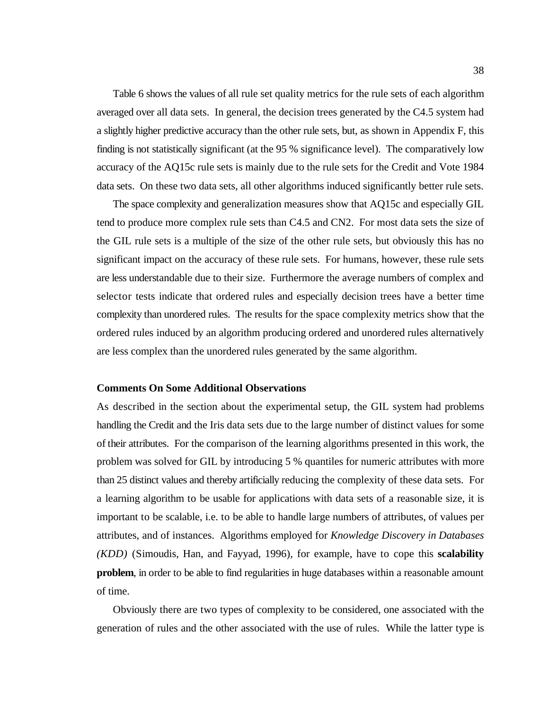Table 6 shows the values of all rule set quality metrics for the rule sets of each algorithm averaged over all data sets. In general, the decision trees generated by the C4.5 system had a slightly higher predictive accuracy than the other rule sets, but, as shown in Appendix F, this finding is not statistically significant (at the 95 % significance level). The comparatively low accuracy of the AQ15c rule sets is mainly due to the rule sets for the Credit and Vote 1984 data sets. On these two data sets, all other algorithms induced significantly better rule sets.

The space complexity and generalization measures show that AQ15c and especially GIL tend to produce more complex rule sets than C4.5 and CN2. For most data sets the size of the GIL rule sets is a multiple of the size of the other rule sets, but obviously this has no significant impact on the accuracy of these rule sets. For humans, however, these rule sets are less understandable due to their size. Furthermore the average numbers of complex and selector tests indicate that ordered rules and especially decision trees have a better time complexity than unordered rules. The results for the space complexity metrics show that the ordered rules induced by an algorithm producing ordered and unordered rules alternatively are less complex than the unordered rules generated by the same algorithm.

#### **Comments On Some Additional Observations**

As described in the section about the experimental setup, the GIL system had problems handling the Credit and the Iris data sets due to the large number of distinct values for some of their attributes. For the comparison of the learning algorithms presented in this work, the problem was solved for GIL by introducing 5 % quantiles for numeric attributes with more than 25 distinct values and thereby artificially reducing the complexity of these data sets. For a learning algorithm to be usable for applications with data sets of a reasonable size, it is important to be scalable, i.e. to be able to handle large numbers of attributes, of values per attributes, and of instances. Algorithms employed for *Knowledge Discovery in Databases (KDD)* (Simoudis, Han, and Fayyad, 1996), for example, have to cope this **scalability problem**, in order to be able to find regularities in huge databases within a reasonable amount of time.

Obviously there are two types of complexity to be considered, one associated with the generation of rules and the other associated with the use of rules. While the latter type is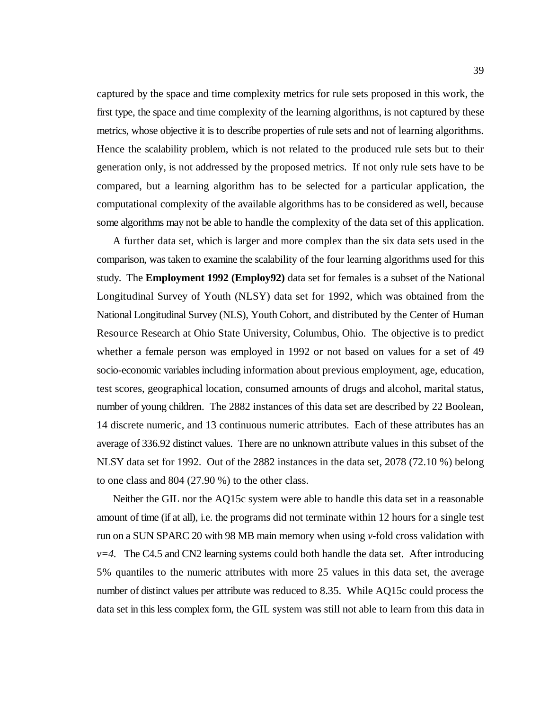captured by the space and time complexity metrics for rule sets proposed in this work, the first type, the space and time complexity of the learning algorithms, is not captured by these metrics, whose objective it is to describe properties of rule sets and not of learning algorithms. Hence the scalability problem, which is not related to the produced rule sets but to their generation only, is not addressed by the proposed metrics. If not only rule sets have to be compared, but a learning algorithm has to be selected for a particular application, the computational complexity of the available algorithms has to be considered as well, because some algorithms may not be able to handle the complexity of the data set of this application.

A further data set, which is larger and more complex than the six data sets used in the comparison, was taken to examine the scalability of the four learning algorithms used for this study. The **Employment 1992 (Employ92)** data set for females is a subset of the National Longitudinal Survey of Youth (NLSY) data set for 1992, which was obtained from the National Longitudinal Survey (NLS), Youth Cohort, and distributed by the Center of Human Resource Research at Ohio State University, Columbus, Ohio. The objective is to predict whether a female person was employed in 1992 or not based on values for a set of 49 socio-economic variables including information about previous employment, age, education, test scores, geographical location, consumed amounts of drugs and alcohol, marital status, number of young children. The 2882 instances of this data set are described by 22 Boolean, 14 discrete numeric, and 13 continuous numeric attributes. Each of these attributes has an average of 336.92 distinct values. There are no unknown attribute values in this subset of the NLSY data set for 1992. Out of the 2882 instances in the data set, 2078 (72.10 %) belong to one class and 804 (27.90 %) to the other class.

Neither the GIL nor the AQ15c system were able to handle this data set in a reasonable amount of time (if at all), i.e. the programs did not terminate within 12 hours for a single test run on a SUN SPARC 20 with 98 MB main memory when using *v*-fold cross validation with  $v=4$ . The C4.5 and CN2 learning systems could both handle the data set. After introducing 5% quantiles to the numeric attributes with more 25 values in this data set, the average number of distinct values per attribute was reduced to 8.35. While AQ15c could process the data set in this less complex form, the GIL system was still not able to learn from this data in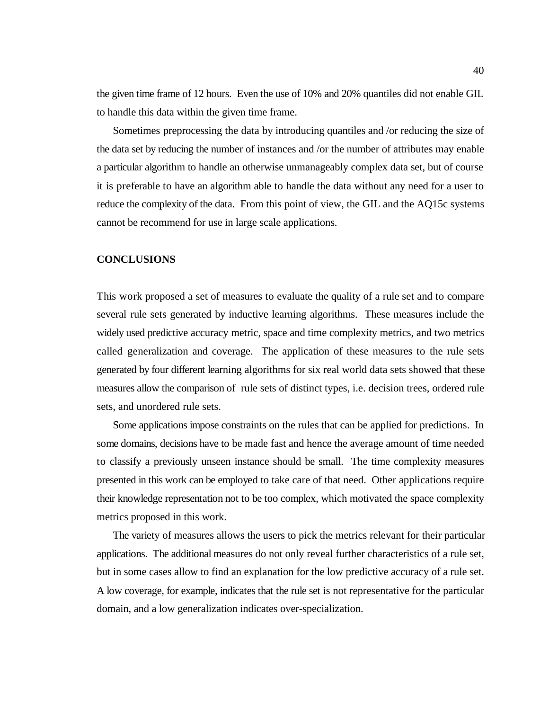the given time frame of 12 hours. Even the use of 10% and 20% quantiles did not enable GIL to handle this data within the given time frame.

Sometimes preprocessing the data by introducing quantiles and /or reducing the size of the data set by reducing the number of instances and /or the number of attributes may enable a particular algorithm to handle an otherwise unmanageably complex data set, but of course it is preferable to have an algorithm able to handle the data without any need for a user to reduce the complexity of the data. From this point of view, the GIL and the AQ15c systems cannot be recommend for use in large scale applications.

#### **CONCLUSIONS**

This work proposed a set of measures to evaluate the quality of a rule set and to compare several rule sets generated by inductive learning algorithms. These measures include the widely used predictive accuracy metric, space and time complexity metrics, and two metrics called generalization and coverage. The application of these measures to the rule sets generated by four different learning algorithms for six real world data sets showed that these measures allow the comparison of rule sets of distinct types, i.e. decision trees, ordered rule sets, and unordered rule sets.

Some applications impose constraints on the rules that can be applied for predictions. In some domains, decisions have to be made fast and hence the average amount of time needed to classify a previously unseen instance should be small. The time complexity measures presented in this work can be employed to take care of that need. Other applications require their knowledge representation not to be too complex, which motivated the space complexity metrics proposed in this work.

The variety of measures allows the users to pick the metrics relevant for their particular applications. The additional measures do not only reveal further characteristics of a rule set, but in some cases allow to find an explanation for the low predictive accuracy of a rule set. A low coverage, for example, indicates that the rule set is not representative for the particular domain, and a low generalization indicates over-specialization.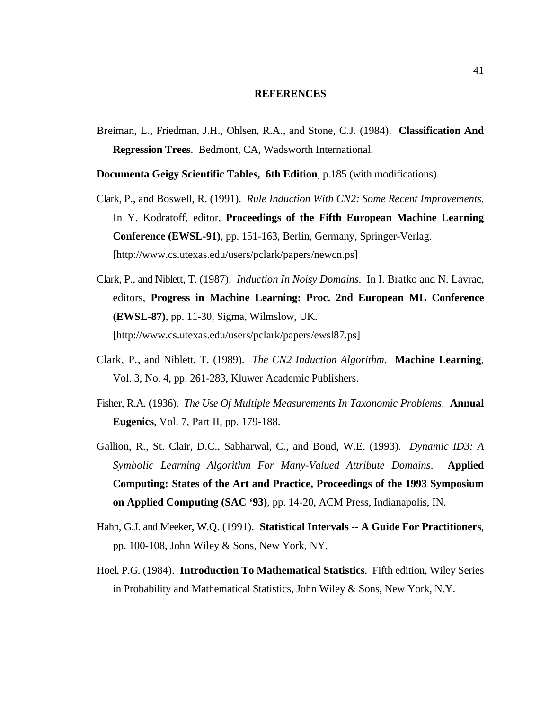#### **REFERENCES**

Breiman, L., Friedman, J.H., Ohlsen, R.A., and Stone, C.J. (1984). **Classification And Regression Trees**. Bedmont, CA, Wadsworth International.

**Documenta Geigy Scientific Tables, 6th Edition**, p.185 (with modifications).

- Clark, P., and Boswell, R. (1991). *Rule Induction With CN2: Some Recent Improvements*. In Y. Kodratoff, editor, **Proceedings of the Fifth European Machine Learning Conference (EWSL-91)**, pp. 151-163, Berlin, Germany, Springer-Verlag. [http://www.cs.utexas.edu/users/pclark/papers/newcn.ps]
- Clark, P., and Niblett, T. (1987). *Induction In Noisy Domains*. In I. Bratko and N. Lavrac, editors, **Progress in Machine Learning: Proc. 2nd European ML Conference (EWSL-87)**, pp. 11-30, Sigma, Wilmslow, UK. [http://www.cs.utexas.edu/users/pclark/papers/ewsl87.ps]
- Clark, P., and Niblett, T. (1989). *The CN2 Induction Algorithm*. **Machine Learning**, Vol. 3, No. 4, pp. 261-283, Kluwer Academic Publishers.
- Fisher, R.A. (1936). *The Use Of Multiple Measurements In Taxonomic Problems*. **Annual Eugenics**, Vol. 7, Part II, pp. 179-188.
- Gallion, R., St. Clair, D.C., Sabharwal, C., and Bond, W.E. (1993). *Dynamic ID3: A Symbolic Learning Algorithm For Many-Valued Attribute Domains*. **Applied Computing: States of the Art and Practice, Proceedings of the 1993 Symposium on Applied Computing (SAC '93)**, pp. 14-20, ACM Press, Indianapolis, IN.
- Hahn, G.J. and Meeker, W.Q. (1991). **Statistical Intervals -- A Guide For Practitioners**, pp. 100-108, John Wiley & Sons, New York, NY.
- Hoel, P.G. (1984). **Introduction To Mathematical Statistics**. Fifth edition, Wiley Series in Probability and Mathematical Statistics, John Wiley & Sons, New York, N.Y.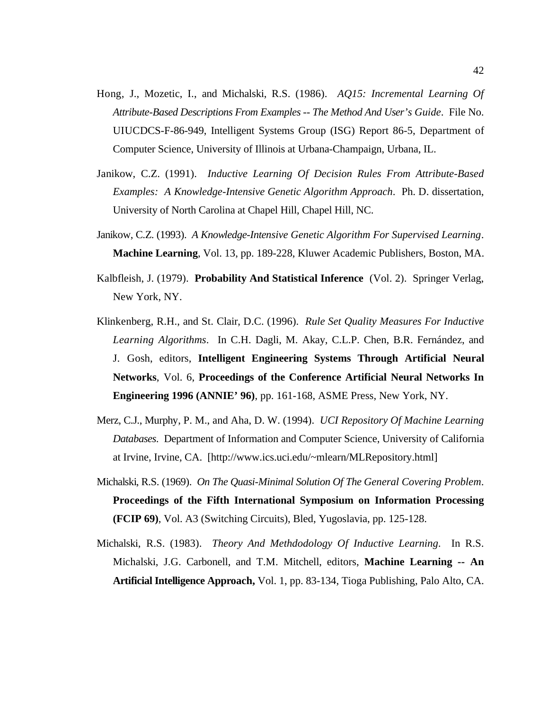- Hong, J., Mozetic, I., and Michalski, R.S. (1986). *AQ15: Incremental Learning Of Attribute-Based Descriptions From Examples -- The Method And User's Guide*. File No. UIUCDCS-F-86-949, Intelligent Systems Group (ISG) Report 86-5, Department of Computer Science, University of Illinois at Urbana-Champaign, Urbana, IL.
- Janikow, C.Z. (1991). *Inductive Learning Of Decision Rules From Attribute-Based Examples: A Knowledge-Intensive Genetic Algorithm Approach*. Ph. D. dissertation, University of North Carolina at Chapel Hill, Chapel Hill, NC.
- Janikow, C.Z. (1993). *A Knowledge-Intensive Genetic Algorithm For Supervised Learning*. **Machine Learning**, Vol. 13, pp. 189-228, Kluwer Academic Publishers, Boston, MA.
- Kalbfleish, J. (1979). **Probability And Statistical Inference** (Vol. 2). Springer Verlag, New York, NY.
- Klinkenberg, R.H., and St. Clair, D.C. (1996). *Rule Set Quality Measures For Inductive Learning Algorithms*. In C.H. Dagli, M. Akay, C.L.P. Chen, B.R. Fernández, and J. Gosh, editors, **Intelligent Engineering Systems Through Artificial Neural Networks**, Vol. 6, **Proceedings of the Conference Artificial Neural Networks In Engineering 1996 (ANNIE' 96)**, pp. 161-168, ASME Press, New York, NY.
- Merz, C.J., Murphy, P. M., and Aha, D. W. (1994). *UCI Repository Of Machine Learning Databases*. Department of Information and Computer Science, University of California at Irvine, Irvine, CA. [http://www.ics.uci.edu/~mlearn/MLRepository.html]
- Michalski, R.S. (1969). *On The Quasi-Minimal Solution Of The General Covering Problem*. **Proceedings of the Fifth International Symposium on Information Processing (FCIP 69)**, Vol. A3 (Switching Circuits), Bled, Yugoslavia, pp. 125-128.
- Michalski, R.S. (1983). *Theory And Methdodology Of Inductive Learning*. In R.S. Michalski, J.G. Carbonell, and T.M. Mitchell, editors, **Machine Learning -- An Artificial Intelligence Approach,** Vol. 1, pp. 83-134, Tioga Publishing, Palo Alto, CA.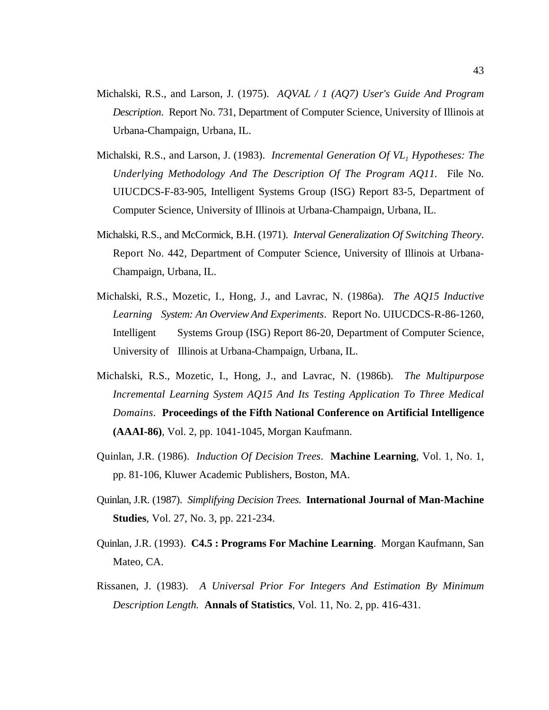- Michalski, R.S., and Larson, J. (1975). *AQVAL / 1 (AQ7) User's Guide And Program Description*. Report No. 731, Department of Computer Science, University of Illinois at Urbana-Champaign, Urbana, IL.
- Michalski, R.S., and Larson, J. (1983). *Incremental Generation Of VL*, *Hypotheses: The Underlying Methodology And The Description Of The Program AQ11*. File No. UIUCDCS-F-83-905, Intelligent Systems Group (ISG) Report 83-5, Department of Computer Science, University of Illinois at Urbana-Champaign, Urbana, IL.
- Michalski, R.S., and McCormick, B.H. (1971). *Interval Generalization Of Switching Theory*. Report No. 442, Department of Computer Science, University of Illinois at Urbana-Champaign, Urbana, IL.
- Michalski, R.S., Mozetic, I., Hong, J., and Lavrac, N. (1986a). *The AQ15 Inductive Learning System: An Overview And Experiments*. Report No. UIUCDCS-R-86-1260, Intelligent Systems Group (ISG) Report 86-20, Department of Computer Science, University of Illinois at Urbana-Champaign, Urbana, IL.
- Michalski, R.S., Mozetic, I., Hong, J., and Lavrac, N. (1986b). *The Multipurpose Incremental Learning System AQ15 And Its Testing Application To Three Medical Domains*. **Proceedings of the Fifth National Conference on Artificial Intelligence (AAAI-86)**, Vol. 2, pp. 1041-1045, Morgan Kaufmann.
- Quinlan, J.R. (1986). *Induction Of Decision Trees*. **Machine Learning**, Vol. 1, No. 1, pp. 81-106, Kluwer Academic Publishers, Boston, MA.
- Quinlan, J.R. (1987). *Simplifying Decision Trees*. **International Journal of Man-Machine Studies**, Vol. 27, No. 3, pp. 221-234.
- Quinlan, J.R. (1993). **C4.5 : Programs For Machine Learning**. Morgan Kaufmann, San Mateo, CA.
- Rissanen, J. (1983). *A Universal Prior For Integers And Estimation By Minimum Description Length.* **Annals of Statistics**, Vol. 11, No. 2, pp. 416-431.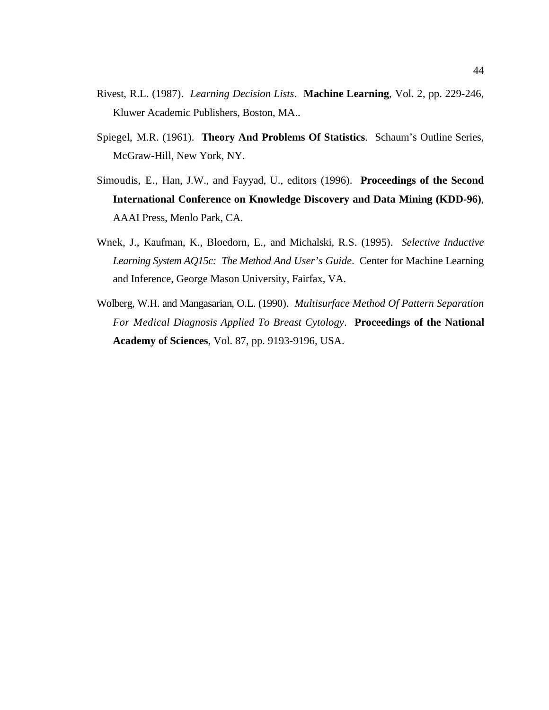- Rivest, R.L. (1987). *Learning Decision Lists*. **Machine Learning**, Vol. 2, pp. 229-246, Kluwer Academic Publishers, Boston, MA..
- Spiegel, M.R. (1961). **Theory And Problems Of Statistics**. Schaum's Outline Series, McGraw-Hill, New York, NY.
- Simoudis, E., Han, J.W., and Fayyad, U., editors (1996). **Proceedings of the Second International Conference on Knowledge Discovery and Data Mining (KDD-96)**, AAAI Press, Menlo Park, CA.
- Wnek, J., Kaufman, K., Bloedorn, E., and Michalski, R.S. (1995). *Selective Inductive Learning System AQ15c: The Method And User's Guide*. Center for Machine Learning and Inference, George Mason University, Fairfax, VA.
- Wolberg, W.H. and Mangasarian, O.L. (1990). *Multisurface Method Of Pattern Separation For Medical Diagnosis Applied To Breast Cytology*. **Proceedings of the National Academy of Sciences**, Vol. 87, pp. 9193-9196, USA.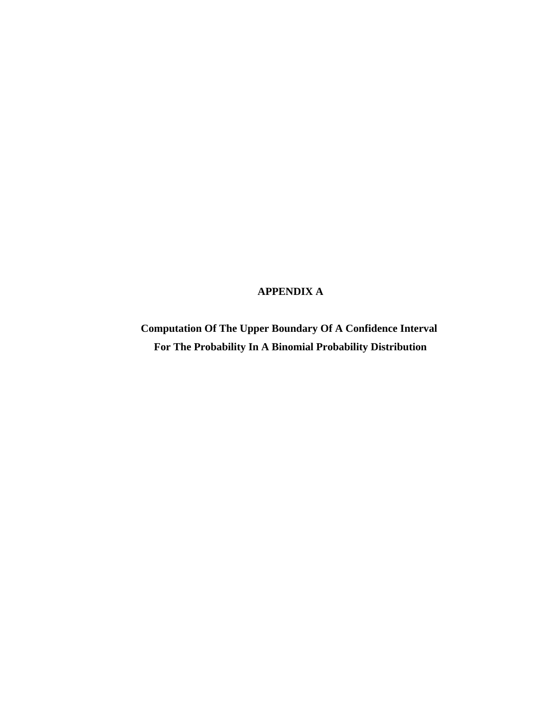# **APPENDIX A**

**Computation Of The Upper Boundary Of A Confidence Interval For The Probability In A Binomial Probability Distribution**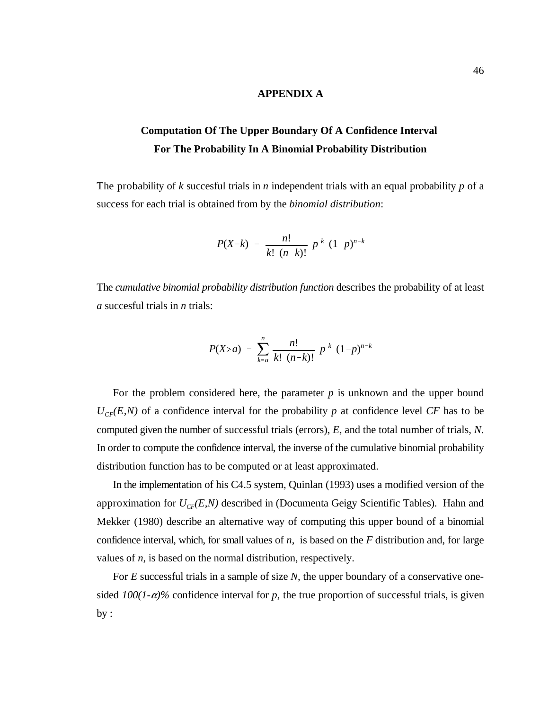## **APPENDIX A**

# **Computation Of The Upper Boundary Of A Confidence Interval For The Probability In A Binomial Probability Distribution**

The probability of *k* succesful trials in *n* independent trials with an equal probability *p* of a success for each trial is obtained from by the *binomial distribution*:

$$
P(X=k) = \frac{n!}{k! (n-k)!} p^{k} (1-p)^{n-k}
$$

The *cumulative binomial probability distribution function* describes the probability of at least *a* succesful trials in *n* trials:

$$
P(X \ge a) = \sum_{k=a}^{n} \frac{n!}{k! (n-k)!} p^{k} (1-p)^{n-k}
$$

For the problem considered here, the parameter  $p$  is unknown and the upper bound  $U_{CF}(E,N)$  of a confidence interval for the probability *p* at confidence level *CF* has to be computed given the number of successful trials (errors), *E*, and the total number of trials, *N*. In order to compute the confidence interval, the inverse of the cumulative binomial probability distribution function has to be computed or at least approximated.

In the implementation of his C4.5 system, Quinlan (1993) uses a modified version of the approximation for  $U_{CF}(E,N)$  described in (Documenta Geigy Scientific Tables). Hahn and Mekker (1980) describe an alternative way of computing this upper bound of a binomial confidence interval, which, for small values of *n*, is based on the *F* distribution and, for large values of *n*, is based on the normal distribution, respectively.

For *E* successful trials in a sample of size *N*, the upper boundary of a conservative onesided  $100(1-\alpha)\%$  confidence interval for p, the true proportion of successful trials, is given  $by:$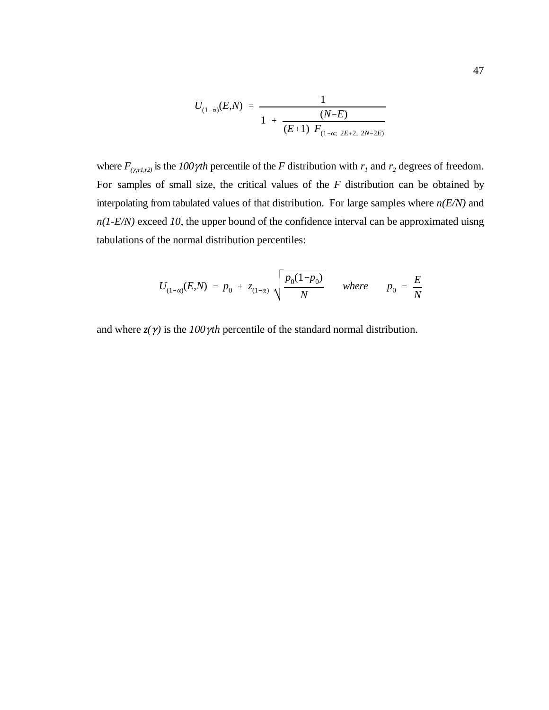$$
U_{(1-\alpha)}(E,N) = \frac{1}{1 + \frac{(N-E)}{(E+1) F_{(1-\alpha; 2E+2, 2N-2E)}}}
$$

where  $F_{(y;rl,r2)}$  is the  $100\gamma$ th percentile of the *F* distribution with  $r_1$  and  $r_2$  degrees of freedom. For samples of small size, the critical values of the *F* distribution can be obtained by interpolating from tabulated values of that distribution. For large samples where *n(E/N)* and *n(1-E/N)* exceed *10*, the upper bound of the confidence interval can be approximated uisng tabulations of the normal distribution percentiles:

$$
U_{(1-\alpha)}(E,N) = p_0 + z_{(1-\alpha)} \sqrt{\frac{p_0(1-p_0)}{N}} \quad \text{where} \quad p_0 = \frac{E}{N}
$$

and where  $z(\gamma)$  is the *100*  $\gamma$ *th* percentile of the standard normal distribution.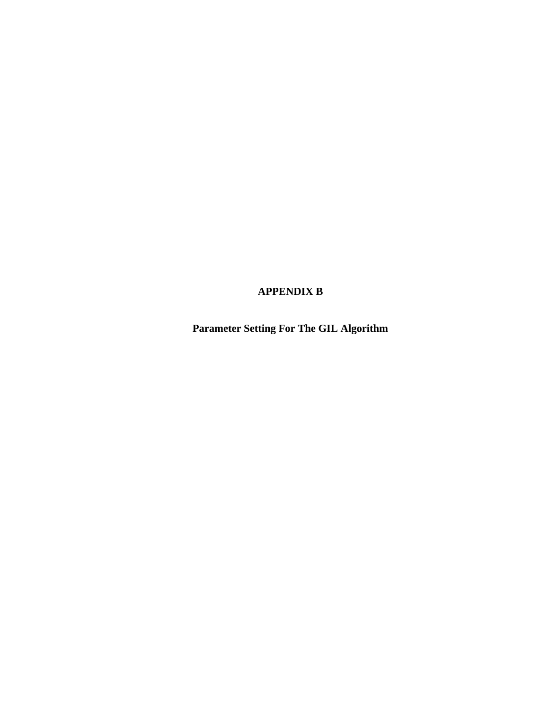# **APPENDIX B**

**Parameter Setting For The GIL Algorithm**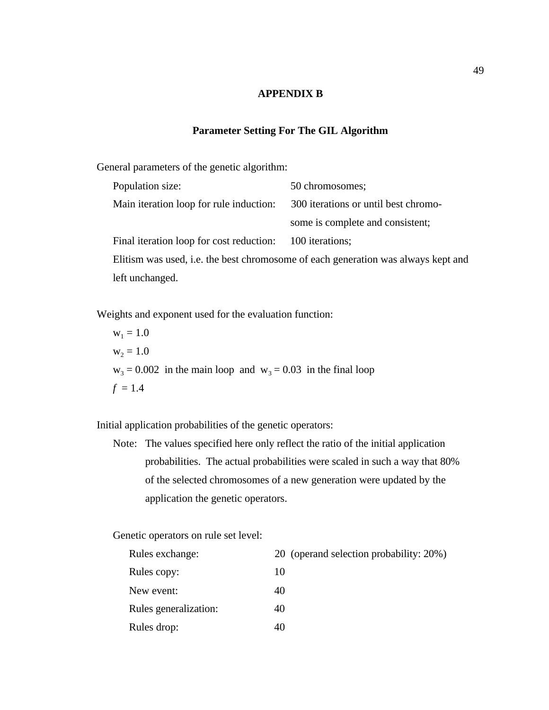## **APPENDIX B**

## **Parameter Setting For The GIL Algorithm**

General parameters of the genetic algorithm:

| Population size:                         | 50 chromosomes;                                                                   |
|------------------------------------------|-----------------------------------------------------------------------------------|
| Main iteration loop for rule induction:  | 300 iterations or until best chromo-                                              |
|                                          | some is complete and consistent;                                                  |
| Final iteration loop for cost reduction: | 100 iterations;                                                                   |
|                                          | Elitism was used, i.e. the best chromosome of each generation was always kept and |
| left unchanged.                          |                                                                                   |

Weights and exponent used for the evaluation function:

 $w_1 = 1.0$  $w_2 = 1.0$  $w_3 = 0.002$  in the main loop and  $w_3 = 0.03$  in the final loop  $f = 1.4$ 

Initial application probabilities of the genetic operators:

Note: The values specified here only reflect the ratio of the initial application probabilities. The actual probabilities were scaled in such a way that 80% of the selected chromosomes of a new generation were updated by the application the genetic operators.

Genetic operators on rule set level:

| Rules exchange:       | 20 (operand selection probability: 20%) |
|-----------------------|-----------------------------------------|
| Rules copy:           | 10                                      |
| New event:            | 40                                      |
| Rules generalization: | 40                                      |
| Rules drop:           | 40                                      |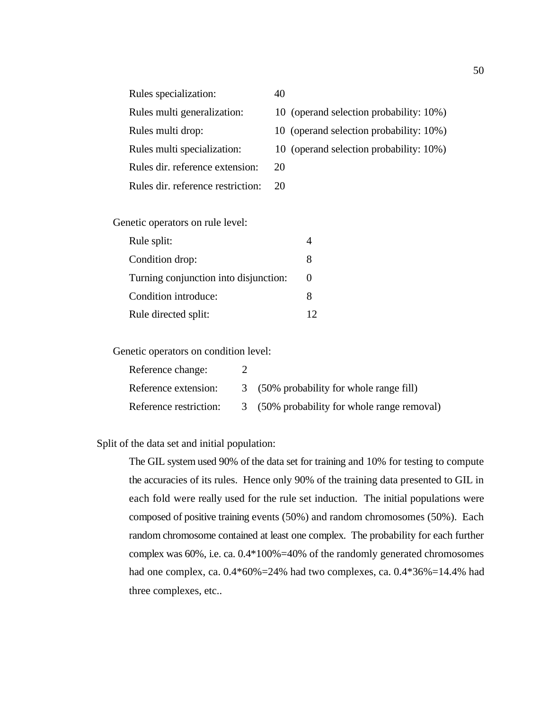| Rules specialization:             | 40                                      |
|-----------------------------------|-----------------------------------------|
| Rules multi generalization:       | 10 (operand selection probability: 10%) |
| Rules multi drop:                 | 10 (operand selection probability: 10%) |
| Rules multi specialization:       | 10 (operand selection probability: 10%) |
| Rules dir. reference extension:   | 20                                      |
| Rules dir. reference restriction: |                                         |

Genetic operators on rule level:

| Rule split:                           |   |
|---------------------------------------|---|
| Condition drop:                       |   |
| Turning conjunction into disjunction: |   |
| Condition introduce:                  | x |
| Rule directed split:                  |   |

Genetic operators on condition level:

| Reference change:      |                                             |
|------------------------|---------------------------------------------|
| Reference extension:   | 3 (50% probability for whole range fill)    |
| Reference restriction: | 3 (50% probability for whole range removal) |

Split of the data set and initial population:

The GIL system used 90% of the data set for training and 10% for testing to compute the accuracies of its rules. Hence only 90% of the training data presented to GIL in each fold were really used for the rule set induction. The initial populations were composed of positive training events (50%) and random chromosomes (50%). Each random chromosome contained at least one complex. The probability for each further complex was 60%, i.e. ca. 0.4\*100%=40% of the randomly generated chromosomes had one complex, ca.  $0.4*60\% = 24\%$  had two complexes, ca.  $0.4*36\% = 14.4\%$  had three complexes, etc..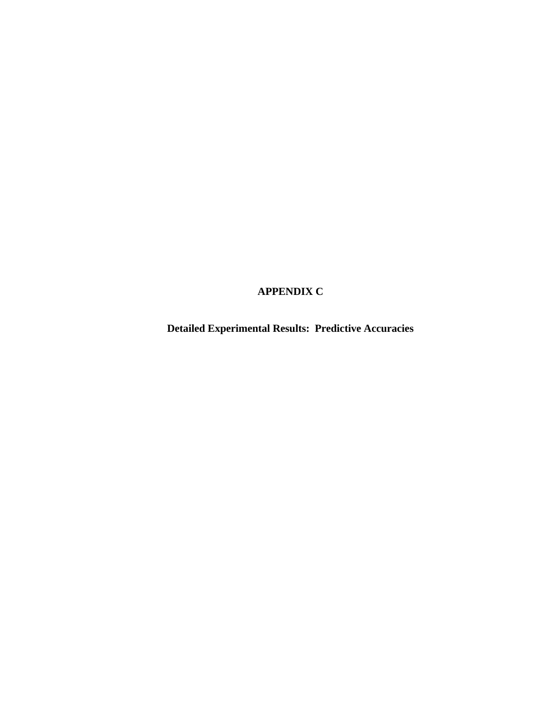# **APPENDIX C**

**Detailed Experimental Results: Predictive Accuracies**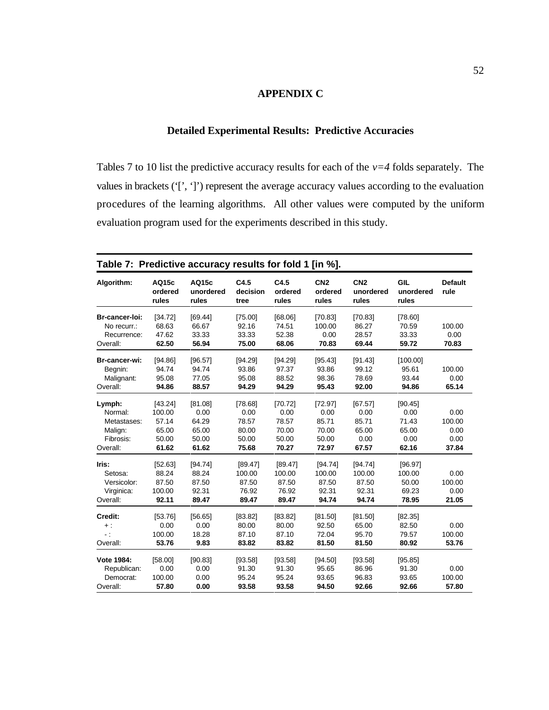## **APPENDIX C**

## **Detailed Experimental Results: Predictive Accuracies**

Tables 7 to 10 list the predictive accuracy results for each of the *v=4* folds separately. The values in brackets ('[', ']') represent the average accuracy values according to the evaluation procedures of the learning algorithms. All other values were computed by the uniform evaluation program used for the experiments described in this study.

| Algorithm:             | AQ15c<br>ordered<br>rules | AQ15c<br>unordered<br>rules | C4.5<br>decision<br>tree | C4.5<br>ordered<br>rules | CN <sub>2</sub><br>ordered<br>rules | CN <sub>2</sub><br>unordered<br>rules | <b>GIL</b><br>unordered<br>rules | <b>Default</b><br>rule |
|------------------------|---------------------------|-----------------------------|--------------------------|--------------------------|-------------------------------------|---------------------------------------|----------------------------------|------------------------|
| Br-cancer-loi:         | [34.72]                   | [69.44]                     | [75.00]                  | [68.06]                  | [70.83]                             | [70.83]                               | [78.60]                          |                        |
| No recurr.:            | 68.63                     | 66.67                       | 92.16                    | 74.51                    | 100.00                              | 86.27                                 | 70.59                            | 100.00                 |
| Recurrence:            | 47.62                     | 33.33                       | 33.33                    | 52.38                    | 0.00                                | 28.57                                 | 33.33                            | 0.00                   |
| Overall:               | 62.50                     | 56.94                       | 75.00                    | 68.06                    | 70.83                               | 69.44                                 | 59.72                            | 70.83                  |
| Br-cancer-wi:          | [94.86]                   | [96.57]                     | [94.29]                  | [94.29]                  | [95.43]                             | [91.43]                               | [100.00]                         |                        |
| Begnin:                | 94.74                     | 94.74                       | 93.86                    | 97.37                    | 93.86                               | 99.12                                 | 95.61                            | 100.00                 |
| Malignant:             | 95.08                     | 77.05                       | 95.08                    | 88.52                    | 98.36                               | 78.69                                 | 93.44                            | 0.00                   |
| Overall:               | 94.86                     | 88.57                       | 94.29                    | 94.29                    | 95.43                               | 92.00                                 | 94.86                            | 65.14                  |
| Lymph:                 | [43.24]                   | [81.08]                     | [78.68]                  | [70.72]                  | [72.97]                             | [67.57]                               | [90.45]                          |                        |
| Normal:                | 100.00                    | 0.00                        | 0.00                     | 0.00                     | 0.00                                | 0.00                                  | 0.00                             | 0.00                   |
| Metastases:            | 57.14                     | 64.29                       | 78.57                    | 78.57                    | 85.71                               | 85.71                                 | 71.43                            | 100.00                 |
| Malign:                | 65.00                     | 65.00                       | 80.00                    | 70.00                    | 70.00                               | 65.00                                 | 65.00                            | 0.00                   |
| Fibrosis:              | 50.00                     | 50.00                       | 50.00                    | 50.00                    | 50.00                               | 0.00                                  | 0.00                             | 0.00                   |
| Overall:               | 61.62                     | 61.62                       | 75.68                    | 70.27                    | 72.97                               | 67.57                                 | 62.16                            | 37.84                  |
| Iris:                  | [52.63]                   | [94.74]                     | [89.47]                  | [89.47]                  | [94.74]                             | [94.74]                               | [96.97]                          |                        |
| Setosa:                | 88.24                     | 88.24                       | 100.00                   | 100.00                   | 100.00                              | 100.00                                | 100.00                           | 0.00                   |
| Versicolor:            | 87.50                     | 87.50                       | 87.50                    | 87.50                    | 87.50                               | 87.50                                 | 50.00                            | 100.00                 |
| Virginica:             | 100.00                    | 92.31                       | 76.92                    | 76.92                    | 92.31                               | 92.31                                 | 69.23                            | 0.00                   |
| Overall:               | 92.11                     | 89.47                       | 89.47                    | 89.47                    | 94.74                               | 94.74                                 | 78.95                            | 21.05                  |
| Credit:                | [53.76]                   | [56.65]                     | [83.82]                  | [83.82]                  | [81.50]                             | [81.50]                               | [82.35]                          |                        |
| $+$ :                  | 0.00                      | 0.00                        | 80.00                    | 80.00                    | 92.50                               | 65.00                                 | 82.50                            | 0.00                   |
| $\ddot{\phantom{0}}$ : | 100.00                    | 18.28                       | 87.10                    | 87.10                    | 72.04                               | 95.70                                 | 79.57                            | 100.00                 |
| Overall:               | 53.76                     | 9.83                        | 83.82                    | 83.82                    | 81.50                               | 81.50                                 | 80.92                            | 53.76                  |
| Vote 1984:             | [58.00]                   | [90.83]                     | [93.58]                  | [93.58]                  | [94.50]                             | [93.58]                               | [95.85]                          |                        |
| Republican:            | 0.00                      | 0.00                        | 91.30                    | 91.30                    | 95.65                               | 86.96                                 | 91.30                            | 0.00                   |
| Democrat:              | 100.00                    | 0.00                        | 95.24                    | 95.24                    | 93.65                               | 96.83                                 | 93.65                            | 100.00                 |
| Overall:               | 57.80                     | 0.00                        | 93.58                    | 93.58                    | 94.50                               | 92.66                                 | 92.66                            | 57.80                  |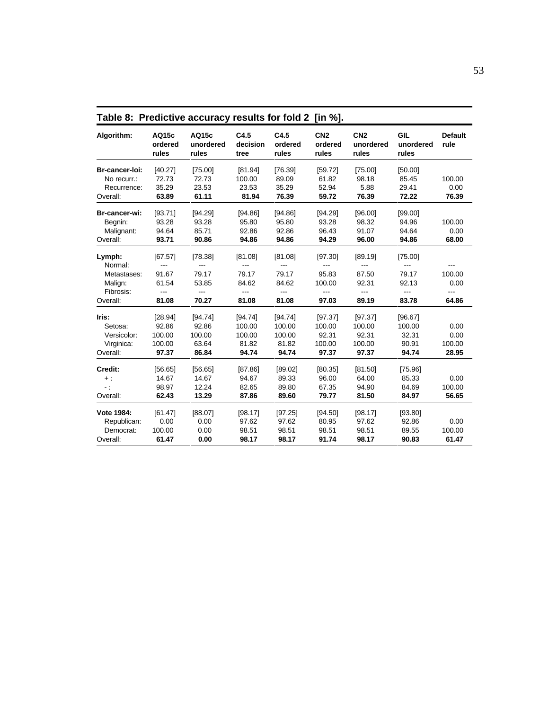| Algorithm:                                                           | AQ15c<br>ordered<br>rules                                   | AQ15c<br>unordered<br>rules                                             | C4.5<br>decision<br>tree                                                | C4.5<br>ordered<br>rules                         | CN <sub>2</sub><br>ordered<br>rules                               | CN <sub>2</sub><br>unordered<br>rules                                   | GIL<br>unordered<br>rules                            | <b>Default</b><br>rule                |
|----------------------------------------------------------------------|-------------------------------------------------------------|-------------------------------------------------------------------------|-------------------------------------------------------------------------|--------------------------------------------------|-------------------------------------------------------------------|-------------------------------------------------------------------------|------------------------------------------------------|---------------------------------------|
| Br-cancer-loi:<br>No recurr.:<br>Recurrence:<br>Overall:             | [40.27]<br>72.73<br>35.29<br>63.89                          | [75.00]<br>72.73<br>23.53<br>61.11                                      | [81.94]<br>100.00<br>23.53<br>81.94                                     | [76.39]<br>89.09<br>35.29<br>76.39               | [59.72]<br>61.82<br>52.94<br>59.72                                | [75.00]<br>98.18<br>5.88<br>76.39                                       | [50.00]<br>85.45<br>29.41<br>72.22                   | 100.00<br>0.00<br>76.39               |
| Br-cancer-wi:<br>Begnin:<br>Malignant:<br>Overall:                   | [93.71]<br>93.28<br>94.64<br>93.71                          | [94.29]<br>93.28<br>85.71<br>90.86                                      | [94.86]<br>95.80<br>92.86<br>94.86                                      | [94.86]<br>95.80<br>92.86<br>94.86               | [94.29]<br>93.28<br>96.43<br>94.29                                | [96.00]<br>98.32<br>91.07<br>96.00                                      | [99.00]<br>94.96<br>94.64<br>94.86                   | 100.00<br>0.00<br>68.00               |
| Lymph:<br>Normal:<br>Metastases:<br>Malign:<br>Fibrosis:<br>Overall: | [67.57]<br>---<br>91.67<br>61.54<br>$\overline{a}$<br>81.08 | [78.38]<br>$---$<br>79.17<br>53.85<br>$\overline{\phantom{a}}$<br>70.27 | [81.08]<br>$\overline{\phantom{a}}$<br>79.17<br>84.62<br>$---$<br>81.08 | [81.08]<br>---<br>79.17<br>84.62<br>---<br>81.08 | [97.30]<br>$\qquad \qquad -$<br>95.83<br>100.00<br>$---$<br>97.03 | [89.19]<br>$\overline{\phantom{a}}$<br>87.50<br>92.31<br>$---$<br>89.19 | [75.00]<br>$---$<br>79.17<br>92.13<br>$---$<br>83.78 | ---<br>100.00<br>0.00<br>---<br>64.86 |
| Iris:<br>Setosa:<br>Versicolor:<br>Virginica:<br>Overall:            | [28.94]<br>92.86<br>100.00<br>100.00<br>97.37               | [94.74]<br>92.86<br>100.00<br>63.64<br>86.84                            | [94.74]<br>100.00<br>100.00<br>81.82<br>94.74                           | [94.74]<br>100.00<br>100.00<br>81.82<br>94.74    | [97.37]<br>100.00<br>92.31<br>100.00<br>97.37                     | [97.37]<br>100.00<br>92.31<br>100.00<br>97.37                           | [96.67]<br>100.00<br>32.31<br>90.91<br>94.74         | 0.00<br>0.00<br>100.00<br>28.95       |
| Credit:<br>$+$ :<br>$\sim 10$<br>Overall:                            | [56.65]<br>14.67<br>98.97<br>62.43                          | [56.65]<br>14.67<br>12.24<br>13.29                                      | [87.86]<br>94.67<br>82.65<br>87.86                                      | [89.02]<br>89.33<br>89.80<br>89.60               | [80.35]<br>96.00<br>67.35<br>79.77                                | [81.50]<br>64.00<br>94.90<br>81.50                                      | [75.96]<br>85.33<br>84.69<br>84.97                   | 0.00<br>100.00<br>56.65               |
| Vote 1984:<br>Republican:<br>Democrat:<br>Overall:                   | [61.47]<br>0.00<br>100.00<br>61.47                          | [88.07]<br>0.00<br>0.00<br>0.00                                         | [98.17]<br>97.62<br>98.51<br>98.17                                      | [97.25]<br>97.62<br>98.51<br>98.17               | [94.50]<br>80.95<br>98.51<br>91.74                                | [98.17]<br>97.62<br>98.51<br>98.17                                      | [93.80]<br>92.86<br>89.55<br>90.83                   | 0.00<br>100.00<br>61.47               |

**Table 8: Predictive accuracy results for fold 2 [in %].**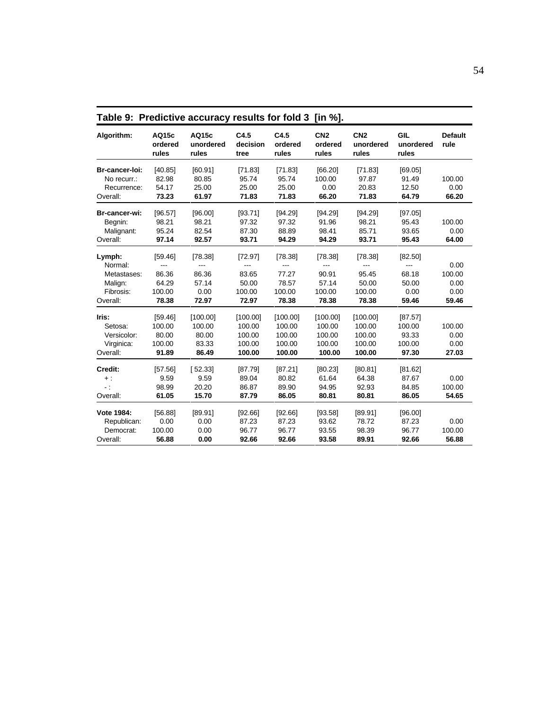|                         | Table 5. Predictive accuracy results for fold 5 [III 70]. |                             |                          |                          |                                     |                                       |                           |                        |  |
|-------------------------|-----------------------------------------------------------|-----------------------------|--------------------------|--------------------------|-------------------------------------|---------------------------------------|---------------------------|------------------------|--|
| Algorithm:              | AQ15c<br>ordered<br>rules                                 | AQ15c<br>unordered<br>rules | C4.5<br>decision<br>tree | C4.5<br>ordered<br>rules | CN <sub>2</sub><br>ordered<br>rules | CN <sub>2</sub><br>unordered<br>rules | GIL<br>unordered<br>rules | <b>Default</b><br>rule |  |
| Br-cancer-loi:          | [40.85]                                                   | [60.91]                     | [71.83]                  | [71.83]                  | [66.20]                             | [71.83]                               | [69.05]                   |                        |  |
| No recurr.:             | 82.98                                                     | 80.85                       | 95.74                    | 95.74                    | 100.00                              | 97.87                                 | 91.49                     | 100.00                 |  |
| Recurrence:<br>Overall: | 54.17<br>73.23                                            | 25.00<br>61.97              | 25.00<br>71.83           | 25.00<br>71.83           | 0.00<br>66.20                       | 20.83<br>71.83                        | 12.50<br>64.79            | 0.00<br>66.20          |  |
| Br-cancer-wi:           | [96.57]                                                   | [96.00]                     | [93.71]                  | [94.29]                  | [94.29]                             | [94.29]                               | [97.05]                   |                        |  |
| Begnin:                 | 98.21                                                     | 98.21                       | 97.32                    | 97.32                    | 91.96                               | 98.21                                 | 95.43                     | 100.00                 |  |
| Malignant:              | 95.24                                                     | 82.54                       | 87.30                    | 88.89                    | 98.41                               | 85.71                                 | 93.65                     | 0.00                   |  |
| Overall:                | 97.14                                                     | 92.57                       | 93.71                    | 94.29                    | 94.29                               | 93.71                                 | 95.43                     | 64.00                  |  |
| Lymph:                  | [59.46]                                                   | [78.38]                     | [72.97]                  | [78.38]                  | [78.38]                             | [78.38]                               | [82.50]                   |                        |  |
| Normal:                 | ---                                                       | ---                         | ---                      | $\overline{a}$           | $---$                               | ---                                   | $---$                     | 0.00                   |  |
| Metastases:             | 86.36                                                     | 86.36                       | 83.65                    | 77.27                    | 90.91                               | 95.45                                 | 68.18                     | 100.00                 |  |
| Malign:                 | 64.29                                                     | 57.14                       | 50.00                    | 78.57                    | 57.14                               | 50.00                                 | 50.00                     | 0.00                   |  |
| Fibrosis:               | 100.00                                                    | 0.00                        | 100.00                   | 100.00                   | 100.00                              | 100.00                                | 0.00                      | 0.00                   |  |
| Overall:                | 78.38                                                     | 72.97                       | 72.97                    | 78.38                    | 78.38                               | 78.38                                 | 59.46                     | 59.46                  |  |
| Iris:                   | [59.46]                                                   | [100.00]                    | [100.00]                 | [100.00]                 | [100.00]                            | [100.00]                              | [87.57]                   |                        |  |
| Setosa:                 | 100.00                                                    | 100.00                      | 100.00                   | 100.00                   | 100.00                              | 100.00                                | 100.00                    | 100.00                 |  |
| Versicolor:             | 80.00                                                     | 80.00                       | 100.00                   | 100.00                   | 100.00                              | 100.00                                | 93.33                     | 0.00                   |  |
| Virginica:              | 100.00                                                    | 83.33                       | 100.00                   | 100.00                   | 100.00                              | 100.00                                | 100.00                    | 0.00                   |  |
| Overall:                | 91.89                                                     | 86.49                       | 100.00                   | 100.00                   | 100.00                              | 100.00                                | 97.30                     | 27.03                  |  |
| Credit:                 | [57.56]                                                   | [52.33]                     | [87.79]                  | [87.21]                  | [80.23]                             | [80.81]                               | [81.62]                   |                        |  |
| $+$ :                   | 9.59                                                      | 9.59                        | 89.04                    | 80.82                    | 61.64                               | 64.38                                 | 87.67                     | 0.00                   |  |
| $-$ :                   | 98.99                                                     | 20.20                       | 86.87                    | 89.90                    | 94.95                               | 92.93                                 | 84.85                     | 100.00                 |  |
| Overall:                | 61.05                                                     | 15.70                       | 87.79                    | 86.05                    | 80.81                               | 80.81                                 | 86.05                     | 54.65                  |  |
| Vote 1984:              | [56.88]                                                   | [89.91]                     | [92.66]                  | [92.66]                  | [93.58]                             | [89.91]                               | [96.00]                   |                        |  |
| Republican:             | 0.00                                                      | 0.00                        | 87.23                    | 87.23                    | 93.62                               | 78.72                                 | 87.23                     | 0.00                   |  |
| Democrat:               | 100.00                                                    | 0.00                        | 96.77                    | 96.77                    | 93.55                               | 98.39                                 | 96.77                     | 100.00                 |  |
| Overall:                | 56.88                                                     | 0.00                        | 92.66                    | 92.66                    | 93.58                               | 89.91                                 | 92.66                     | 56.88                  |  |

**Table 9: Predictive accuracy results for fold 3 [in %].**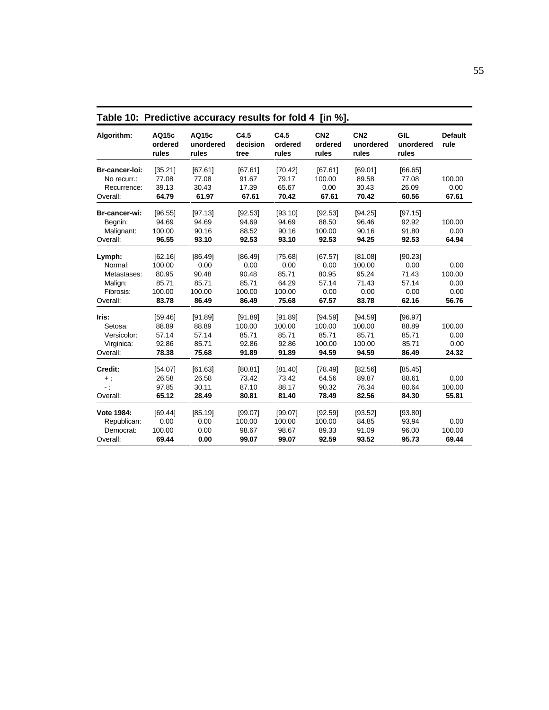| Table 10: Predictive accuracy results for fold 4 [in %]. |                           |                             |                          |                          |                                     |                                       |                                  |                        |
|----------------------------------------------------------|---------------------------|-----------------------------|--------------------------|--------------------------|-------------------------------------|---------------------------------------|----------------------------------|------------------------|
| Algorithm:                                               | AQ15c<br>ordered<br>rules | AQ15c<br>unordered<br>rules | C4.5<br>decision<br>tree | C4.5<br>ordered<br>rules | CN <sub>2</sub><br>ordered<br>rules | CN <sub>2</sub><br>unordered<br>rules | <b>GIL</b><br>unordered<br>rules | <b>Default</b><br>rule |
| Br-cancer-loi:                                           | [35.21]                   | [67.61]                     | [67.61]                  | [70.42]                  | [67.61]                             | [69.01]                               | [66.65]                          |                        |
| No recurr.:                                              | 77.08                     | 77.08                       | 91.67                    | 79.17                    | 100.00                              | 89.58                                 | 77.08                            | 100.00                 |
| Recurrence:                                              | 39.13                     | 30.43                       | 17.39                    | 65.67                    | 0.00                                | 30.43                                 | 26.09                            | 0.00                   |
| Overall:                                                 | 64.79                     | 61.97                       | 67.61                    | 70.42                    | 67.61                               | 70.42                                 | 60.56                            | 67.61                  |
| Br-cancer-wi:                                            | [96.55]                   | [97.13]                     | [92.53]                  | [93.10]                  | [92.53]                             | [94.25]                               | [97.15]                          |                        |
| Begnin:                                                  | 94.69                     | 94.69                       | 94.69                    | 94.69                    | 88.50                               | 96.46                                 | 92.92                            | 100.00                 |
| Malignant:                                               | 100.00                    | 90.16                       | 88.52                    | 90.16                    | 100.00                              | 90.16                                 | 91.80                            | 0.00                   |
| Overall:                                                 | 96.55                     | 93.10                       | 92.53                    | 93.10                    | 92.53                               | 94.25                                 | 92.53                            | 64.94                  |
| Lymph:                                                   | [62.16]                   | [86.49]                     | [86.49]                  | [75.68]                  | [67.57]                             | [81.08]                               | [90.23]                          |                        |
| Normal:                                                  | 100.00                    | 0.00                        | 0.00                     | 0.00                     | 0.00                                | 100.00                                | 0.00                             | 0.00                   |
| Metastases:                                              | 80.95                     | 90.48                       | 90.48                    | 85.71                    | 80.95                               | 95.24                                 | 71.43                            | 100.00                 |
| Malign:                                                  | 85.71                     | 85.71                       | 85.71                    | 64.29                    | 57.14                               | 71.43                                 | 57.14                            | 0.00                   |
| Fibrosis:                                                | 100.00                    | 100.00                      | 100.00                   | 100.00                   | 0.00                                | 0.00                                  | 0.00                             | 0.00                   |
| Overall:                                                 | 83.78                     | 86.49                       | 86.49                    | 75.68                    | 67.57                               | 83.78                                 | 62.16                            | 56.76                  |
| Iris:                                                    | [59.46]                   | [91.89]                     | [91.89]                  | [91.89]                  | [94.59]                             | [94.59]                               | [96.97]                          |                        |
| Setosa:                                                  | 88.89                     | 88.89                       | 100.00                   | 100.00                   | 100.00                              | 100.00                                | 88.89                            | 100.00                 |
| Versicolor:                                              | 57.14                     | 57.14                       | 85.71                    | 85.71                    | 85.71                               | 85.71                                 | 85.71                            | 0.00                   |
| Virginica:                                               | 92.86                     | 85.71                       | 92.86                    | 92.86                    | 100.00                              | 100.00                                | 85.71                            | 0.00                   |
| Overall:                                                 | 78.38                     | 75.68                       | 91.89                    | 91.89                    | 94.59                               | 94.59                                 | 86.49                            | 24.32                  |
| Credit:                                                  | [54.07]                   | [61.63]                     | [80.81]                  | [81.40]                  | [78.49]                             | [82.56]                               | [85.45]                          |                        |
| $+$ :                                                    | 26.58                     | 26.58                       | 73.42                    | 73.42                    | 64.56                               | 89.87                                 | 88.61                            | 0.00                   |
| $-$ :                                                    | 97.85                     | 30.11                       | 87.10                    | 88.17                    | 90.32                               | 76.34                                 | 80.64                            | 100.00                 |
| Overall:                                                 | 65.12                     | 28.49                       | 80.81                    | 81.40                    | 78.49                               | 82.56                                 | 84.30                            | 55.81                  |
| Vote 1984:                                               | [69.44]                   | [85.19]                     | [99.07]                  | [99.07]                  | [92.59]                             | [93.52]                               | [93.80]                          |                        |
| Republican:                                              | 0.00                      | 0.00                        | 100.00                   | 100.00                   | 100.00                              | 84.85                                 | 93.94                            | 0.00                   |
| Democrat:                                                | 100.00                    | 0.00                        | 98.67                    | 98.67                    | 89.33                               | 91.09                                 | 96.00                            | 100.00                 |
| Overall:                                                 | 69.44                     | 0.00                        | 99.07                    | 99.07                    | 92.59                               | 93.52                                 | 95.73                            | 69.44                  |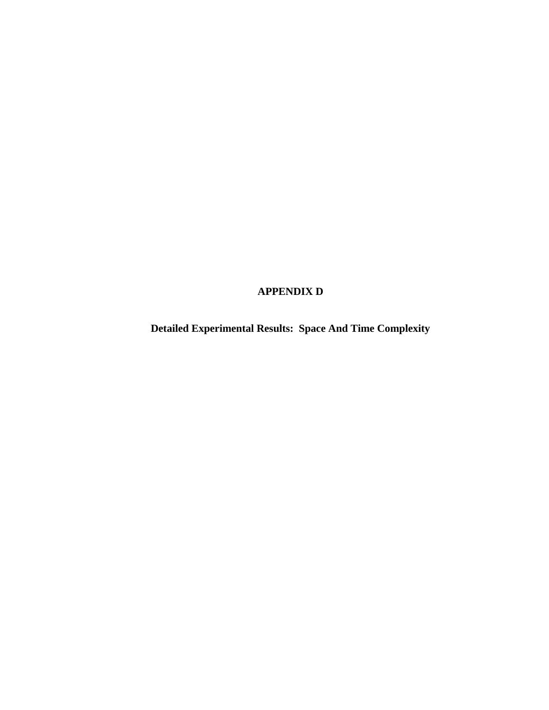# **APPENDIX D**

**Detailed Experimental Results: Space And Time Complexity**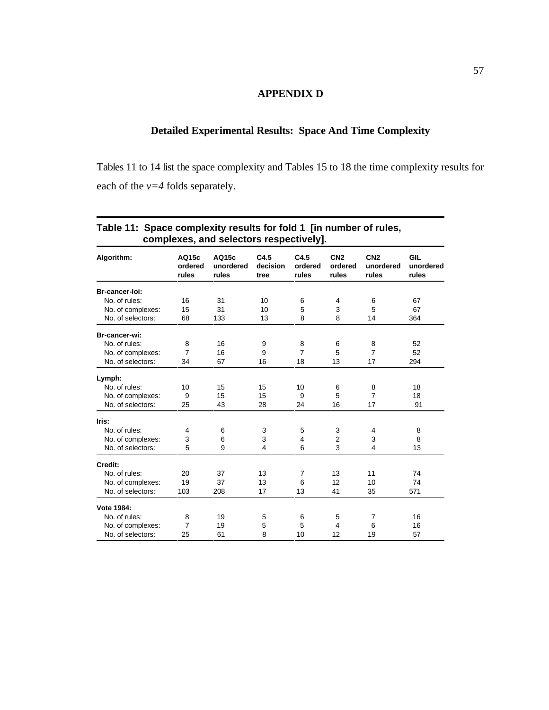## **APPENDIX D**

## **Detailed Experimental Results: Space And Time Complexity**

Tables 11 to 14 list the space complexity and Tables 15 to 18 the time complexity results for each of the *v=4* folds separately.

| Algorithm:        | AQ15c<br>ordered<br>rules | AQ15c<br>unordered<br>rules | C4.5<br>decision<br>tree | C4.5<br>ordered<br>rules | CN <sub>2</sub><br>ordered<br>rules | CN <sub>2</sub><br>unordered<br>rules | <b>GIL</b><br>unordered<br>rules |
|-------------------|---------------------------|-----------------------------|--------------------------|--------------------------|-------------------------------------|---------------------------------------|----------------------------------|
| Br-cancer-loi:    |                           |                             |                          |                          |                                     |                                       |                                  |
| No. of rules:     | 16                        | 31                          | 10                       | 6                        | 4                                   | 6                                     | 67                               |
| No. of complexes: | 15                        | 31                          | 10                       | 5                        | 3                                   | 5                                     | 67                               |
| No. of selectors: | 68                        | 133                         | 13                       | 8                        | 8                                   | 14                                    | 364                              |
| Br-cancer-wi:     |                           |                             |                          |                          |                                     |                                       |                                  |
| No. of rules:     | 8                         | 16                          | 9                        | 8                        | 6                                   | 8                                     | 52                               |
| No. of complexes: | $\overline{7}$            | 16                          | 9                        | 7                        | 5                                   | $\overline{7}$                        | 52                               |
| No. of selectors: | 34                        | 67                          | 16                       | 18                       | 13                                  | 17                                    | 294                              |
| Lymph:            |                           |                             |                          |                          |                                     |                                       |                                  |
| No. of rules:     | 10                        | 15                          | 15                       | 10                       | 6                                   | 8                                     | 18                               |
| No. of complexes: | 9                         | 15                          | 15                       | 9                        | 5                                   | $\overline{7}$                        | 18                               |
| No. of selectors: | 25                        | 43                          | 28                       | 24                       | 16                                  | 17                                    | 91                               |
| Iris:             |                           |                             |                          |                          |                                     |                                       |                                  |
| No. of rules:     | 4                         | 6                           | 3                        | 5                        | 3                                   | 4                                     | 8                                |
| No. of complexes: | 3                         | 6                           | 3                        | 4                        | $\overline{2}$                      | 3                                     | 8                                |
| No. of selectors: | 5                         | 9                           | $\overline{4}$           | 6                        | 3                                   | 4                                     | 13                               |
| Credit:           |                           |                             |                          |                          |                                     |                                       |                                  |
| No. of rules:     | 20                        | 37                          | 13                       | $\overline{7}$           | 13                                  | 11                                    | 74                               |
| No. of complexes: | 19                        | 37                          | 13                       | 6                        | 12                                  | 10                                    | 74                               |
| No. of selectors: | 103                       | 208                         | 17                       | 13                       | 41                                  | 35                                    | 571                              |
| Vote 1984:        |                           |                             |                          |                          |                                     |                                       |                                  |
| No. of rules:     | 8                         | 19                          | 5                        | 6                        | 5                                   | 7                                     | 16                               |
| No. of complexes: | 7                         | 19                          | 5                        | 5                        | 4                                   | 6                                     | 16                               |
| No. of selectors: | 25                        | 61                          | 8                        | 10                       | 12                                  | 19                                    | 57                               |

## **Table 11: Space complexity results for fold 1 [in number of rules, complexes, and selectors respectively].**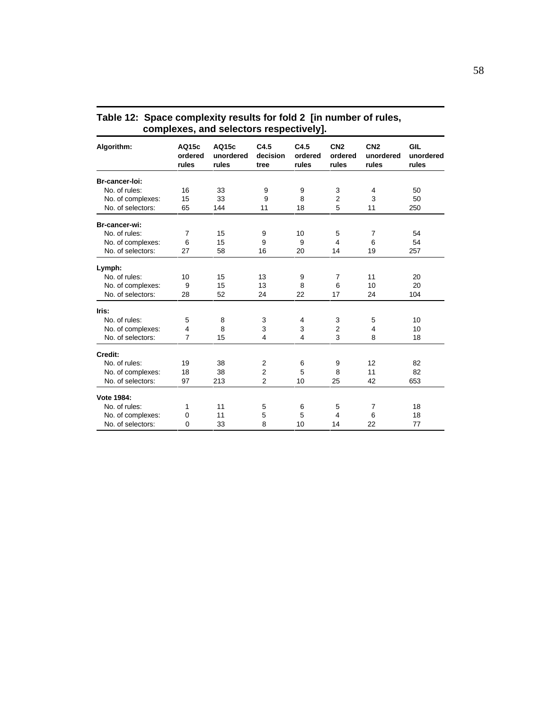| complexes, and selectors respectively]. |                           |                             |                          |                          |                                     |                                       |                                  |  |
|-----------------------------------------|---------------------------|-----------------------------|--------------------------|--------------------------|-------------------------------------|---------------------------------------|----------------------------------|--|
| Algorithm:                              | AQ15c<br>ordered<br>rules | AQ15c<br>unordered<br>rules | C4.5<br>decision<br>tree | C4.5<br>ordered<br>rules | CN <sub>2</sub><br>ordered<br>rules | CN <sub>2</sub><br>unordered<br>rules | <b>GIL</b><br>unordered<br>rules |  |
| Br-cancer-loi:                          |                           |                             |                          |                          |                                     |                                       |                                  |  |
| No. of rules:                           | 16                        | 33                          | 9                        | 9                        | 3                                   | 4                                     | 50                               |  |
| No. of complexes:                       | 15                        | 33                          | 9                        | 8                        | $\overline{2}$                      | 3                                     | 50                               |  |
| No. of selectors:                       | 65                        | 144                         | 11                       | 18                       | 5                                   | 11                                    | 250                              |  |
| Br-cancer-wi:                           |                           |                             |                          |                          |                                     |                                       |                                  |  |
| No. of rules:                           | $\overline{7}$            | 15                          | 9                        | 10                       | 5                                   | $\overline{7}$                        | 54                               |  |
| No. of complexes:                       | 6                         | 15                          | 9                        | 9                        | 4                                   | 6                                     | 54                               |  |
| No. of selectors:                       | 27                        | 58                          | 16                       | 20                       | 14                                  | 19                                    | 257                              |  |
| Lymph:                                  |                           |                             |                          |                          |                                     |                                       |                                  |  |
| No. of rules:                           | 10                        | 15                          | 13                       | 9                        | $\overline{7}$                      | 11                                    | 20                               |  |
| No. of complexes:                       | 9                         | 15                          | 13                       | 8                        | 6                                   | 10                                    | 20                               |  |
| No. of selectors:                       | 28                        | 52                          | 24                       | 22                       | 17                                  | 24                                    | 104                              |  |
| Iris:                                   |                           |                             |                          |                          |                                     |                                       |                                  |  |
| No. of rules:                           | 5                         | 8                           | 3                        | 4                        | 3                                   | 5                                     | 10                               |  |
| No. of complexes:                       | 4                         | 8                           | 3                        | 3                        | $\overline{2}$                      | $\overline{4}$                        | 10                               |  |
| No. of selectors:                       | $\overline{7}$            | 15                          | $\overline{4}$           | $\overline{4}$           | 3                                   | 8                                     | 18                               |  |
| Credit:                                 |                           |                             |                          |                          |                                     |                                       |                                  |  |
| No. of rules:                           | 19                        | 38                          | $\overline{2}$           | 6                        | 9                                   | 12                                    | 82                               |  |
| No. of complexes:                       | 18                        | 38                          | $\overline{2}$           | 5                        | 8                                   | 11                                    | 82                               |  |
| No. of selectors:                       | 97                        | 213                         | $\overline{2}$           | 10                       | 25                                  | 42                                    | 653                              |  |
| Vote 1984:                              |                           |                             |                          |                          |                                     |                                       |                                  |  |
| No. of rules:                           | 1                         | 11                          | 5                        | 6                        | 5                                   | 7                                     | 18                               |  |
| No. of complexes:                       | 0                         | 11                          | 5                        | 5                        | 4                                   | 6                                     | 18                               |  |
| No. of selectors:                       | $\Omega$                  | 33                          | 8                        | 10                       | 14                                  | 22                                    | 77                               |  |

| Table 12: Space complexity results for fold 2 [in number of rules, |
|--------------------------------------------------------------------|
| complexes, and selectors respectively].                            |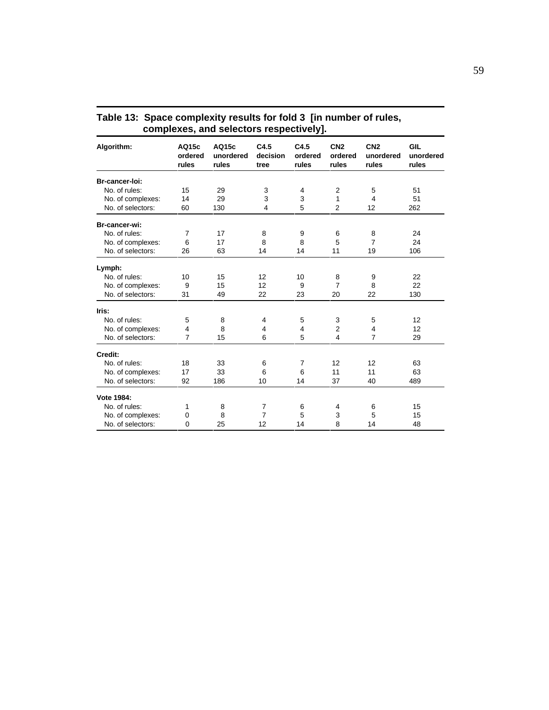| complexes, and selectors respectively).<br><b>GIL</b><br>C4.5<br>C4.5<br>CN <sub>2</sub><br>CN <sub>2</sub><br>AQ15c<br>AQ15c<br>Algorithm:<br>decision<br>ordered<br>unordered<br>ordered<br>ordered<br>unordered<br>rules<br>rules<br>rules<br>rules<br>rules<br>rules<br>tree<br>Br-cancer-loi:<br>No. of rules:<br>$\overline{2}$<br>15<br>29<br>3<br>5<br>51<br>4<br>3<br>3<br>No. of complexes:<br>14<br>29<br>1<br>4<br>51<br>5<br>130<br>$\overline{\mathbf{4}}$<br>$\overline{2}$<br>12<br>262<br>No. of selectors:<br>60<br>Br-cancer-wi:<br>No. of rules:<br>24<br>$\overline{7}$<br>17<br>8<br>9<br>6<br>8<br>$\overline{7}$<br>6<br>8<br>8<br>5<br>No. of complexes:<br>17<br>24<br>No. of selectors:<br>106<br>26<br>63<br>19<br>14<br>14<br>11<br>Lymph:<br>No. of rules:<br>10<br>15<br>12<br>10<br>22<br>8<br>9<br>12<br>7<br>22<br>No. of complexes:<br>9<br>15<br>9<br>8<br>22<br>No. of selectors:<br>49<br>23<br>20<br>22<br>130<br>31<br>Iris:<br>No. of rules:<br>5<br>8<br>5<br>3<br>5<br>12<br>4<br>8<br>$\overline{2}$<br>No. of complexes:<br>4<br>$\overline{4}$<br>12<br>4<br>4<br>$\overline{7}$<br>$\overline{7}$<br>15<br>6<br>5<br>29<br>No. of selectors:<br>4<br>Credit:<br>No. of rules:<br>18<br>$\overline{7}$<br>12<br>12<br>63<br>33<br>6<br>17<br>33<br>6<br>6<br>11<br>11<br>No. of complexes:<br>63<br>No. of selectors:<br>186<br>37<br>489<br>92<br>10<br>14<br>40 |          |    |                |    |   |    |           |
|-----------------------------------------------------------------------------------------------------------------------------------------------------------------------------------------------------------------------------------------------------------------------------------------------------------------------------------------------------------------------------------------------------------------------------------------------------------------------------------------------------------------------------------------------------------------------------------------------------------------------------------------------------------------------------------------------------------------------------------------------------------------------------------------------------------------------------------------------------------------------------------------------------------------------------------------------------------------------------------------------------------------------------------------------------------------------------------------------------------------------------------------------------------------------------------------------------------------------------------------------------------------------------------------------------------------------------------------------------------------------------------------------------------------|----------|----|----------------|----|---|----|-----------|
|                                                                                                                                                                                                                                                                                                                                                                                                                                                                                                                                                                                                                                                                                                                                                                                                                                                                                                                                                                                                                                                                                                                                                                                                                                                                                                                                                                                                                 |          |    |                |    |   |    | unordered |
|                                                                                                                                                                                                                                                                                                                                                                                                                                                                                                                                                                                                                                                                                                                                                                                                                                                                                                                                                                                                                                                                                                                                                                                                                                                                                                                                                                                                                 |          |    |                |    |   |    |           |
|                                                                                                                                                                                                                                                                                                                                                                                                                                                                                                                                                                                                                                                                                                                                                                                                                                                                                                                                                                                                                                                                                                                                                                                                                                                                                                                                                                                                                 |          |    |                |    |   |    |           |
|                                                                                                                                                                                                                                                                                                                                                                                                                                                                                                                                                                                                                                                                                                                                                                                                                                                                                                                                                                                                                                                                                                                                                                                                                                                                                                                                                                                                                 |          |    |                |    |   |    |           |
|                                                                                                                                                                                                                                                                                                                                                                                                                                                                                                                                                                                                                                                                                                                                                                                                                                                                                                                                                                                                                                                                                                                                                                                                                                                                                                                                                                                                                 |          |    |                |    |   |    |           |
|                                                                                                                                                                                                                                                                                                                                                                                                                                                                                                                                                                                                                                                                                                                                                                                                                                                                                                                                                                                                                                                                                                                                                                                                                                                                                                                                                                                                                 |          |    |                |    |   |    |           |
|                                                                                                                                                                                                                                                                                                                                                                                                                                                                                                                                                                                                                                                                                                                                                                                                                                                                                                                                                                                                                                                                                                                                                                                                                                                                                                                                                                                                                 |          |    |                |    |   |    |           |
|                                                                                                                                                                                                                                                                                                                                                                                                                                                                                                                                                                                                                                                                                                                                                                                                                                                                                                                                                                                                                                                                                                                                                                                                                                                                                                                                                                                                                 |          |    |                |    |   |    |           |
|                                                                                                                                                                                                                                                                                                                                                                                                                                                                                                                                                                                                                                                                                                                                                                                                                                                                                                                                                                                                                                                                                                                                                                                                                                                                                                                                                                                                                 |          |    |                |    |   |    |           |
|                                                                                                                                                                                                                                                                                                                                                                                                                                                                                                                                                                                                                                                                                                                                                                                                                                                                                                                                                                                                                                                                                                                                                                                                                                                                                                                                                                                                                 |          |    |                |    |   |    |           |
|                                                                                                                                                                                                                                                                                                                                                                                                                                                                                                                                                                                                                                                                                                                                                                                                                                                                                                                                                                                                                                                                                                                                                                                                                                                                                                                                                                                                                 |          |    |                |    |   |    |           |
|                                                                                                                                                                                                                                                                                                                                                                                                                                                                                                                                                                                                                                                                                                                                                                                                                                                                                                                                                                                                                                                                                                                                                                                                                                                                                                                                                                                                                 |          |    |                |    |   |    |           |
|                                                                                                                                                                                                                                                                                                                                                                                                                                                                                                                                                                                                                                                                                                                                                                                                                                                                                                                                                                                                                                                                                                                                                                                                                                                                                                                                                                                                                 |          |    |                |    |   |    |           |
|                                                                                                                                                                                                                                                                                                                                                                                                                                                                                                                                                                                                                                                                                                                                                                                                                                                                                                                                                                                                                                                                                                                                                                                                                                                                                                                                                                                                                 |          |    |                |    |   |    |           |
|                                                                                                                                                                                                                                                                                                                                                                                                                                                                                                                                                                                                                                                                                                                                                                                                                                                                                                                                                                                                                                                                                                                                                                                                                                                                                                                                                                                                                 |          |    |                |    |   |    |           |
|                                                                                                                                                                                                                                                                                                                                                                                                                                                                                                                                                                                                                                                                                                                                                                                                                                                                                                                                                                                                                                                                                                                                                                                                                                                                                                                                                                                                                 |          |    |                |    |   |    |           |
|                                                                                                                                                                                                                                                                                                                                                                                                                                                                                                                                                                                                                                                                                                                                                                                                                                                                                                                                                                                                                                                                                                                                                                                                                                                                                                                                                                                                                 |          |    |                |    |   |    |           |
|                                                                                                                                                                                                                                                                                                                                                                                                                                                                                                                                                                                                                                                                                                                                                                                                                                                                                                                                                                                                                                                                                                                                                                                                                                                                                                                                                                                                                 |          |    |                |    |   |    |           |
|                                                                                                                                                                                                                                                                                                                                                                                                                                                                                                                                                                                                                                                                                                                                                                                                                                                                                                                                                                                                                                                                                                                                                                                                                                                                                                                                                                                                                 |          |    |                |    |   |    |           |
|                                                                                                                                                                                                                                                                                                                                                                                                                                                                                                                                                                                                                                                                                                                                                                                                                                                                                                                                                                                                                                                                                                                                                                                                                                                                                                                                                                                                                 |          |    |                |    |   |    |           |
|                                                                                                                                                                                                                                                                                                                                                                                                                                                                                                                                                                                                                                                                                                                                                                                                                                                                                                                                                                                                                                                                                                                                                                                                                                                                                                                                                                                                                 |          |    |                |    |   |    |           |
| Vote 1984:                                                                                                                                                                                                                                                                                                                                                                                                                                                                                                                                                                                                                                                                                                                                                                                                                                                                                                                                                                                                                                                                                                                                                                                                                                                                                                                                                                                                      |          |    |                |    |   |    |           |
| No. of rules:                                                                                                                                                                                                                                                                                                                                                                                                                                                                                                                                                                                                                                                                                                                                                                                                                                                                                                                                                                                                                                                                                                                                                                                                                                                                                                                                                                                                   | 1        | 8  | 7              | 6  | 4 | 6  | 15        |
| No. of complexes:                                                                                                                                                                                                                                                                                                                                                                                                                                                                                                                                                                                                                                                                                                                                                                                                                                                                                                                                                                                                                                                                                                                                                                                                                                                                                                                                                                                               | 0        | 8  | $\overline{7}$ | 5  | 3 | 5  | 15        |
| No. of selectors:                                                                                                                                                                                                                                                                                                                                                                                                                                                                                                                                                                                                                                                                                                                                                                                                                                                                                                                                                                                                                                                                                                                                                                                                                                                                                                                                                                                               | $\Omega$ | 25 | 12             | 14 | 8 | 14 | 48        |

| Table 13: Space complexity results for fold 3 [in number of rules, |
|--------------------------------------------------------------------|
| complexes, and selectors respectively].                            |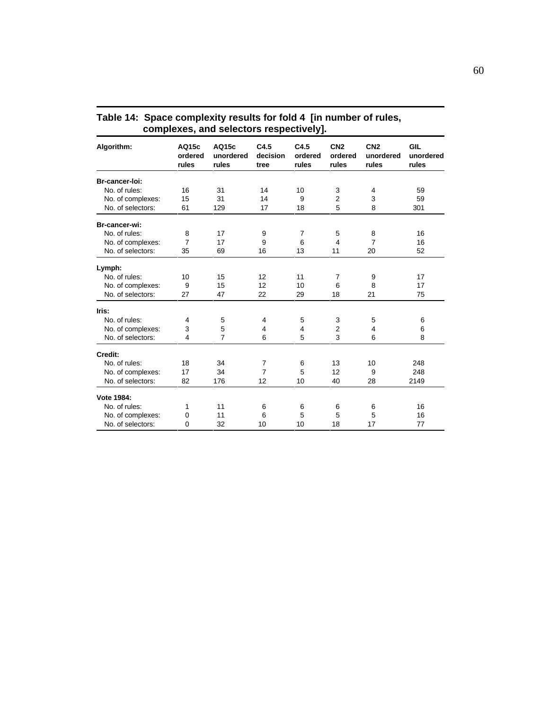| complexes, and selectors respectively).<br><b>GIL</b><br>AQ15c<br>C4.5<br>C4.5<br>CN <sub>2</sub><br>CN <sub>2</sub><br>Algorithm:<br>AQ15c<br>decision<br>ordered<br>ordered<br>ordered<br>unordered<br>unordered<br>rules<br>rules<br>rules<br>rules<br>rules<br>rules<br>tree<br>Br-cancer-loi:<br>No. of rules:<br>59<br>16<br>31<br>14<br>10<br>3<br>4<br>$\overline{2}$<br>3<br>No. of complexes:<br>15<br>14<br>9<br>59<br>31<br>5<br>8<br>No. of selectors:<br>61<br>129<br>17<br>18<br>301<br>Br-cancer-wi:<br>No. of rules:<br>8<br>17<br>7<br>16<br>9<br>5<br>8<br>7<br>$\overline{7}$<br>No. of complexes:<br>17<br>9<br>6<br>$\overline{\mathbf{4}}$<br>16<br>No. of selectors:<br>16<br>13<br>52<br>35<br>69<br>11<br>20<br>Lymph:<br>No. of rules:<br>15<br>12<br>11<br>17<br>10<br>$\overline{7}$<br>9<br>12<br>6<br>17<br>No. of complexes:<br>9<br>15<br>10<br>8<br>47<br>22<br>29<br>18<br>21<br>75<br>No. of selectors:<br>27<br>Iris:<br>No. of rules:<br>5<br>5<br>3<br>5<br>6<br>$\overline{4}$<br>4<br>5<br>No. of complexes:<br>3<br>$\overline{2}$<br>$\overline{4}$<br>6<br>4<br>4<br>$\overline{7}$<br>3<br>6<br>5<br>6<br>8<br>No. of selectors:<br>$\overline{4}$<br>Credit:<br>No. of rules:<br>$\overline{7}$<br>18<br>34<br>13<br>10<br>248<br>6<br>$\overline{7}$<br>5<br>12<br>No. of complexes:<br>17<br>34<br>248<br>9<br>No. of selectors:<br>82<br>176<br>12<br>10<br>40<br>28<br>2149<br>Vote 1984:<br>No. of rules:<br>16<br>11<br>1<br>6<br>6<br>6<br>6 |   |    |    |    |    |    |           |
|---------------------------------------------------------------------------------------------------------------------------------------------------------------------------------------------------------------------------------------------------------------------------------------------------------------------------------------------------------------------------------------------------------------------------------------------------------------------------------------------------------------------------------------------------------------------------------------------------------------------------------------------------------------------------------------------------------------------------------------------------------------------------------------------------------------------------------------------------------------------------------------------------------------------------------------------------------------------------------------------------------------------------------------------------------------------------------------------------------------------------------------------------------------------------------------------------------------------------------------------------------------------------------------------------------------------------------------------------------------------------------------------------------------------------------------------------------------------------------------------------|---|----|----|----|----|----|-----------|
|                                                                                                                                                                                                                                                                                                                                                                                                                                                                                                                                                                                                                                                                                                                                                                                                                                                                                                                                                                                                                                                                                                                                                                                                                                                                                                                                                                                                                                                                                                   |   |    |    |    |    |    | unordered |
|                                                                                                                                                                                                                                                                                                                                                                                                                                                                                                                                                                                                                                                                                                                                                                                                                                                                                                                                                                                                                                                                                                                                                                                                                                                                                                                                                                                                                                                                                                   |   |    |    |    |    |    |           |
|                                                                                                                                                                                                                                                                                                                                                                                                                                                                                                                                                                                                                                                                                                                                                                                                                                                                                                                                                                                                                                                                                                                                                                                                                                                                                                                                                                                                                                                                                                   |   |    |    |    |    |    |           |
|                                                                                                                                                                                                                                                                                                                                                                                                                                                                                                                                                                                                                                                                                                                                                                                                                                                                                                                                                                                                                                                                                                                                                                                                                                                                                                                                                                                                                                                                                                   |   |    |    |    |    |    |           |
|                                                                                                                                                                                                                                                                                                                                                                                                                                                                                                                                                                                                                                                                                                                                                                                                                                                                                                                                                                                                                                                                                                                                                                                                                                                                                                                                                                                                                                                                                                   |   |    |    |    |    |    |           |
|                                                                                                                                                                                                                                                                                                                                                                                                                                                                                                                                                                                                                                                                                                                                                                                                                                                                                                                                                                                                                                                                                                                                                                                                                                                                                                                                                                                                                                                                                                   |   |    |    |    |    |    |           |
|                                                                                                                                                                                                                                                                                                                                                                                                                                                                                                                                                                                                                                                                                                                                                                                                                                                                                                                                                                                                                                                                                                                                                                                                                                                                                                                                                                                                                                                                                                   |   |    |    |    |    |    |           |
|                                                                                                                                                                                                                                                                                                                                                                                                                                                                                                                                                                                                                                                                                                                                                                                                                                                                                                                                                                                                                                                                                                                                                                                                                                                                                                                                                                                                                                                                                                   |   |    |    |    |    |    |           |
|                                                                                                                                                                                                                                                                                                                                                                                                                                                                                                                                                                                                                                                                                                                                                                                                                                                                                                                                                                                                                                                                                                                                                                                                                                                                                                                                                                                                                                                                                                   |   |    |    |    |    |    |           |
|                                                                                                                                                                                                                                                                                                                                                                                                                                                                                                                                                                                                                                                                                                                                                                                                                                                                                                                                                                                                                                                                                                                                                                                                                                                                                                                                                                                                                                                                                                   |   |    |    |    |    |    |           |
|                                                                                                                                                                                                                                                                                                                                                                                                                                                                                                                                                                                                                                                                                                                                                                                                                                                                                                                                                                                                                                                                                                                                                                                                                                                                                                                                                                                                                                                                                                   |   |    |    |    |    |    |           |
|                                                                                                                                                                                                                                                                                                                                                                                                                                                                                                                                                                                                                                                                                                                                                                                                                                                                                                                                                                                                                                                                                                                                                                                                                                                                                                                                                                                                                                                                                                   |   |    |    |    |    |    |           |
|                                                                                                                                                                                                                                                                                                                                                                                                                                                                                                                                                                                                                                                                                                                                                                                                                                                                                                                                                                                                                                                                                                                                                                                                                                                                                                                                                                                                                                                                                                   |   |    |    |    |    |    |           |
|                                                                                                                                                                                                                                                                                                                                                                                                                                                                                                                                                                                                                                                                                                                                                                                                                                                                                                                                                                                                                                                                                                                                                                                                                                                                                                                                                                                                                                                                                                   |   |    |    |    |    |    |           |
|                                                                                                                                                                                                                                                                                                                                                                                                                                                                                                                                                                                                                                                                                                                                                                                                                                                                                                                                                                                                                                                                                                                                                                                                                                                                                                                                                                                                                                                                                                   |   |    |    |    |    |    |           |
|                                                                                                                                                                                                                                                                                                                                                                                                                                                                                                                                                                                                                                                                                                                                                                                                                                                                                                                                                                                                                                                                                                                                                                                                                                                                                                                                                                                                                                                                                                   |   |    |    |    |    |    |           |
|                                                                                                                                                                                                                                                                                                                                                                                                                                                                                                                                                                                                                                                                                                                                                                                                                                                                                                                                                                                                                                                                                                                                                                                                                                                                                                                                                                                                                                                                                                   |   |    |    |    |    |    |           |
|                                                                                                                                                                                                                                                                                                                                                                                                                                                                                                                                                                                                                                                                                                                                                                                                                                                                                                                                                                                                                                                                                                                                                                                                                                                                                                                                                                                                                                                                                                   |   |    |    |    |    |    |           |
|                                                                                                                                                                                                                                                                                                                                                                                                                                                                                                                                                                                                                                                                                                                                                                                                                                                                                                                                                                                                                                                                                                                                                                                                                                                                                                                                                                                                                                                                                                   |   |    |    |    |    |    |           |
|                                                                                                                                                                                                                                                                                                                                                                                                                                                                                                                                                                                                                                                                                                                                                                                                                                                                                                                                                                                                                                                                                                                                                                                                                                                                                                                                                                                                                                                                                                   |   |    |    |    |    |    |           |
|                                                                                                                                                                                                                                                                                                                                                                                                                                                                                                                                                                                                                                                                                                                                                                                                                                                                                                                                                                                                                                                                                                                                                                                                                                                                                                                                                                                                                                                                                                   |   |    |    |    |    |    |           |
|                                                                                                                                                                                                                                                                                                                                                                                                                                                                                                                                                                                                                                                                                                                                                                                                                                                                                                                                                                                                                                                                                                                                                                                                                                                                                                                                                                                                                                                                                                   |   |    |    |    |    |    |           |
|                                                                                                                                                                                                                                                                                                                                                                                                                                                                                                                                                                                                                                                                                                                                                                                                                                                                                                                                                                                                                                                                                                                                                                                                                                                                                                                                                                                                                                                                                                   |   |    |    |    |    |    |           |
| No. of complexes:                                                                                                                                                                                                                                                                                                                                                                                                                                                                                                                                                                                                                                                                                                                                                                                                                                                                                                                                                                                                                                                                                                                                                                                                                                                                                                                                                                                                                                                                                 | 0 | 11 | 6  | 5  | 5  | 5  | 16        |
| No. of selectors:                                                                                                                                                                                                                                                                                                                                                                                                                                                                                                                                                                                                                                                                                                                                                                                                                                                                                                                                                                                                                                                                                                                                                                                                                                                                                                                                                                                                                                                                                 | 0 | 32 | 10 | 10 | 18 | 17 | 77        |

| Table 14: Space complexity results for fold 4 [in number of rules, |
|--------------------------------------------------------------------|
| complexes, and selectors respectively].                            |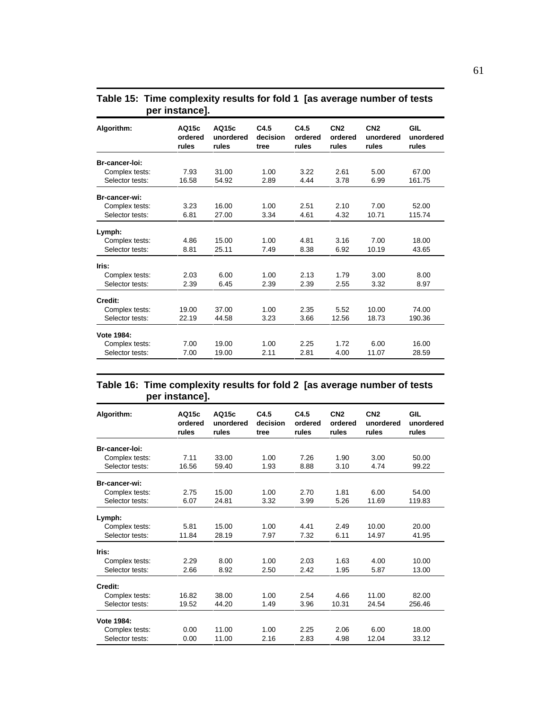| AQ15c<br>ordered<br>rules | AQ15c<br>unordered<br>rules    | C4.5<br>decision<br>tree         | C4.5<br>ordered<br>rules     | CN <sub>2</sub><br>ordered<br>rules | CN <sub>2</sub><br>unordered<br>rules | GIL<br>unordered<br>rules      |
|---------------------------|--------------------------------|----------------------------------|------------------------------|-------------------------------------|---------------------------------------|--------------------------------|
|                           |                                |                                  |                              |                                     |                                       |                                |
|                           |                                |                                  |                              |                                     |                                       | 67.00                          |
|                           |                                |                                  |                              |                                     |                                       |                                |
|                           |                                |                                  |                              |                                     |                                       | 161.75                         |
|                           |                                |                                  |                              |                                     |                                       |                                |
| 3.23                      | 16.00                          | 1.00                             | 2.51                         | 2.10                                | 7.00                                  | 52.00                          |
| 6.81                      | 27.00                          | 3.34                             | 4.61                         | 4.32                                | 10.71                                 | 115.74                         |
|                           |                                |                                  |                              |                                     |                                       |                                |
| 4.86                      | 15.00                          | 1.00                             | 4.81                         | 3.16                                | 7.00                                  | 18.00                          |
| 8.81                      | 25.11                          | 7.49                             | 8.38                         | 6.92                                | 10.19                                 | 43.65                          |
|                           |                                |                                  |                              |                                     |                                       |                                |
| 2.03                      | 6.00                           | 1.00                             | 2.13                         | 1.79                                | 3.00                                  | 8.00                           |
| 2.39                      | 6.45                           | 2.39                             | 2.39                         | 2.55                                | 3.32                                  | 8.97                           |
|                           |                                |                                  |                              |                                     |                                       |                                |
|                           |                                |                                  |                              |                                     |                                       | 74.00                          |
| 22.19                     | 44.58                          | 3.23                             | 3.66                         | 12.56                               | 18.73                                 | 190.36                         |
|                           |                                |                                  |                              |                                     |                                       |                                |
| 7.00                      | 19.00                          | 1.00                             | 2.25                         | 1.72                                | 6.00                                  | 16.00                          |
|                           |                                |                                  |                              |                                     |                                       | 28.59                          |
|                           | 7.93<br>16.58<br>19.00<br>7.00 | 31.00<br>54.92<br>37.00<br>19.00 | 1.00<br>2.89<br>1.00<br>2.11 | 3.22<br>4.44<br>2.35<br>2.81        | 2.61<br>3.78<br>5.52<br>4.00          | 5.00<br>6.99<br>10.00<br>11.07 |

## **Table 15: Time complexity results for fold 1 [as average number of tests per instance].**

## **Table 16: Time complexity results for fold 2 [as average number of tests per instance].**

| Algorithm:      | AQ15c<br>ordered<br>rules | AQ15c<br>unordered<br>rules | C4.5<br>decision<br>tree | C4.5<br>ordered<br>rules | CN <sub>2</sub><br>ordered<br>rules | CN <sub>2</sub><br>unordered<br>rules | GIL<br>unordered<br>rules |
|-----------------|---------------------------|-----------------------------|--------------------------|--------------------------|-------------------------------------|---------------------------------------|---------------------------|
| Br-cancer-loi:  |                           |                             |                          |                          |                                     |                                       |                           |
| Complex tests:  | 7.11                      | 33.00                       | 1.00                     | 7.26                     | 1.90                                | 3.00                                  | 50.00                     |
| Selector tests: | 16.56                     | 59.40                       | 1.93                     | 8.88                     | 3.10                                | 4.74                                  | 99.22                     |
| Br-cancer-wi:   |                           |                             |                          |                          |                                     |                                       |                           |
| Complex tests:  | 2.75                      | 15.00                       | 1.00                     | 2.70                     | 1.81                                | 6.00                                  | 54.00                     |
| Selector tests: | 6.07                      | 24.81                       | 3.32                     | 3.99                     | 5.26                                | 11.69                                 | 119.83                    |
| Lymph:          |                           |                             |                          |                          |                                     |                                       |                           |
| Complex tests:  | 5.81                      | 15.00                       | 1.00                     | 4.41                     | 2.49                                | 10.00                                 | 20.00                     |
| Selector tests: | 11.84                     | 28.19                       | 7.97                     | 7.32                     | 6.11                                | 14.97                                 | 41.95                     |
| Iris:           |                           |                             |                          |                          |                                     |                                       |                           |
| Complex tests:  | 2.29                      | 8.00                        | 1.00                     | 2.03                     | 1.63                                | 4.00                                  | 10.00                     |
| Selector tests: | 2.66                      | 8.92                        | 2.50                     | 2.42                     | 1.95                                | 5.87                                  | 13.00                     |
| Credit:         |                           |                             |                          |                          |                                     |                                       |                           |
| Complex tests:  | 16.82                     | 38.00                       | 1.00                     | 2.54                     | 4.66                                | 11.00                                 | 82.00                     |
| Selector tests: | 19.52                     | 44.20                       | 1.49                     | 3.96                     | 10.31                               | 24.54                                 | 256.46                    |
| Vote 1984:      |                           |                             |                          |                          |                                     |                                       |                           |
| Complex tests:  | 0.00                      | 11.00                       | 1.00                     | 2.25                     | 2.06                                | 6.00                                  | 18.00                     |
| Selector tests: | 0.00                      | 11.00                       | 2.16                     | 2.83                     | 4.98                                | 12.04                                 | 33.12                     |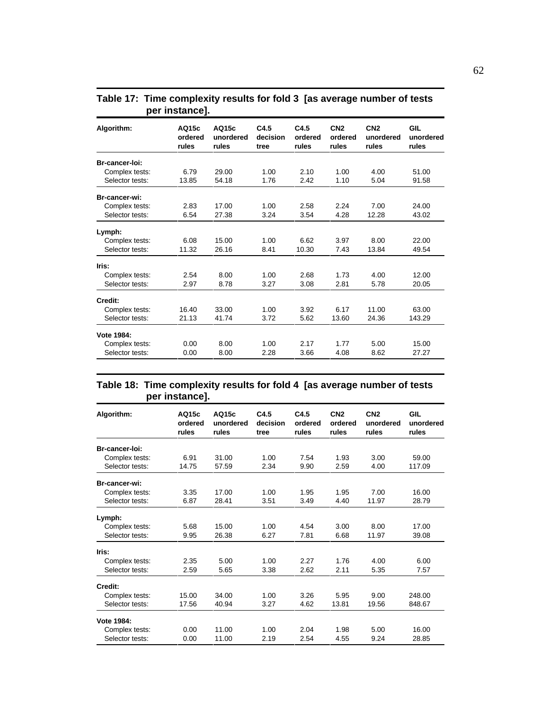| Algorithm:      | AQ15c<br>ordered<br>rules | AQ15c<br>unordered<br>rules | C4.5<br>decision<br>tree | C4.5<br>ordered<br>rules | CN <sub>2</sub><br>ordered<br>rules | CN <sub>2</sub><br>unordered<br>rules | GIL<br>unordered<br>rules |
|-----------------|---------------------------|-----------------------------|--------------------------|--------------------------|-------------------------------------|---------------------------------------|---------------------------|
| Br-cancer-loi:  |                           |                             |                          |                          |                                     |                                       |                           |
| Complex tests:  | 6.79                      | 29.00                       | 1.00                     | 2.10                     | 1.00                                | 4.00                                  | 51.00                     |
| Selector tests: | 13.85                     | 54.18                       | 1.76                     | 2.42                     | 1.10                                | 5.04                                  | 91.58                     |
| Br-cancer-wi:   |                           |                             |                          |                          |                                     |                                       |                           |
| Complex tests:  | 2.83                      | 17.00                       | 1.00                     | 2.58                     | 2.24                                | 7.00                                  | 24.00                     |
| Selector tests: | 6.54                      | 27.38                       | 3.24                     | 3.54                     | 4.28                                | 12.28                                 | 43.02                     |
| Lymph:          |                           |                             |                          |                          |                                     |                                       |                           |
| Complex tests:  | 6.08                      | 15.00                       | 1.00                     | 6.62                     | 3.97                                | 8.00                                  | 22.00                     |
| Selector tests: | 11.32                     | 26.16                       | 8.41                     | 10.30                    | 7.43                                | 13.84                                 | 49.54                     |
| Iris:           |                           |                             |                          |                          |                                     |                                       |                           |
| Complex tests:  | 2.54                      | 8.00                        | 1.00                     | 2.68                     | 1.73                                | 4.00                                  | 12.00                     |
| Selector tests: | 2.97                      | 8.78                        | 3.27                     | 3.08                     | 2.81                                | 5.78                                  | 20.05                     |
| Credit:         |                           |                             |                          |                          |                                     |                                       |                           |
| Complex tests:  | 16.40                     | 33.00                       | 1.00                     | 3.92                     | 6.17                                | 11.00                                 | 63.00                     |
| Selector tests: | 21.13                     | 41.74                       | 3.72                     | 5.62                     | 13.60                               | 24.36                                 | 143.29                    |
| Vote 1984:      |                           |                             |                          |                          |                                     |                                       |                           |
| Complex tests:  | 0.00                      | 8.00                        | 1.00                     | 2.17                     | 1.77                                | 5.00                                  | 15.00                     |
| Selector tests: | 0.00                      | 8.00                        | 2.28                     | 3.66                     | 4.08                                | 8.62                                  | 27.27                     |

## **Table 17: Time complexity results for fold 3 [as average number of tests per instance].**

## **Table 18: Time complexity results for fold 4 [as average number of tests per instance].**

| Algorithm:      | AQ15c<br>ordered<br>rules | AQ15c<br>unordered<br>rules | C4.5<br>decision<br>tree | C4.5<br>ordered<br>rules | CN <sub>2</sub><br>ordered<br>rules | CN <sub>2</sub><br>unordered<br>rules | GIL<br>unordered<br>rules |
|-----------------|---------------------------|-----------------------------|--------------------------|--------------------------|-------------------------------------|---------------------------------------|---------------------------|
| Br-cancer-loi:  |                           |                             |                          |                          |                                     |                                       |                           |
| Complex tests:  | 6.91                      | 31.00                       | 1.00                     | 7.54                     | 1.93                                | 3.00                                  | 59.00                     |
| Selector tests: | 14.75                     | 57.59                       | 2.34                     | 9.90                     | 2.59                                | 4.00                                  | 117.09                    |
| Br-cancer-wi:   |                           |                             |                          |                          |                                     |                                       |                           |
| Complex tests:  | 3.35                      | 17.00                       | 1.00                     | 1.95                     | 1.95                                | 7.00                                  | 16.00                     |
| Selector tests: | 6.87                      | 28.41                       | 3.51                     | 3.49                     | 4.40                                | 11.97                                 | 28.79                     |
| Lymph:          |                           |                             |                          |                          |                                     |                                       |                           |
| Complex tests:  | 5.68                      | 15.00                       | 1.00                     | 4.54                     | 3.00                                | 8.00                                  | 17.00                     |
| Selector tests: | 9.95                      | 26.38                       | 6.27                     | 7.81                     | 6.68                                | 11.97                                 | 39.08                     |
| Iris:           |                           |                             |                          |                          |                                     |                                       |                           |
| Complex tests:  | 2.35                      | 5.00                        | 1.00                     | 2.27                     | 1.76                                | 4.00                                  | 6.00                      |
| Selector tests: | 2.59                      | 5.65                        | 3.38                     | 2.62                     | 2.11                                | 5.35                                  | 7.57                      |
| Credit:         |                           |                             |                          |                          |                                     |                                       |                           |
| Complex tests:  | 15.00                     | 34.00                       | 1.00                     | 3.26                     | 5.95                                | 9.00                                  | 248.00                    |
| Selector tests: | 17.56                     | 40.94                       | 3.27                     | 4.62                     | 13.81                               | 19.56                                 | 848.67                    |
| Vote 1984:      |                           |                             |                          |                          |                                     |                                       |                           |
| Complex tests:  | 0.00                      | 11.00                       | 1.00                     | 2.04                     | 1.98                                | 5.00                                  | 16.00                     |
| Selector tests: | 0.00                      | 11.00                       | 2.19                     | 2.54                     | 4.55                                | 9.24                                  | 28.85                     |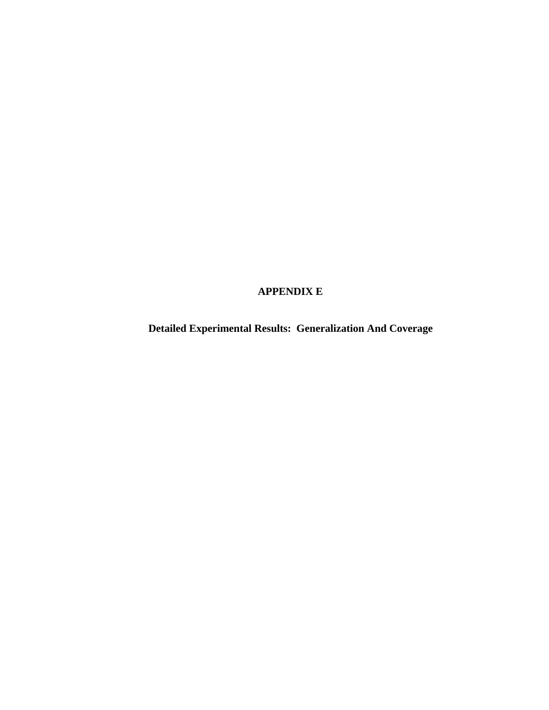# **APPENDIX E**

**Detailed Experimental Results: Generalization And Coverage**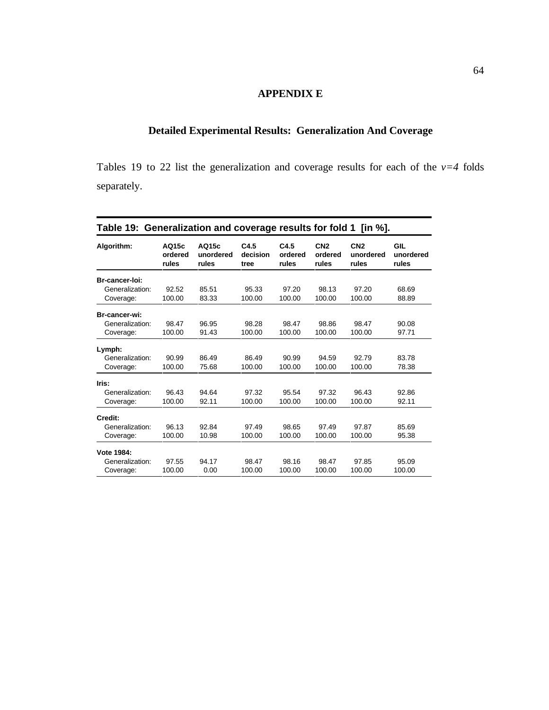## **APPENDIX E**

## **Detailed Experimental Results: Generalization And Coverage**

Tables 19 to 22 list the generalization and coverage results for each of the  $v=4$  folds separately.

| Table 19: Generalization and coverage results for fold 1 [in %]. |                           |                             |                          |                          |                                     |                                       |                           |  |  |
|------------------------------------------------------------------|---------------------------|-----------------------------|--------------------------|--------------------------|-------------------------------------|---------------------------------------|---------------------------|--|--|
| Algorithm:                                                       | AQ15c<br>ordered<br>rules | AQ15c<br>unordered<br>rules | C4.5<br>decision<br>tree | C4.5<br>ordered<br>rules | CN <sub>2</sub><br>ordered<br>rules | CN <sub>2</sub><br>unordered<br>rules | GIL<br>unordered<br>rules |  |  |
| Br-cancer-loi:                                                   |                           |                             |                          |                          |                                     |                                       |                           |  |  |
| Generalization:                                                  | 92.52                     | 85.51                       | 95.33                    | 97.20                    | 98.13                               | 97.20                                 | 68.69                     |  |  |
| Coverage:                                                        | 100.00                    | 83.33                       | 100.00                   | 100.00                   | 100.00                              | 100.00                                | 88.89                     |  |  |
| Br-cancer-wi:                                                    |                           |                             |                          |                          |                                     |                                       |                           |  |  |
| Generalization:                                                  | 98.47                     | 96.95                       | 98.28                    | 98.47                    | 98.86                               | 98.47                                 | 90.08                     |  |  |
| Coverage:                                                        | 100.00                    | 91.43                       | 100.00                   | 100.00                   | 100.00                              | 100.00                                | 97.71                     |  |  |
| Lymph:                                                           |                           |                             |                          |                          |                                     |                                       |                           |  |  |
| Generalization:                                                  | 90.99                     | 86.49                       | 86.49                    | 90.99                    | 94.59                               | 92.79                                 | 83.78                     |  |  |
| Coverage:                                                        | 100.00                    | 75.68                       | 100.00                   | 100.00                   | 100.00                              | 100.00                                | 78.38                     |  |  |
| Iris:                                                            |                           |                             |                          |                          |                                     |                                       |                           |  |  |
| Generalization:                                                  | 96.43                     | 94.64                       | 97.32                    | 95.54                    | 97.32                               | 96.43                                 | 92.86                     |  |  |
| Coverage:                                                        | 100.00                    | 92.11                       | 100.00                   | 100.00                   | 100.00                              | 100.00                                | 92.11                     |  |  |
| Credit:                                                          |                           |                             |                          |                          |                                     |                                       |                           |  |  |
| Generalization:                                                  | 96.13                     | 92.84                       | 97.49                    | 98.65                    | 97.49                               | 97.87                                 | 85.69                     |  |  |
| Coverage:                                                        | 100.00                    | 10.98                       | 100.00                   | 100.00                   | 100.00                              | 100.00                                | 95.38                     |  |  |
| Vote 1984:                                                       |                           |                             |                          |                          |                                     |                                       |                           |  |  |
| Generalization:                                                  | 97.55                     | 94.17                       | 98.47                    | 98.16                    | 98.47                               | 97.85                                 | 95.09                     |  |  |
| Coverage:                                                        | 100.00                    | 0.00                        | 100.00                   | 100.00                   | 100.00                              | 100.00                                | 100.00                    |  |  |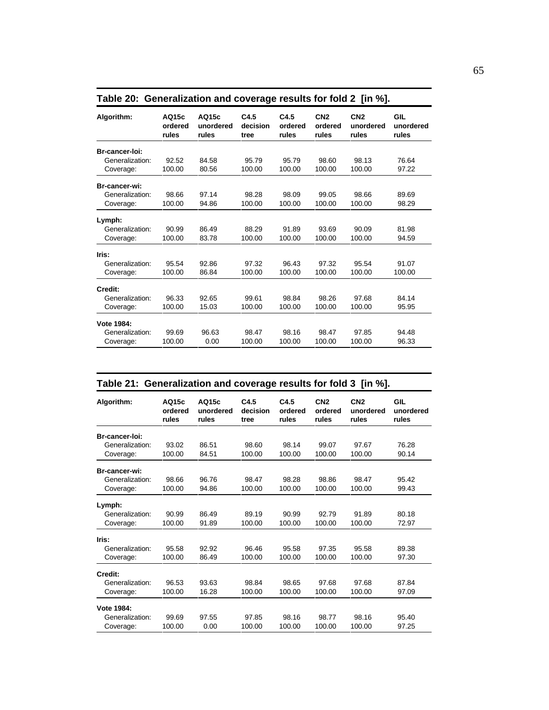| Algorithm:      | AQ15c<br>ordered<br>rules | AQ15c<br>unordered<br>rules | C4.5<br>decision<br>tree | C4.5<br>ordered<br>rules | CN <sub>2</sub><br>ordered<br>rules | CN <sub>2</sub><br>unordered<br>rules | GIL<br>unordered<br>rules |
|-----------------|---------------------------|-----------------------------|--------------------------|--------------------------|-------------------------------------|---------------------------------------|---------------------------|
| Br-cancer-loi:  |                           |                             |                          |                          |                                     |                                       |                           |
| Generalization: | 92.52                     | 84.58                       | 95.79                    | 95.79                    | 98.60                               | 98.13                                 | 76.64                     |
| Coverage:       | 100.00                    | 80.56                       | 100.00                   | 100.00                   | 100.00                              | 100.00                                | 97.22                     |
| Br-cancer-wi:   |                           |                             |                          |                          |                                     |                                       |                           |
| Generalization: | 98.66                     | 97.14                       | 98.28                    | 98.09                    | 99.05                               | 98.66                                 | 89.69                     |
| Coverage:       | 100.00                    | 94.86                       | 100.00                   | 100.00                   | 100.00                              | 100.00                                | 98.29                     |
| Lymph:          |                           |                             |                          |                          |                                     |                                       |                           |
| Generalization: | 90.99                     | 86.49                       | 88.29                    | 91.89                    | 93.69                               | 90.09                                 | 81.98                     |
| Coverage:       | 100.00                    | 83.78                       | 100.00                   | 100.00                   | 100.00                              | 100.00                                | 94.59                     |
| Iris:           |                           |                             |                          |                          |                                     |                                       |                           |
| Generalization: | 95.54                     | 92.86                       | 97.32                    | 96.43                    | 97.32                               | 95.54                                 | 91.07                     |
| Coverage:       | 100.00                    | 86.84                       | 100.00                   | 100.00                   | 100.00                              | 100.00                                | 100.00                    |
| Credit:         |                           |                             |                          |                          |                                     |                                       |                           |
| Generalization: | 96.33                     | 92.65                       | 99.61                    | 98.84                    | 98.26                               | 97.68                                 | 84.14                     |
| Coverage:       | 100.00                    | 15.03                       | 100.00                   | 100.00                   | 100.00                              | 100.00                                | 95.95                     |
| Vote 1984:      |                           |                             |                          |                          |                                     |                                       |                           |
| Generalization: | 99.69                     | 96.63                       | 98.47                    | 98.16                    | 98.47                               | 97.85                                 | 94.48                     |
| Coverage:       | 100.00                    | 0.00                        | 100.00                   | 100.00                   | 100.00                              | 100.00                                | 96.33                     |

| Table 20: Generalization and coverage results for fold 2 [in %]. |  |  |
|------------------------------------------------------------------|--|--|

| Table 21: Generalization and coverage results for fold 3 [in %]. |                           |                             |                          |                          |                                     |                                       |                           |  |  |
|------------------------------------------------------------------|---------------------------|-----------------------------|--------------------------|--------------------------|-------------------------------------|---------------------------------------|---------------------------|--|--|
| Algorithm:                                                       | AQ15c<br>ordered<br>rules | AQ15c<br>unordered<br>rules | C4.5<br>decision<br>tree | C4.5<br>ordered<br>rules | CN <sub>2</sub><br>ordered<br>rules | CN <sub>2</sub><br>unordered<br>rules | GIL<br>unordered<br>rules |  |  |
| Br-cancer-loi:                                                   |                           |                             |                          |                          |                                     |                                       |                           |  |  |
| Generalization:                                                  | 93.02                     | 86.51                       | 98.60                    | 98.14                    | 99.07                               | 97.67                                 | 76.28                     |  |  |
| Coverage:                                                        | 100.00                    | 84.51                       | 100.00                   | 100.00                   | 100.00                              | 100.00                                | 90.14                     |  |  |
| Br-cancer-wi:                                                    |                           |                             |                          |                          |                                     |                                       |                           |  |  |
| Generalization:                                                  | 98.66                     | 96.76                       | 98.47                    | 98.28                    | 98.86                               | 98.47                                 | 95.42                     |  |  |
| Coverage:                                                        | 100.00                    | 94.86                       | 100.00                   | 100.00                   | 100.00                              | 100.00                                | 99.43                     |  |  |
| Lymph:                                                           |                           |                             |                          |                          |                                     |                                       |                           |  |  |
| Generalization:                                                  | 90.99                     | 86.49                       | 89.19                    | 90.99                    | 92.79                               | 91.89                                 | 80.18                     |  |  |
| Coverage:                                                        | 100.00                    | 91.89                       | 100.00                   | 100.00                   | 100.00                              | 100.00                                | 72.97                     |  |  |
| Iris:                                                            |                           |                             |                          |                          |                                     |                                       |                           |  |  |
| Generalization:                                                  | 95.58                     | 92.92                       | 96.46                    | 95.58                    | 97.35                               | 95.58                                 | 89.38                     |  |  |
| Coverage:                                                        | 100.00                    | 86.49                       | 100.00                   | 100.00                   | 100.00                              | 100.00                                | 97.30                     |  |  |
| Credit:                                                          |                           |                             |                          |                          |                                     |                                       |                           |  |  |
| Generalization:                                                  | 96.53                     | 93.63                       | 98.84                    | 98.65                    | 97.68                               | 97.68                                 | 87.84                     |  |  |
| Coverage:                                                        | 100.00                    | 16.28                       | 100.00                   | 100.00                   | 100.00                              | 100.00                                | 97.09                     |  |  |
| Vote 1984:                                                       |                           |                             |                          |                          |                                     |                                       |                           |  |  |
| Generalization:                                                  | 99.69                     | 97.55                       | 97.85                    | 98.16                    | 98.77                               | 98.16                                 | 95.40                     |  |  |
| Coverage:                                                        | 100.00                    | 0.00                        | 100.00                   | 100.00                   | 100.00                              | 100.00                                | 97.25                     |  |  |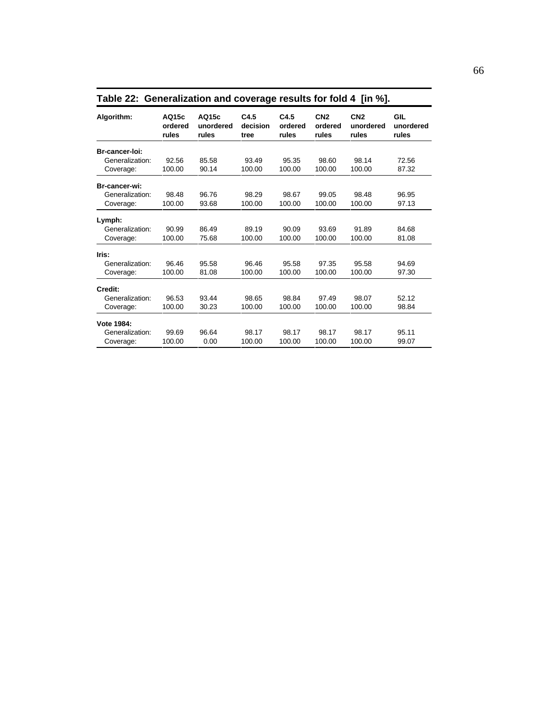| Algorithm:      | AQ15c<br>ordered<br>rules | AQ15c<br>unordered<br>rules | C4.5<br>decision<br>tree | C4.5<br>ordered<br>rules | CN <sub>2</sub><br>ordered<br>rules | CN <sub>2</sub><br>unordered<br>rules | GIL<br>unordered<br>rules |
|-----------------|---------------------------|-----------------------------|--------------------------|--------------------------|-------------------------------------|---------------------------------------|---------------------------|
| Br-cancer-loi:  |                           |                             |                          |                          |                                     |                                       |                           |
| Generalization: | 92.56                     | 85.58                       | 93.49                    | 95.35                    | 98.60                               | 98.14                                 | 72.56                     |
| Coverage:       | 100.00                    | 90.14                       | 100.00                   | 100.00                   | 100.00                              | 100.00                                | 87.32                     |
| Br-cancer-wi:   |                           |                             |                          |                          |                                     |                                       |                           |
| Generalization: | 98.48                     | 96.76                       | 98.29                    | 98.67                    | 99.05                               | 98.48                                 | 96.95                     |
| Coverage:       | 100.00                    | 93.68                       | 100.00                   | 100.00                   | 100.00                              | 100.00                                | 97.13                     |
| Lymph:          |                           |                             |                          |                          |                                     |                                       |                           |
| Generalization: | 90.99                     | 86.49                       | 89.19                    | 90.09                    | 93.69                               | 91.89                                 | 84.68                     |
| Coverage:       | 100.00                    | 75.68                       | 100.00                   | 100.00                   | 100.00                              | 100.00                                | 81.08                     |
| Iris:           |                           |                             |                          |                          |                                     |                                       |                           |
| Generalization: | 96.46                     | 95.58                       | 96.46                    | 95.58                    | 97.35                               | 95.58                                 | 94.69                     |
| Coverage:       | 100.00                    | 81.08                       | 100.00                   | 100.00                   | 100.00                              | 100.00                                | 97.30                     |
| Credit:         |                           |                             |                          |                          |                                     |                                       |                           |
| Generalization: | 96.53                     | 93.44                       | 98.65                    | 98.84                    | 97.49                               | 98.07                                 | 52.12                     |
| Coverage:       | 100.00                    | 30.23                       | 100.00                   | 100.00                   | 100.00                              | 100.00                                | 98.84                     |
| Vote 1984:      |                           |                             |                          |                          |                                     |                                       |                           |
| Generalization: | 99.69                     | 96.64                       | 98.17                    | 98.17                    | 98.17                               | 98.17                                 | 95.11                     |
| Coverage:       | 100.00                    | 0.00                        | 100.00                   | 100.00                   | 100.00                              | 100.00                                | 99.07                     |

**Table 22: Generalization and coverage results for fold 4 [in %].**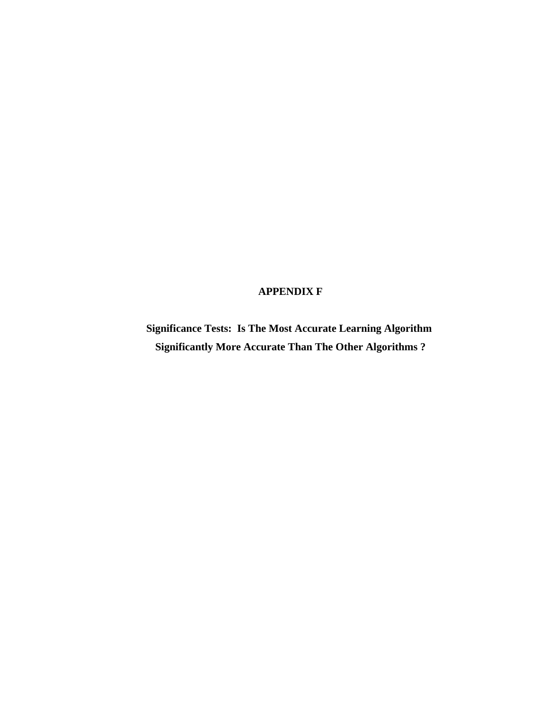## **APPENDIX F**

**Significance Tests: Is The Most Accurate Learning Algorithm Significantly More Accurate Than The Other Algorithms ?**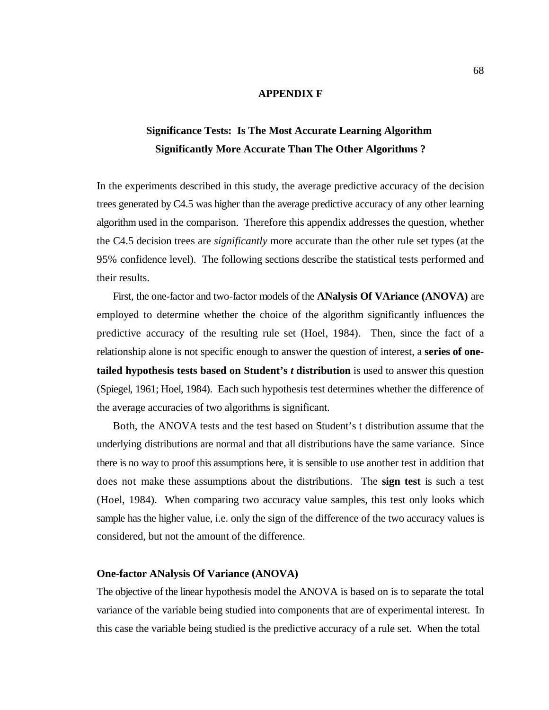### **APPENDIX F**

# **Significance Tests: Is The Most Accurate Learning Algorithm Significantly More Accurate Than The Other Algorithms ?**

In the experiments described in this study, the average predictive accuracy of the decision trees generated by C4.5 was higher than the average predictive accuracy of any other learning algorithm used in the comparison. Therefore this appendix addresses the question, whether the C4.5 decision trees are *significantly* more accurate than the other rule set types (at the 95% confidence level). The following sections describe the statistical tests performed and their results.

First, the one-factor and two-factor models of the **ANalysis Of VAriance (ANOVA)** are employed to determine whether the choice of the algorithm significantly influences the predictive accuracy of the resulting rule set (Hoel, 1984). Then, since the fact of a relationship alone is not specific enough to answer the question of interest, a **series of onetailed hypothesis tests based on Student's** *t* **distribution** is used to answer this question (Spiegel, 1961; Hoel, 1984). Each such hypothesis test determines whether the difference of the average accuracies of two algorithms is significant.

Both, the ANOVA tests and the test based on Student's t distribution assume that the underlying distributions are normal and that all distributions have the same variance. Since there is no way to proof this assumptions here, it is sensible to use another test in addition that does not make these assumptions about the distributions. The **sign test** is such a test (Hoel, 1984). When comparing two accuracy value samples, this test only looks which sample has the higher value, i.e. only the sign of the difference of the two accuracy values is considered, but not the amount of the difference.

#### **One-factor ANalysis Of Variance (ANOVA)**

The objective of the linear hypothesis model the ANOVA is based on is to separate the total variance of the variable being studied into components that are of experimental interest. In this case the variable being studied is the predictive accuracy of a rule set. When the total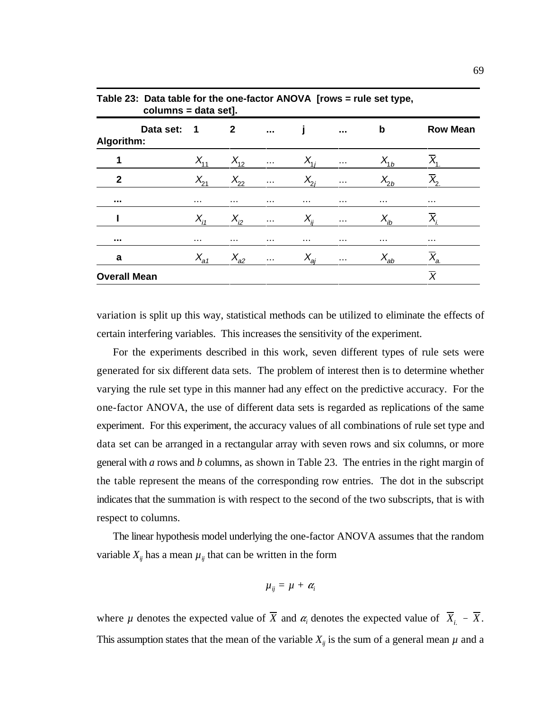|                         | columns = data set].    |                |               |          |                      |          |                   |  |  |
|-------------------------|-------------------------|----------------|---------------|----------|----------------------|----------|-------------------|--|--|
| Data set:<br>Algorithm: | $\overline{\mathbf{1}}$ | $\overline{2}$ | $\cdots$      |          | $\sim$ $\sim$        | b        | <b>Row Mean</b>   |  |  |
| 1                       | $X_{11}$                | $X_{12}$       | $\cdots$      | $X_{ii}$ | $\sim$ $\sim$ $\sim$ | $X_{1b}$ |                   |  |  |
| $\mathbf{2}$            | $X_{21}$                | $X_{22}$       | $\cdots$      | $X_{2i}$ | $\sim$ $\sim$        | $X_{2b}$ | $X_{2}$           |  |  |
| $\sim$ $\sim$ $\sim$    | $\cdots$                | $\cdots$       | $\cdots$      | $\cdots$ | $\cdots$             | $\cdots$ | $\cdots$          |  |  |
|                         | $X_{i1}$                | $X_{i2}$       | $\sim$ $\sim$ | $X_{ii}$ | $\sim$ $\sim$        | $X_{ib}$ | $X_i$             |  |  |
| $\sim$ $\sim$ $\sim$    | $\cdots$                |                | $\cdots$      | $\cdots$ | $\cdots$             | $\cdots$ | $\cdots$          |  |  |
| a                       | $X_{a1}$                | $X_{a2}$       | $\sim$ $\sim$ | $X_{ai}$ | $\sim$ $\sim$        | $X_{ab}$ | $\overline{X}_a$  |  |  |
| <b>Overall Mean</b>     |                         |                |               |          |                      |          | $\overline{\chi}$ |  |  |

**Table 23: Data table for the one-factor ANOVA [rows = rule set type,** 

variation is split up this way, statistical methods can be utilized to eliminate the effects of certain interfering variables. This increases the sensitivity of the experiment.

For the experiments described in this work, seven different types of rule sets were generated for six different data sets. The problem of interest then is to determine whether varying the rule set type in this manner had any effect on the predictive accuracy. For the one-factor ANOVA, the use of different data sets is regarded as replications of the same experiment. For this experiment, the accuracy values of all combinations of rule set type and data set can be arranged in a rectangular array with seven rows and six columns, or more general with *a* rows and *b* columns, as shown in Table 23. The entries in the right margin of the table represent the means of the corresponding row entries. The dot in the subscript indicates that the summation is with respect to the second of the two subscripts, that is with respect to columns.

The linear hypothesis model underlying the one-factor ANOVA assumes that the random variable  $X_{ij}$  has a mean  $\mu_{ij}$  that can be written in the form

$$
\mu_{ij} = \mu + \alpha_i
$$

where *µ* denotes the expected value of  $\overline{X}$  and  $\alpha_i$  denotes the expected value of  $\overline{X}_{i.}$  –  $\overline{X}$ . This assumption states that the mean of the variable  $X_{ij}$  is the sum of a general mean  $\mu$  and a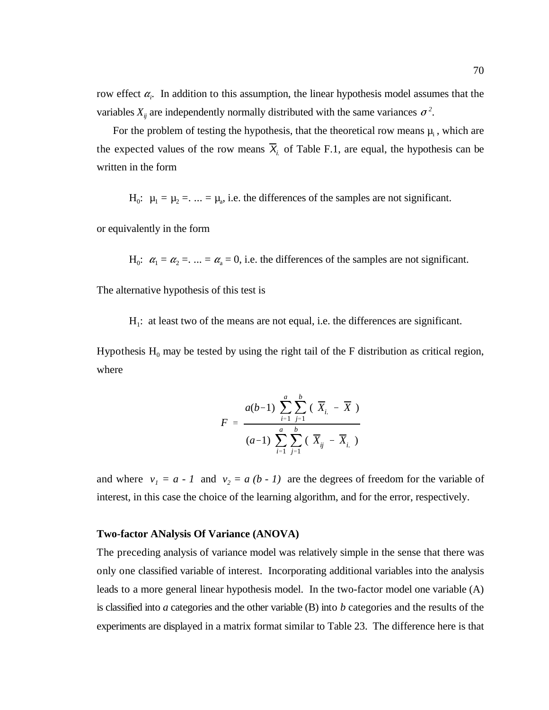row effect  $\alpha$ . In addition to this assumption, the linear hypothesis model assumes that the variables  $X_{ij}$  are independently normally distributed with the same variances  $\sigma^2$ .

the expected values of the row means  $\overline{X}_{i}$  of Table F.1, are equal, the hypothesis can be For the problem of testing the hypothesis, that the theoretical row means  $\mu_i$ , which are written in the form

 $H_0$ :  $\mu_1 = \mu_2 = ... = \mu_a$ , i.e. the differences of the samples are not significant.

or equivalently in the form

 $H_0$ :  $\alpha_1 = \alpha_2 = ... = \alpha_a = 0$ , i.e. the differences of the samples are not significant.

The alternative hypothesis of this test is

 $H<sub>1</sub>$ : at least two of the means are not equal, i.e. the differences are significant.

Hypothesis  $H_0$  may be tested by using the right tail of the F distribution as critical region, where

$$
F = \frac{a(b-1)\sum_{i=1}^{a}\sum_{j=1}^{b}(\overline{X}_{i.} - \overline{X})}{(a-1)\sum_{i=1}^{a}\sum_{j=1}^{b}(\overline{X}_{ij} - \overline{X}_{i.})}
$$

and where  $v_1 = a - 1$  and  $v_2 = a (b - 1)$  are the degrees of freedom for the variable of interest, in this case the choice of the learning algorithm, and for the error, respectively.

#### **Two-factor ANalysis Of Variance (ANOVA)**

The preceding analysis of variance model was relatively simple in the sense that there was only one classified variable of interest. Incorporating additional variables into the analysis leads to a more general linear hypothesis model. In the two-factor model one variable (A) is classified into *a* categories and the other variable (B) into *b* categories and the results of the experiments are displayed in a matrix format similar to Table 23. The difference here is that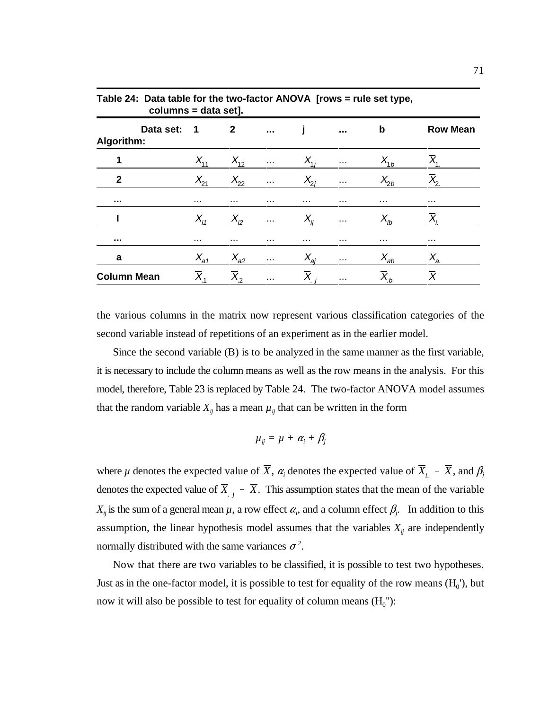|                    |           | columns = data setj. |                    |               |          |                      |          |                 |
|--------------------|-----------|----------------------|--------------------|---------------|----------|----------------------|----------|-----------------|
| Algorithm:         | Data set: | 1                    | $\mathbf{2}$       | $\sim$ $\sim$ |          | $\sim$ $\sim$        | b        | <b>Row Mean</b> |
| 1                  |           | $X_{11}$             | $X_{12}$           | $\sim$ $\sim$ | $X_{1i}$ | $\sim$ $\sim$ $\sim$ | $X_{1b}$ |                 |
| $\mathbf{2}$       |           | $X_{21}$             | $X_{22}$           | $\cdots$      | $X_{2i}$ | $\sim$ $\sim$        | $X_{2b}$ | $X_{2}$         |
|                    |           | .                    | $\cdots$           | .             | .        | $\cdots$             | $\cdots$ | $\cdots$        |
|                    |           | $X_{i1}$             | $X_{i2}$           | $\cdots$      | $X_{ii}$ | $\cdots$             | $X_{ib}$ |                 |
|                    |           | $\cdots$             | $\cdots$           | $\cdots$      | $\cdots$ | $\cdots$             | $\cdots$ | $\cdots$        |
| a                  |           | $X_{a1}$             | $X_{a2}$           | $\cdots$      | $X_{ai}$ | $\sim$ $\sim$        | $X_{ab}$ | $X_{a}$         |
| <b>Column Mean</b> |           | $\overline{X}_1$     | $\overline{X}_{2}$ | $\cdots$      | $\chi$   | $\sim$ $\sim$        | $X_{b}$  | $\overline{X}$  |

**Table 24: Data table for the two-factor ANOVA [rows = rule set type, columns = data set].**

the various columns in the matrix now represent various classification categories of the second variable instead of repetitions of an experiment as in the earlier model.

Since the second variable (B) is to be analyzed in the same manner as the first variable, it is necessary to include the column means as well as the row means in the analysis. For this model, therefore, Table 23 is replaced by Table 24. The two-factor ANOVA model assumes that the random variable  $X_{ij}$  has a mean  $\mu_{ij}$  that can be written in the form

$$
\mu_{ij} = \mu + \alpha_i + \beta_j
$$

where  $\mu$  denotes the expected value of  $\overline{X}$ ,  $\alpha_i$  denotes the expected value of  $\overline{X}_{i}$  –  $\overline{X}$ , and  $\beta_j$ denotes the expected value of  $\overline{X}_{j}$  –  $\overline{X}$ . This assumption states that the mean of the variable  $X_{ij}$  is the sum of a general mean  $\mu$ , a row effect  $\alpha_i$ , and a column effect  $\beta_i$ . In addition to this assumption, the linear hypothesis model assumes that the variables  $X_{ij}$  are independently normally distributed with the same variances  $\sigma^2$ .

Now that there are two variables to be classified, it is possible to test two hypotheses. Just as in the one-factor model, it is possible to test for equality of the row means  $(H<sub>0</sub>)$ , but now it will also be possible to test for equality of column means  $(H_0'')$ :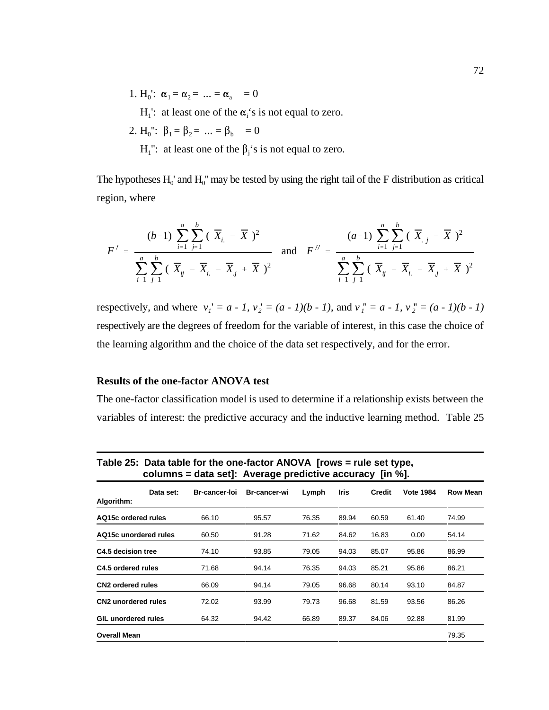1.  $H_0$ :  $\alpha_1 = \alpha_2 = ... = \alpha_a = 0$ 

 $H_1$ : at least one of the  $\alpha_i$ 's is not equal to zero.

- 2.  $H_0''$ :  $\beta_1 = \beta_2 = ... = \beta_b = 0$ 
	- $H_1$ ": at least one of the  $\beta_i$ 's is not equal to zero.

The hypotheses  $H_0'$  and  $H_0''$  may be tested by using the right tail of the F distribution as critical region, where

$$
F' = \frac{(b-1)\sum_{i=1}^{a}\sum_{j=1}^{b}(\overline{X}_{i.} - \overline{X})^{2}}{\sum_{i=1}^{a}\sum_{j=1}^{b}(\overline{X}_{ij} - \overline{X}_{i.} - \overline{X}_{j} + \overline{X})^{2}} \text{ and } F'' = \frac{(a-1)\sum_{i=1}^{a}\sum_{j=1}^{b}(\overline{X}_{i.} - \overline{X}_{j}^{2})^{2}}{\sum_{i=1}^{a}\sum_{j=1}^{b}(\overline{X}_{ij} - \overline{X}_{i.} - \overline{X}_{j}^{2} + \overline{X})^{2}}
$$

respectively, and where  $v_1' = a - 1$ ,  $v_2' = (a - 1)(b - 1)$ , and  $v_1'' = a - 1$ ,  $v_2'' = (a - 1)(b - 1)$ respectively are the degrees of freedom for the variable of interest, in this case the choice of the learning algorithm and the choice of the data set respectively, and for the error.

### **Results of the one-factor ANOVA test**

The one-factor classification model is used to determine if a relationship exists between the variables of interest: the predictive accuracy and the inductive learning method. Table 25

|                            | Table 25. Data table for the one-factor ANOVA from $\frac{1}{2}$ rule set type,<br>columns = data set]: Average predictive accuracy [in $\%$ ]. |                     |       |       |        |                  |                 |  |  |  |
|----------------------------|-------------------------------------------------------------------------------------------------------------------------------------------------|---------------------|-------|-------|--------|------------------|-----------------|--|--|--|
| Data set:<br>Algorithm:    | <b>Br-cancer-loi</b>                                                                                                                            | <b>Br-cancer-wi</b> | Lymph | Iris  | Credit | <b>Vote 1984</b> | <b>Row Mean</b> |  |  |  |
| AQ15c ordered rules        | 66.10                                                                                                                                           | 95.57               | 76.35 | 89.94 | 60.59  | 61.40            | 74.99           |  |  |  |
| AQ15c unordered rules      | 60.50                                                                                                                                           | 91.28               | 71.62 | 84.62 | 16.83  | 0.00             | 54.14           |  |  |  |
| C4.5 decision tree         | 74.10                                                                                                                                           | 93.85               | 79.05 | 94.03 | 85.07  | 95.86            | 86.99           |  |  |  |
| C4.5 ordered rules         | 71.68                                                                                                                                           | 94.14               | 76.35 | 94.03 | 85.21  | 95.86            | 86.21           |  |  |  |
| <b>CN2</b> ordered rules   | 66.09                                                                                                                                           | 94.14               | 79.05 | 96.68 | 80.14  | 93.10            | 84.87           |  |  |  |
| <b>CN2</b> unordered rules | 72.02                                                                                                                                           | 93.99               | 79.73 | 96.68 | 81.59  | 93.56            | 86.26           |  |  |  |
| <b>GIL unordered rules</b> | 64.32                                                                                                                                           | 94.42               | 66.89 | 89.37 | 84.06  | 92.88            | 81.99           |  |  |  |
| <b>Overall Mean</b>        |                                                                                                                                                 |                     |       |       |        |                  | 79.35           |  |  |  |

**Table 25: Data table for the one-factor ANOVA [rows = rule set type,**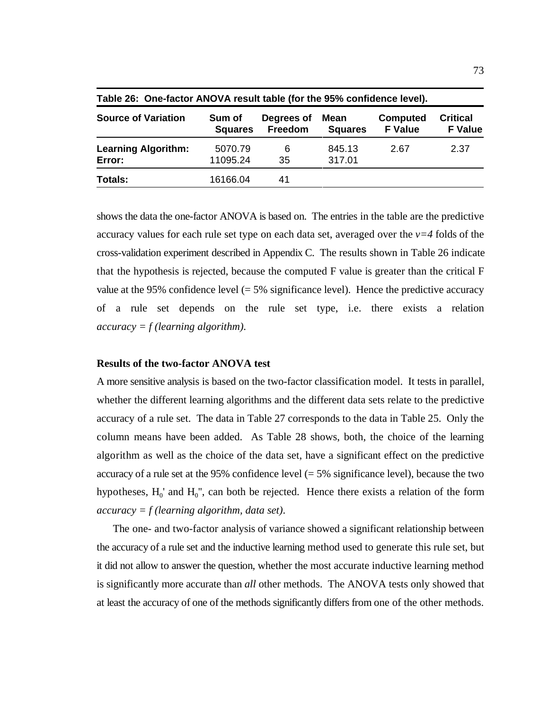| Table 20. Offeractor ANOVA result table (for the 99% confidence level). |                          |                       |                        |                                   |                                   |  |  |  |  |  |
|-------------------------------------------------------------------------|--------------------------|-----------------------|------------------------|-----------------------------------|-----------------------------------|--|--|--|--|--|
| <b>Source of Variation</b>                                              | Sum of<br><b>Squares</b> | Degrees of<br>Freedom | Mean<br><b>Squares</b> | <b>Computed</b><br><b>F</b> Value | <b>Critical</b><br><b>F</b> Value |  |  |  |  |  |
| <b>Learning Algorithm:</b>                                              | 5070.79                  | 6                     | 845.13                 | 2.67                              | 2.37                              |  |  |  |  |  |
| Error:                                                                  | 11095.24                 | 35                    | 317.01                 |                                   |                                   |  |  |  |  |  |
| Totals:                                                                 | 16166.04                 | 41                    |                        |                                   |                                   |  |  |  |  |  |

**Table 26: One-factor ANOVA result table (for the 95% confidence level).**

shows the data the one-factor ANOVA is based on. The entries in the table are the predictive accuracy values for each rule set type on each data set, averaged over the *v=4* folds of the cross-validation experiment described in Appendix C. The results shown in Table 26 indicate that the hypothesis is rejected, because the computed F value is greater than the critical F value at the 95% confidence level  $(= 5\%$  significance level). Hence the predictive accuracy of a rule set depends on the rule set type, i.e. there exists a relation *accuracy = f (learning algorithm)*.

### **Results of the two-factor ANOVA test**

A more sensitive analysis is based on the two-factor classification model. It tests in parallel, whether the different learning algorithms and the different data sets relate to the predictive accuracy of a rule set. The data in Table 27 corresponds to the data in Table 25. Only the column means have been added. As Table 28 shows, both, the choice of the learning algorithm as well as the choice of the data set, have a significant effect on the predictive accuracy of a rule set at the 95% confidence level  $(= 5\%$  significance level), because the two hypotheses,  $H_0'$  and  $H_0''$ , can both be rejected. Hence there exists a relation of the form *accuracy = f (learning algorithm, data set)*.

The one- and two-factor analysis of variance showed a significant relationship between the accuracy of a rule set and the inductive learning method used to generate this rule set, but it did not allow to answer the question, whether the most accurate inductive learning method is significantly more accurate than *all* other methods. The ANOVA tests only showed that at least the accuracy of one of the methods significantly differs from one of the other methods.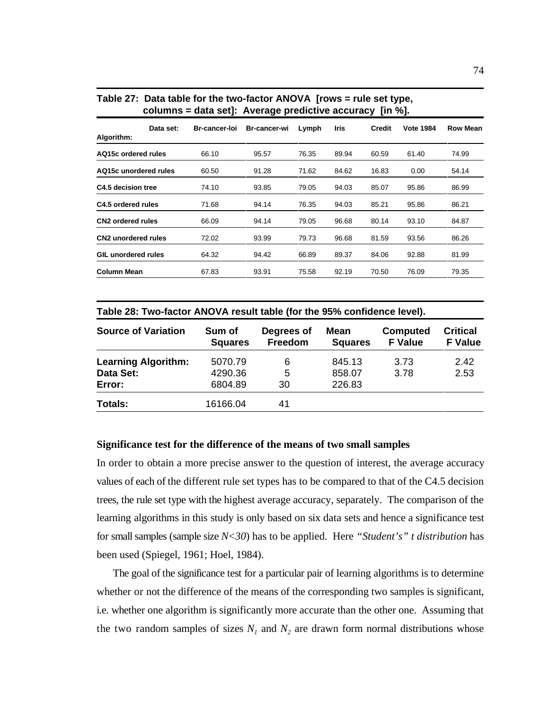|                               |           |                      | 3 - r               |       |       |               |                  |                 |
|-------------------------------|-----------|----------------------|---------------------|-------|-------|---------------|------------------|-----------------|
| Algorithm:                    | Data set: | <b>Br-cancer-loi</b> | <b>Br-cancer-wi</b> | Lymph | Iris  | <b>Credit</b> | <b>Vote 1984</b> | <b>Row Mean</b> |
| AQ15c ordered rules           |           | 66.10                | 95.57               | 76.35 | 89.94 | 60.59         | 61.40            | 74.99           |
| AQ15c unordered rules         |           | 60.50                | 91.28               | 71.62 | 84.62 | 16.83         | 0.00             | 54.14           |
| C4.5 decision tree            |           | 74.10                | 93.85               | 79.05 | 94.03 | 85.07         | 95.86            | 86.99           |
| C4.5 ordered rules            |           | 71.68                | 94.14               | 76.35 | 94.03 | 85.21         | 95.86            | 86.21           |
| CN <sub>2</sub> ordered rules |           | 66.09                | 94.14               | 79.05 | 96.68 | 80.14         | 93.10            | 84.87           |
| <b>CN2</b> unordered rules    |           | 72.02                | 93.99               | 79.73 | 96.68 | 81.59         | 93.56            | 86.26           |
| <b>GIL unordered rules</b>    |           | 64.32                | 94.42               | 66.89 | 89.37 | 84.06         | 92.88            | 81.99           |
| <b>Column Mean</b>            |           | 67.83                | 93.91               | 75.58 | 92.19 | 70.50         | 76.09            | 79.35           |
|                               |           |                      |                     |       |       |               |                  |                 |

#### **Table 27: Data table for the two-factor ANOVA [rows = rule set type, columns = data set]: Average predictive accuracy [in %].**

| Table 28: Two-factor ANOVA result table (for the 95% confidence level). |  |
|-------------------------------------------------------------------------|--|
|-------------------------------------------------------------------------|--|

| <b>Source of Variation</b> | Sum of<br><b>Squares</b> | Degrees of<br>Freedom | <b>Mean</b><br><b>Squares</b> | Computed<br><b>F</b> Value | <b>Critical</b><br><b>F</b> Value |
|----------------------------|--------------------------|-----------------------|-------------------------------|----------------------------|-----------------------------------|
| <b>Learning Algorithm:</b> | 5070.79                  | 6                     | 845.13                        | 3.73                       | 2.42                              |
| Data Set:<br>Error:        | 4290.36<br>6804.89       | 5<br>30               | 858.07<br>226.83              | 3.78                       | 2.53                              |
| <b>Totals:</b>             | 16166.04                 | 41                    |                               |                            |                                   |

### **Significance test for the difference of the means of two small samples**

In order to obtain a more precise answer to the question of interest, the average accuracy values of each of the different rule set types has to be compared to that of the C4.5 decision trees, the rule set type with the highest average accuracy, separately. The comparison of the learning algorithms in this study is only based on six data sets and hence a significance test for small samples (sample size *N<30*) has to be applied. Here *"Student's" t distribution* has been used (Spiegel, 1961; Hoel, 1984).

The goal of the significance test for a particular pair of learning algorithms is to determine whether or not the difference of the means of the corresponding two samples is significant, i.e. whether one algorithm is significantly more accurate than the other one. Assuming that the two random samples of sizes  $N_1$  and  $N_2$  are drawn form normal distributions whose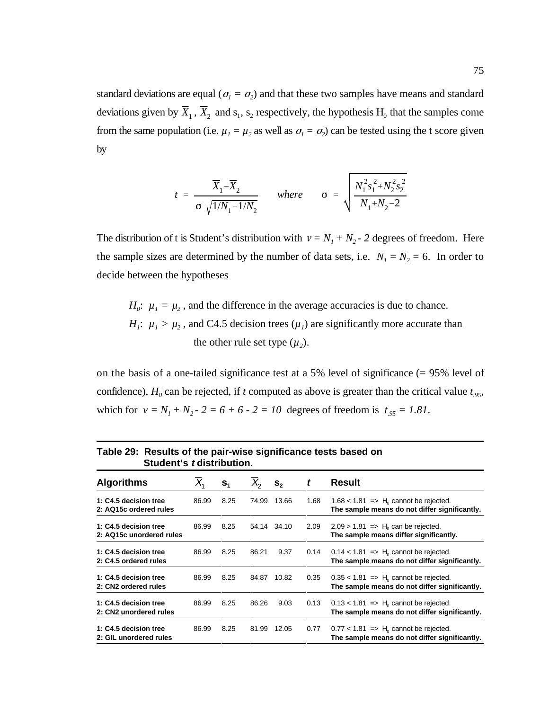deviations given by  $X_1$ ,  $X_2$  and  $s_1$ ,  $s_2$  respectively, the hypothesis  $H_0$  that the samples come standard deviations are equal ( $\sigma_1 = \sigma_2$ ) and that these two samples have means and standard from the same population (i.e.  $\mu_1 = \mu_2$  as well as  $\sigma_1 = \sigma_2$ ) can be tested using the t score given by

$$
t = \frac{\overline{X}_1 - \overline{X}_2}{\sigma \sqrt{1/N_1 + 1/N_2}} \quad \text{where} \quad \sigma = \sqrt{\frac{N_1^2 s_1^2 + N_2^2 s_2^2}{N_1 + N_2 - 2}}
$$

The distribution of t is Student's distribution with  $v = N_1 + N_2$  - 2 degrees of freedom. Here the sample sizes are determined by the number of data sets, i.e.  $N_1 = N_2 = 6$ . In order to decide between the hypotheses

 $H_0$ :  $\mu_1 = \mu_2$ , and the difference in the average accuracies is due to chance. *H<sub>1</sub>*:  $\mu_1 > \mu_2$ , and C4.5 decision trees  $(\mu_1)$  are significantly more accurate than the other rule set type  $(\mu_2)$ .

on the basis of a one-tailed significance test at a 5% level of significance (= 95% level of confidence),  $H_0$  can be rejected, if *t* computed as above is greater than the critical value  $t_{.95}$ , which for  $v = N_1 + N_2 - 2 = 6 + 6 - 2 = 10$  degrees of freedom is  $t_{.95} = 1.81$ .

| Student's <i>t</i> distribution.                  |       |                |       |                |      |                                                                                                      |
|---------------------------------------------------|-------|----------------|-------|----------------|------|------------------------------------------------------------------------------------------------------|
| <b>Algorithms</b>                                 |       | S <sub>1</sub> |       | $\mathbf{s}_2$ | t    | <b>Result</b>                                                                                        |
| 1: C4.5 decision tree<br>2: AQ15c ordered rules   | 86.99 | 8.25           | 74.99 | 13.66          | 1.68 | $1.68 < 1.81$ => H <sub>0</sub> cannot be rejected.<br>The sample means do not differ significantly. |
| 1: C4.5 decision tree<br>2: AQ15c unordered rules | 86.99 | 8.25           |       | 54.14 34.10    | 2.09 | $2.09 > 1.81$ => H <sub>0</sub> can be rejected.<br>The sample means differ significantly.           |
| 1: C4.5 decision tree<br>2: C4.5 ordered rules    | 86.99 | 8.25           | 86.21 | 9.37           | 0.14 | $0.14 < 1.81$ => H <sub>0</sub> cannot be rejected.<br>The sample means do not differ significantly. |
| 1: C4.5 decision tree<br>2: CN2 ordered rules     | 86.99 | 8.25           | 84.87 | 10.82          | 0.35 | $0.35 < 1.81$ => H <sub>0</sub> cannot be rejected.<br>The sample means do not differ significantly. |
| 1: C4.5 decision tree<br>2: CN2 unordered rules   | 86.99 | 8.25           | 86.26 | 9.03           | 0.13 | $0.13 < 1.81$ => H <sub>0</sub> cannot be rejected.<br>The sample means do not differ significantly. |
| 1: C4.5 decision tree<br>2: GIL unordered rules   | 86.99 | 8.25           | 81.99 | 12.05          | 0.77 | $0.77 < 1.81$ => H <sub>0</sub> cannot be rejected.<br>The sample means do not differ significantly. |

| Table 29: Results of the pair-wise significance tests based on |
|----------------------------------------------------------------|
| Student's t distribution.                                      |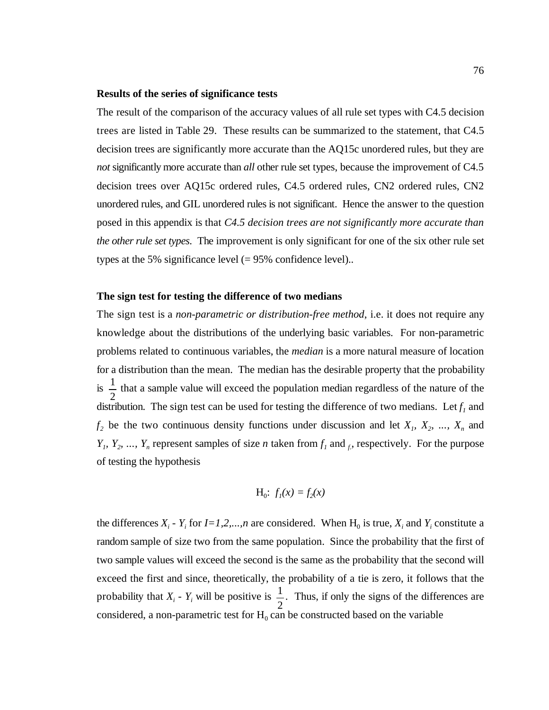#### **Results of the series of significance tests**

The result of the comparison of the accuracy values of all rule set types with C4.5 decision trees are listed in Table 29. These results can be summarized to the statement, that C4.5 decision trees are significantly more accurate than the AQ15c unordered rules, but they are *not* significantly more accurate than *all* other rule set types, because the improvement of C4.5 decision trees over AQ15c ordered rules, C4.5 ordered rules, CN2 ordered rules, CN2 unordered rules, and GIL unordered rules is not significant. Hence the answer to the question posed in this appendix is that *C4.5 decision trees are not significantly more accurate than the other rule set types*. The improvement is only significant for one of the six other rule set types at the 5% significance level  $(= 95%$  confidence level)..

#### **The sign test for testing the difference of two medians**

1 2 The sign test is a *non-parametric or distribution-free method*, i.e. it does not require any knowledge about the distributions of the underlying basic variables. For non-parametric problems related to continuous variables, the *median* is a more natural measure of location for a distribution than the mean. The median has the desirable property that the probability is  $\frac{1}{x}$  that a sample value will exceed the population median regardless of the nature of the distribution. The sign test can be used for testing the difference of two medians. Let  $f_1$  and  $f_2$  be the two continuous density functions under discussion and let  $X_1, X_2, \ldots, X_n$  and *Y<sub>1</sub>, Y<sub>2</sub>, ..., Y<sub>n</sub>* represent samples of size *n* taken from  $f_1$  and  $f_2$ , respectively. For the purpose of testing the hypothesis

$$
H_0
$$
:  $f_1(x) = f_2(x)$ 

1 probability that  $X_i$  -  $Y_i$  will be positive is  $\frac{1}{2}$ . Thus, if only the signs of the differences are the differences  $X_i$  -  $Y_i$  for  $I = 1, 2, ..., n$  are considered. When  $H_0$  is true,  $X_i$  and  $Y_i$  constitute a random sample of size two from the same population. Since the probability that the first of two sample values will exceed the second is the same as the probability that the second will exceed the first and since, theoretically, the probability of a tie is zero, it follows that the considered, a non-parametric test for  $H_0$  can be constructed based on the variable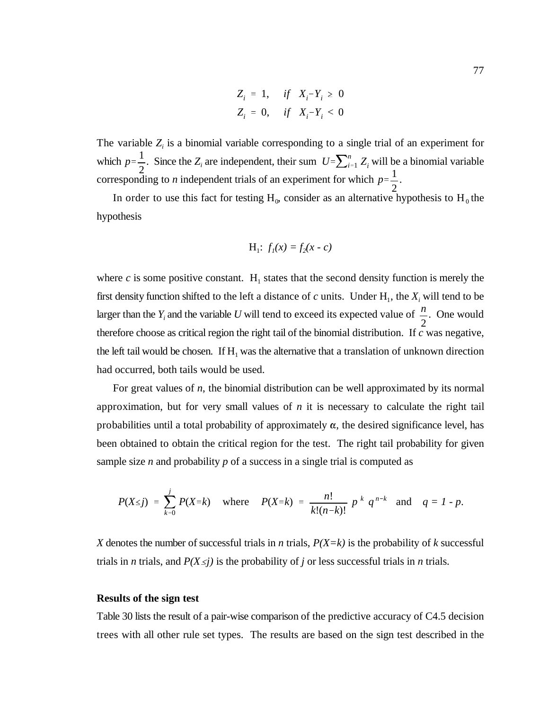$$
Z_i = 1, \quad \text{if} \quad X_i - Y_i \ge 0
$$
  

$$
Z_i = 0, \quad \text{if} \quad X_i - Y_i < 0
$$

 $p=\frac{1}{2}$ 2 which  $p = \frac{1}{2}$ . Since the *Z<sub>i</sub>* are independent, their sum  $U = \sum_{i=1}^{n} Z_i$  will be a binomial variable  $p=\frac{1}{2}$ 2 The variable  $Z_i$  is a binomial variable corresponding to a single trial of an experiment for corresponding to *n* independent trials of an experiment for which  $p = \frac{1}{x}$ .

In order to use this fact for testing  $H_0$ , consider as an alternative hypothesis to  $H_0$  the hypothesis

$$
H_1
$$
:  $f_1(x) = f_2(x - c)$ 

*n* 2 where  $c$  is some positive constant.  $H_1$  states that the second density function is merely the first density function shifted to the left a distance of  $c$  units. Under  $H_1$ , the  $X_i$  will tend to be larger than the  $Y_i$  and the variable U will tend to exceed its expected value of  $\frac{\pi}{2}$ . One would therefore choose as critical region the right tail of the binomial distribution. If *c* was negative, the left tail would be chosen. If  $H_1$  was the alternative that a translation of unknown direction had occurred, both tails would be used.

For great values of *n*, the binomial distribution can be well approximated by its normal approximation, but for very small values of *n* it is necessary to calculate the right tail probabilities until a total probability of approximately  $\alpha$ , the desired significance level, has been obtained to obtain the critical region for the test. The right tail probability for given sample size *n* and probability *p* of a success in a single trial is computed as

$$
P(X \leq j) = \sum_{k=0}^{j} P(X = k) \quad \text{where} \quad P(X = k) = \frac{n!}{k!(n-k)!} p^k q^{n-k} \quad \text{and} \quad q = 1 - p.
$$

*X* denotes the number of successful trials in *n* trials,  $P(X=k)$  is the probability of *k* successful trials in *n* trials, and  $P(X \leq j)$  is the probability of *j* or less successful trials in *n* trials.

#### **Results of the sign test**

Table 30 lists the result of a pair-wise comparison of the predictive accuracy of C4.5 decision trees with all other rule set types. The results are based on the sign test described in the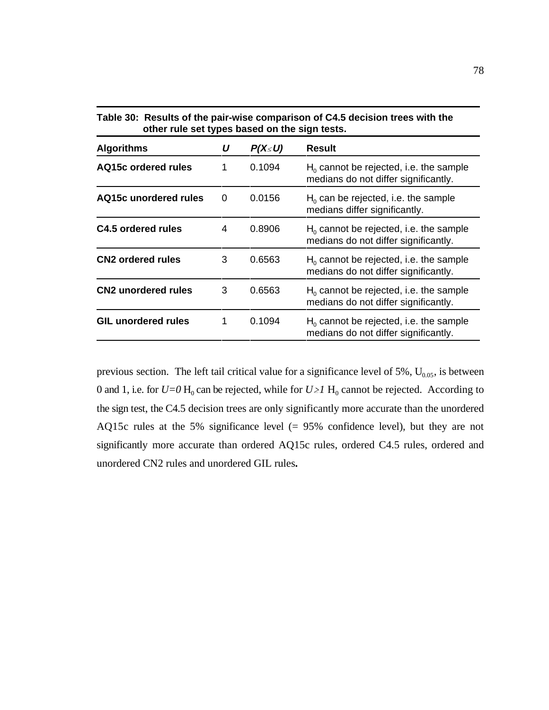| Table 30: Results of the pair-wise comparison of C4.5 decision trees with the<br>other rule set types based on the sign tests. |   |              |                                                                                   |  |  |
|--------------------------------------------------------------------------------------------------------------------------------|---|--------------|-----------------------------------------------------------------------------------|--|--|
| <b>Algorithms</b>                                                                                                              | U | $P(X\leq U)$ | <b>Result</b>                                                                     |  |  |
| AQ15c ordered rules                                                                                                            | 1 | 0.1094       | $H_0$ cannot be rejected, i.e. the sample<br>medians do not differ significantly. |  |  |
| AQ15c unordered rules                                                                                                          | 0 | 0.0156       | $H0$ can be rejected, i.e. the sample<br>medians differ significantly.            |  |  |
| C4.5 ordered rules                                                                                                             | 4 | 0.8906       | $H_0$ cannot be rejected, i.e. the sample<br>medians do not differ significantly. |  |  |
| <b>CN2 ordered rules</b>                                                                                                       | 3 | 0.6563       | $H0$ cannot be rejected, i.e. the sample<br>medians do not differ significantly.  |  |  |
| <b>CN2</b> unordered rules                                                                                                     | 3 | 0.6563       | $H_0$ cannot be rejected, i.e. the sample<br>medians do not differ significantly. |  |  |
| <b>GIL unordered rules</b>                                                                                                     | 1 | 0.1094       | $H0$ cannot be rejected, i.e. the sample<br>medians do not differ significantly.  |  |  |

previous section. The left tail critical value for a significance level of 5%,  $U_{0.05}$ , is between 0 and 1, i.e. for  $U=0$  H<sub>0</sub> can be rejected, while for  $U \geq 1$  H<sub>0</sub> cannot be rejected. According to the sign test, the C4.5 decision trees are only significantly more accurate than the unordered AQ15c rules at the 5% significance level (= 95% confidence level), but they are not significantly more accurate than ordered AQ15c rules, ordered C4.5 rules, ordered and unordered CN2 rules and unordered GIL rules**.**